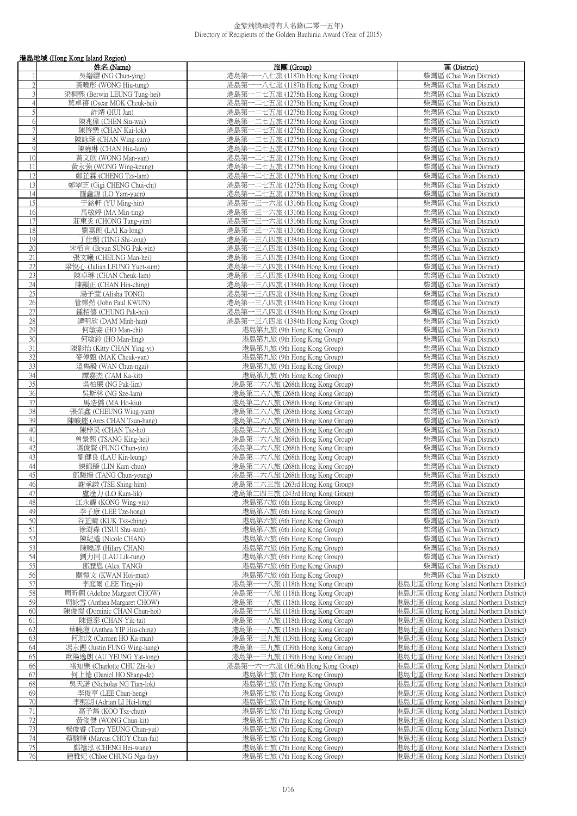|                | 港島地域 (Hong Kong Island Region)                        |                                                                        |                                                                                        |  |
|----------------|-------------------------------------------------------|------------------------------------------------------------------------|----------------------------------------------------------------------------------------|--|
|                | 姓名 (Name)                                             | 旅團 (Group)                                                             | 區 (District)                                                                           |  |
|                | 吳縉纓 (NG Chun-ying)                                    | 港島第一一八七旅 (1187th Hong Kong Group)                                      | 柴灣區 (Chai Wan District)                                                                |  |
| $\overline{2}$ | 黃曉彤 (WONG Hiu-tung)                                   | 港島第一一八七旅 (1187th Hong Kong Group)                                      | 柴灣區 (Chai Wan District)                                                                |  |
| 3              | 梁桐熙 (Berwin LEUNG Tung-hei)                           | 港島第一二七五旅 (1275th Hong Kong Group)                                      | 柴灣區 (Chai Wan District)                                                                |  |
| 4<br>5         | 莫卓禧 (Oscar MOK Cheuk-hei)<br>許靖 (HUI Jan)             | 港島第一二七五旅 (1275th Hong Kong Group)<br>港島第一二七五旅 (1275th Hong Kong Group) | 柴灣區 (Chai Wan District)<br>柴灣區 (Chai Wan District)                                     |  |
| 6              | 陳兆偉 (CHEN Siu-wai)                                    | 港島第一二七五旅 (1275th Hong Kong Group)                                      | 柴灣區 (Chai Wan District)                                                                |  |
| $\overline{7}$ | 陳啓樂 (CHAN Kai-lok)                                    | 港島第一二七五旅 (1275th Hong Kong Group)                                      | 柴灣區 (Chai Wan District)                                                                |  |
| 8              | 陳詠琛 (CHAN Wing-sum)                                   | 港島第一二七五旅 (1275th Hong Kong Group)                                      | 柴灣區 (Chai Wan District)                                                                |  |
| 9              | 陳曉琳 (CHAN Hiu-lam)                                    | 港島第一二七五旅 (1275th Hong Kong Group)                                      | 柴灣區 (Chai Wan District)                                                                |  |
| 10             | 黃文欣 (WONG Man-yan)                                    | 港島第一二七五旅 (1275th Hong Kong Group)                                      | 柴灣區 (Chai Wan District)                                                                |  |
| 11             | 黃永強 (WONG Wing-keung)                                 | 港島第一二七五旅 (1275th Hong Kong Group)                                      | 柴灣區 (Chai Wan District)                                                                |  |
| 12             | 鄭芷霖 (CHENG Tzs-lam)                                   | 港島第一二七五旅 (1275th Hong Kong Group)                                      | 柴灣區 (Chai Wan District)                                                                |  |
| 13             | 鄭翠芝 (Gigi CHENG Chui-chi)                             | 港島第一二七五旅 (1275th Hong Kong Group)                                      | 柴灣區 (Chai Wan District)                                                                |  |
| 14             | 羅鑫源 (LO Yam-yuen)                                     | 港島第一二七五旅 (1275th Hong Kong Group)                                      | 柴灣區 (Chai Wan District)                                                                |  |
| 15             | 于銘軒 (YU Ming-hin)                                     | 港島第一三一六旅 (1316th Hong Kong Group)                                      | 柴灣區 (Chai Wan District)                                                                |  |
| 16             | 馬敏婷 (MA Min-ting)                                     | 港島第一三一六旅 (1316th Hong Kong Group)                                      | 柴灣區 (Chai Wan District)                                                                |  |
| 17<br>18       | 莊東炎 (CHONG Tung-yim)                                  | 港島第一三一六旅 (1316th Hong Kong Group)                                      | 柴灣區 (Chai Wan District)                                                                |  |
| 19             | 劉嘉朗 (LAI Ka-long)<br>丁仕朗 (TING Shi-long)              | 港島第一三一六旅 (1316th Hong Kong Group)<br>港島第一三八四旅 (1384th Hong Kong Group) | 柴灣區 (Chai Wan District)<br>柴灣區 (Chai Wan District)                                     |  |
| 20             | 宋栢言 (Bryan SUNG Pak-yin)                              | 港島第一三八四旅 (1384th Hong Kong Group)                                      | 柴灣區 (Chai Wan District)                                                                |  |
| $21\,$         | 張文曦 (CHEUNG Man-hei)                                  | 港島第一三八四旅 (1384th Hong Kong Group)                                      | 柴灣區 (Chai Wan District)                                                                |  |
| 22             | 梁悅心 (Julian LEUNG Yuet-sum)                           | 港島第一三八四旅 (1384th Hong Kong Group)                                      | 柴灣區 (Chai Wan District)                                                                |  |
| 23             | 陳卓琳 (CHAN Cheuk-lam)                                  | 港島第一三八四旅 (1384th Hong Kong Group)                                      | 柴灣區 (Chai Wan District)                                                                |  |
| 24             | 陳顯正 (CHAN Hin-ching)                                  | 港島第一三八四旅 (1384th Hong Kong Group)                                      | 柴灣區 (Chai Wan District)                                                                |  |
| 25             | 湯子萱 (Alisha TONG)                                     | 港島第一三八四旅 (1384th Hong Kong Group)                                      | 柴灣區 (Chai Wan District)                                                                |  |
| 26             | 管樂然 (John Paul KWUN)                                  | 港島第一三八四旅 (1384th Hong Kong Group)                                      | 柴灣區 (Chai Wan District)                                                                |  |
| 27             | 鍾栢僖 (CHUNG Pak-hei)                                   | 港島第一三八四旅 (1384th Hong Kong Group)                                      | 柴灣區 (Chai Wan District)                                                                |  |
| 28             | 譚明欣 (DAM Minh-han)                                    | 港島第一三八四旅 (1384th Hong Kong Group)                                      | 柴灣區 (Chai Wan District)                                                                |  |
| 29             | 何敏姿 (HO Man-chi)                                      | 港島第九旅 (9th Hong Kong Group)                                            | 柴灣區 (Chai Wan District)                                                                |  |
| 30             | 何敏鈴 (HO Man-ling)                                     | 港島第九旅 (9th Hong Kong Group)                                            | 柴灣區 (Chai Wan District)                                                                |  |
| 31             | 陳影怡 (Kitty CHAN Ying-yi)                              | 港島第九旅 (9th Hong Kong Group)                                            | 柴灣區 (Chai Wan District)                                                                |  |
| 32             | 麥倬甄 (MAK Cheuk-yan)                                   | 港島第九旅 (9th Hong Kong Group)                                            | 柴灣區 (Chai Wan District)                                                                |  |
| 33<br>34       | 溫雋毅 (WAN Chun-ngai)                                   | 港島第九旅 (9th Hong Kong Group)                                            | 柴灣區 (Chai Wan District)<br>柴灣區 (Chai Wan District)                                     |  |
| 35             | 譚嘉杰 (TAM Ka-kit)<br>吳柏廉 (NG Pak-lim)                  | 港島第九旅 (9th Hong Kong Group)<br>港島第二六八旅 (268th Hong Kong Group)         | 柴灣區 (Chai Wan District)                                                                |  |
| 36             | 吳斯林 (NG Sze-lam)                                      | 港島第二六八旅 (268th Hong Kong Group)                                        | 柴灣區 (Chai Wan District)                                                                |  |
| 37             | 馬浩僑 (MA Ho-kiu)                                       | 港島第二六八旅 (268th Hong Kong Group)                                        | 柴灣區 (Chai Wan District)                                                                |  |
| 38             | 張榮鑫 (CHEUNG Wing-yam)                                 | 港島第二六八旅 (268th Hong Kong Group)                                        | 柴灣區 (Chai Wan District)                                                                |  |
| 39             | 陳峻鏗 (Ares CHAN Tsun-hang)                             | 港島第二六八旅 (268th Hong Kong Group)                                        | 柴灣區 (Chai Wan District)                                                                |  |
| 40             | 陳梓昊 (CHAN Tsz-ho)                                     | 港島第二六八旅 (268th Hong Kong Group)                                        | 柴灣區 (Chai Wan District)                                                                |  |
| 41             | 曾景熙 (TSANG King-hei)                                  | 港島第二六八旅 (268th Hong Kong Group)                                        | 柴灣區 (Chai Wan District)                                                                |  |
| 42             | 馮俊賢 (FUNG Chun-vin)                                   | 港島第二六八旅 (268th Hong Kong Group)                                        | 柴灣區 (Chai Wan District)                                                                |  |
| 43             | 劉健良 (LAU Kin-leung)                                   | 港島第二六八旅 (268th Hong Kong Group)                                        | 柴灣區 (Chai Wan District)                                                                |  |
| 44             | 練錦臻 (LIN Kam-chun)                                    | 港島第二六八旅 (268th Hong Kong Group)                                        | 柴灣區 (Chai Wan District)                                                                |  |
| 45             | 鄧駿揚 (TANG Chun-yeung)                                 | 港島第二六八旅 (268th Hong Kong Group)                                        | 柴灣區 (Chai Wan District)                                                                |  |
| 46             | 謝承謙 (TSE Shing-him)                                   | 港鳥第二六三旅 (263rd Hong Kong Group)                                        | 柴灣區 (Chai Wan District)                                                                |  |
| 47<br>48       | 盧淦力 (LO Kam-lik)<br>江永耀 (KONG Wing-yiu)               | 港島第二四三旅 (243rd Hong Kong Group)<br>港島第六旅 (6th Hong Kong Group)         | 柴灣區 (Chai Wan District)<br>柴灣區 (Chai Wan District)                                     |  |
| 49             | 李子康 (LEE Tze-hong)                                    | 港島第六旅 (6th Hong Kong Group)                                            | 柴灣區 (Chai Wan District)                                                                |  |
| 50             | 谷芷晴 (KUK Tsz-ching)                                   | 港島第六旅 (6th Hong Kong Group)                                            | 柴灣區 (Chai Wan District)                                                                |  |
| 51             | 徐澍森 (TSUI Shu-sum)                                    | 港島第六旅 (6th Hong Kong Group)                                            | 柴灣區 (Chai Wan District)                                                                |  |
| 52             | 陳紀遙 (Nicole CHAN)                                     | 港島第六旅 (6th Hong Kong Group)                                            | 柴灣區 (Chai Wan District)                                                                |  |
| 53             | 陳曉諄 (Hilary CHAN)                                     | 港島第六旅 (6th Hong Kong Group)                                            | 柴灣區 (Chai Wan District)                                                                |  |
| 54             | 劉力同 (LAU Lik-tung)                                    | 港島第六旅 (6th Hong Kong Group)                                            | 柴灣區 (Chai Wan District)                                                                |  |
| 55             | 鄧歷恩 (Alex TANG)                                       | 港島第六旅 (6th Hong Kong Group)                                            | 柴灣區 (Chai Wan District)                                                                |  |
| 56             | 關愷文 (KWAN Hoi-man)                                    | 港島第六旅 (6th Hong Kong Group)                                            | 柴灣區 (Chai Wan District)                                                                |  |
| 57             | 李庭爾 (LEE Ting-yi)                                     | 港島第一一八旅 (118th Hong Kong Group)                                        | 巷島北區 (Hong Kong Island Northern District)                                              |  |
| 58             | 周昕翹 (Adeline Margaret CHOW)                           | 港島第一一八旅 (118th Hong Kong Group)                                        | 巷島北區 (Hong Kong Island Northern District)                                              |  |
| 59             | 周詠雪 (Anthea Margaret CHOW)                            | 港島第一一八旅 (118th Hong Kong Group)                                        | 巷島北區 (Hong Kong Island Northern District)                                              |  |
| 60             | 陳俊愷 (Dominic CHAN Chun-hoi)                           | 港島第一一八旅 (118th Hong Kong Group)                                        | 巷島北區 (Hong Kong Island Northern District)                                              |  |
| 61<br>62       | 陳億泰 (CHAN Yik-tai)                                    | ——八旅 (118th Hong Kong Group)<br>港島第-                                   | 巷島北區 (Hong Kong Island Northern District)                                              |  |
| 63             | 葉曉澄 (Anthea YIP Hiu-ching)                            | 港島第一一八旅 (118th Hong Kong Group)<br>港島第一三九旅 (139th Hong Kong Group)     | 巷島北區 (Hong Kong Island Northern District)<br>巷島北區 (Hong Kong Island Northern District) |  |
| 64             | 何泇汶 (Carmen HO Ka-man)<br>馮永鏗 (Justin FUNG Wing-hang) | 港島第一三九旅 (139th Hong Kong Group)                                        | 巷島北區 (Hong Kong Island Northern District)                                              |  |
| 65             | 歐陽逸朗 (AU YEUNG Yat-long)                              | 港島第一三九旅 (139th Hong Kong Group)                                        | 巷島北區 (Hong Kong Island Northern District)                                              |  |
| 66             | 褚知樂 (Charlotte CHU Zhi-le)                            | 港島第一六一六旅 (1616th Hong Kong Group)                                      | 巷島北區 (Hong Kong Island Northern District)                                              |  |
| 67             | 何上德 (Daniel HO Shang-de)                              | 港島第七旅 (7th Hong Kong Group)                                            | 巷島北區 (Hong Kong Island Northern District)                                              |  |
| 68             | 吳天諾 (Nicholas NG Tian-lok)                            | 港島第七旅 (7th Hong Kong Group)                                            | 巷島北區 (Hong Kong Island Northern District)                                              |  |
| 69             | 李俊亨 (LEE Chun-heng)                                   | 港島第七旅 (7th Hong Kong Group)                                            | 巷島北區 (Hong Kong Island Northern District)                                              |  |
| 70             | 李熙朗 (Adrian LI Hei-long)                              | 港島第七旅 (7th Hong Kong Group)                                            | 巷島北區 (Hong Kong Island Northern District)                                              |  |
| $71\,$         | 高子雋 (KOO Tsz-chun)                                    | 港島第七旅 (7th Hong Kong Group)                                            | 巷島北區 (Hong Kong Island Northern District)                                              |  |
| 72             | 黃俊傑 (WONG Chun-kit)                                   | 港島第七旅 (7th Hong Kong Group)                                            | 巷島北區 (Hong Kong Island Northern District)                                              |  |
| 73             | 楊俊睿 (Terry YEUNG Chun-yui)                            | 港島第七旅 (7th Hong Kong Group)                                            | 巷島北區 (Hong Kong Island Northern District)                                              |  |
| 74             | 蔡駿暉 (Marcus CHOY Chun-fai)                            | 港島第七旅 (7th Hong Kong Group)                                            | 巷島北區 (Hong Kong Island Northern District)                                              |  |
| 75             | 鄭禧泓 (CHENG Hei-wang)                                  | 港島第七旅 (7th Hong Kong Group)                                            | 巷島北區 (Hong Kong Island Northern District)                                              |  |
| 76             | 鍾雅妃 (Chloe CHUNG Nga-fay)                             | 港島第七旅 (7th Hong Kong Group)                                            | 巷島北區 (Hong Kong Island Northern District)                                              |  |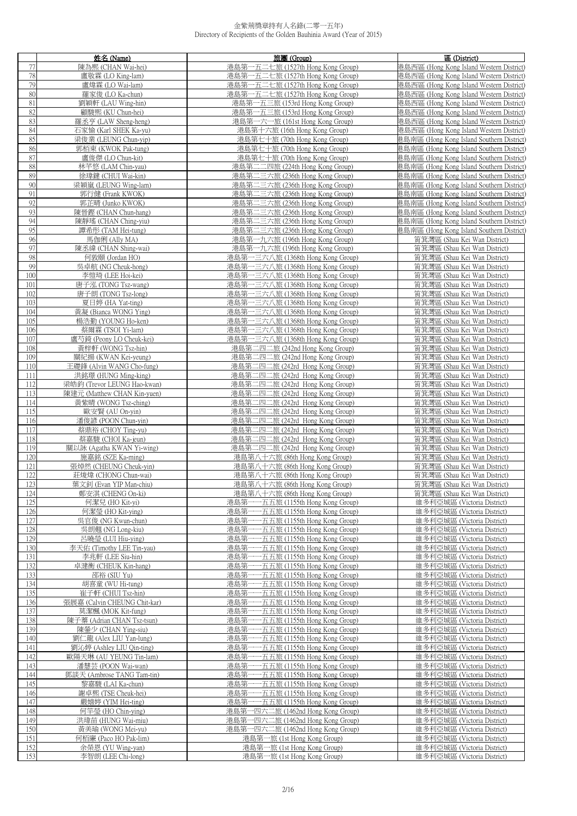|            | 姓名 (Name)                                         | 旅團 (Group)                                                                   | 區 (District)                                                 |
|------------|---------------------------------------------------|------------------------------------------------------------------------------|--------------------------------------------------------------|
| 77         | 陳為熙 (CHAN Wai-hei)                                | 港島第一五二七旅 (1527th Hong Kong Group)                                            | 巷島西區 (Hong Kong Island Western District)                     |
| $78\,$     | 盧敬霖 (LO King-lam)                                 | 港島第一五二七旅 (1527th Hong Kong Group)                                            | 港島西區 (Hong Kong Island Western District)                     |
| 79         | 盧煒霖 (LO Wai-lam)                                  | 港島第一五二七旅 (1527th Hong Kong Group)                                            | 港島西區 (Hong Kong Island Western District)                     |
| $80\,$     | 羅家俊 (LO Ka-chun)                                  | 港島第一五二七旅 (1527th Hong Kong Group)                                            | 港島西區 (Hong Kong Island Western District)                     |
| 81         | 劉穎軒 (LAU Wing-hin)                                | 港島第一五三旅 (153rd Hong Kong Group)                                              | 巷島西區 (Hong Kong Island Western District)                     |
| 82         | 顧駿熙 (KU Chun-hei)                                 | 港島第一五三旅 (153rd Hong Kong Group)                                              | 巷島西區 (Hong Kong Island Western District)                     |
| 83         |                                                   |                                                                              | 巷島西區 (Hong Kong Island Western District)                     |
| 84         | 羅丞亨 (LAW Sheng-heng)                              | 港島第一六一旅 (161st Hong Kong Group)                                              |                                                              |
| 85         | 石家愉 (Karl SHEK Ka-yu)                             | 港島第十六旅 (16th Hong Kong Group)                                                | 港島西區 (Hong Kong Island Western District)                     |
| 86         | 梁俊業 (LEUNG Chun-yip)                              | 港島第七十旅 (70th Hong Kong Group)                                                | 巷島南區 (Hong Kong Island Southern District)                    |
|            | 郭栢東 (KWOK Pak-tung)                               | 港島第七十旅 (70th Hong Kong Group)                                                | 巷島南區 (Hong Kong Island Southern District)                    |
| 87<br>88   | 盧俊傑 (LO Chun-kit)                                 | 港島第七十旅 (70th Hong Kong Group)                                                | 巷島南區 (Hong Kong Island Southern District)                    |
|            | 林芊悠 (LAM Chin-yau)                                | 港島第二二四旅 (224th Hong Kong Group)                                              | 巷島南區 (Hong Kong Island Southern District)                    |
| 89         | 徐瑋鍵 (CHUI Wai-kin)                                | 港島第二三六旅 (236th Hong Kong Group)                                              | 巷島南區 (Hong Kong Island Southern District)                    |
| $90\,$     | 梁穎嵐 (LEUNG Wing-lam)                              | 港島第二三六旅 (236th Hong Kong Group)                                              | 巷島南區 (Hong Kong Island Southern District)                    |
| 91         | 郭行健 (Frank KWOK)                                  | 港島第二三六旅 (236th Hong Kong Group)                                              | 巷島南區 (Hong Kong Island Southern District)                    |
| 92         | 郭芷晴 (Junko KWOK)                                  | 港島第二三六旅 (236th Hong Kong Group)                                              | 巷島南區 (Hong Kong Island Southern District)                    |
| 93         | 陳晉鏗 (CHAN Chun-hang)                              | 港島第二三六旅 (236th Hong Kong Group)                                              | 巷島南區 (Hong Kong Island Southern District)                    |
| 94         | 陳靜瑤 (CHAN Ching-yiu)                              | 港島第二三六旅 (236th Hong Kong Group)                                              | 巷島南區 (Hong Kong Island Southern District)                    |
| 95         | 譚希彤 (TAM Hei-tung)                                | 港島第二三六旅 (236th Hong Kong Group)                                              | 巷島南區 (Hong Kong Island Southern District)                    |
| 96         | 馬伽俐 (Ally MA)                                     | 港島第一九六旅 (196th Hong Kong Group)                                              | 筲箕灣區 (Shau Kei Wan District)                                 |
| 97         | 陳丞緯 (CHAN Shing-wai)                              | 港島第一九六旅 (196th Hong Kong Group)                                              | 筲箕灣區 (Shau Kei Wan District)                                 |
| 98         | 何敦頤 (Jordan HO)                                   | 港島第一三六八旅 (1368th Hong Kong Group)                                            | 筲箕灣區 (Shau Kei Wan District)                                 |
| 99         | 吳卓航 (NG Cheuk-hong)                               | 港島第一三六八旅 (1368th Hong Kong Group)                                            | 筲箕灣區 (Shau Kei Wan District)                                 |
| 100        | 李愷琦 (LEE Hoi-kei)                                 | 港島第一三六八旅 (1368th Hong Kong Group)                                            | 筲箕灣區 (Shau Kei Wan District)                                 |
| 101        | 唐子泓 (TONG Tsz-wang)                               | 港島第一三六八旅 (1368th Hong Kong Group)                                            | 筲箕灣區 (Shau Kei Wan District)                                 |
| 102        | 唐子朗 (TONG Tsz-long)                               | 港島第一三六八旅 (1368th Hong Kong Group)                                            | 筲箕灣區 (Shau Kei Wan District)                                 |
| 103        | 夏日婷 (HA Yat-ting)                                 | 港島第一三六八旅 (1368th Hong Kong Group)                                            | 筲箕灣區 (Shau Kei Wan District)                                 |
| 104        | 黃凝 (Bianca WONG Ying)                             | 港島第一三六八旅 (1368th Hong Kong Group)                                            | 筲箕灣區 (Shau Kei Wan District)                                 |
| 105        | 楊浩勤 (YOUNG Ho-ken)                                | 港島第一三六八旅 (1368th Hong Kong Group)                                            | 筲箕灣區 (Shau Kei Wan District)                                 |
| 106        | 蔡爾霖 (TSOI Yi-lam)                                 | 港島第一三六八旅 (1368th Hong Kong Group)                                            | 筲箕灣區 (Shau Kei Wan District)                                 |
| 107        | 盧芍錡 (Peony LO Cheuk-kei)                          | 港島第一三六八旅 (1368th Hong Kong Group)                                            | 筲箕灣區 (Shau Kei Wan District)                                 |
| 108        | 黃梓軒 (WONG Tsz-hin)                                | 港島第二四二旅 (242nd Hong Kong Group)                                              | 筲箕灣區 (Shau Kei Wan District)                                 |
| 109        | 關紀揚 (KWAN Kei-yeung)                              | 港島第二四二旅 (242nd Hong Kong Group)                                              | 筲箕灣區 (Shau Kei Wan District)                                 |
| 110<br>111 | 王礎鋒 (Alvin WANG Cho-fung)<br>洪銘璟 (HUNG Ming-king) | 港島第二四二旅 (242rd Hong Kong Group)<br>港島第二四二旅 (242rd Hong Kong Group)           | 筲箕灣區 (Shau Kei Wan District)<br>筲箕灣區 (Shau Kei Wan District) |
| 112        | 梁皓鈞 (Trevor LEUNG Hao-kwan)                       | 港島第二四二旅 (242rd Hong Kong Group)                                              | 筲箕灣區 (Shau Kei Wan District)                                 |
| 113        | 陳建元 (Matthew CHAN Kin-yuen)                       | 港島第二四二旅 (242rd Hong Kong Group)                                              | 筲箕灣區 (Shau Kei Wan District)                                 |
| 114        | 黃紫晴 (WONG Tsz-ching)                              | 港島第二四二旅 (242rd Hong Kong Group)                                              | 筲箕灣區 (Shau Kei Wan District)                                 |
| 115        | 歐安賢(AU On-yin)                                    | 港島第二四二旅 (242rd Hong Kong Group)                                              | 筲箕灣區 (Shau Kei Wan District)                                 |
| 116        | 潘俊諺 (POON Chun-yin)                               | 港島第二四二旅 (242rd Hong Kong Group)                                              | 筲箕灣區 (Shau Kei Wan District)                                 |
| 117        | 蔡鼎裕 (CHOY Ting-yu)                                | 港島第二四二旅 (242rd Hong Kong Group)                                              | 筲箕灣區 (Shau Kei Wan District)                                 |
| 118        | 蔡嘉駿 (CHOI Ka-jeun)                                | 港島第二四二旅 (242rd Hong Kong Group)                                              | 筲箕灣區 (Shau Kei Wan District)                                 |
| 119        | 關以詠 (Agatha KWAN Yi-wing)                         | 港島第二四二旅 (242rd Hong Kong Group)                                              | 筲箕灣區 (Shau Kei Wan District)                                 |
| 120        | 施嘉銘 (SZE Ka-ming)                                 | 港島第八十六旅 (86th Hong Kong Group)                                               | 筲箕灣區 (Shau Kei Wan District)                                 |
| 121        | 張焯然 (CHEUNG Cheuk-yin)                            | 港島第八十六旅 (86th Hong Kong Group)                                               | 筲箕灣區 (Shau Kei Wan District)                                 |
| 122        | 莊焌煒 (CHONG Chun-wai)                              | 港島第八十六旅 (86th Hong Kong Group)                                               | 筲箕灣區 (Shau Kei Wan District)                                 |
| 123        | 葉文釗 (Evan YIP Man-chiu)                           | 港島第八十六旅 (86th Hong Kong Group)                                               | 筲箕灣區 (Shau Kei Wan District)                                 |
| 124        | 鄭安淇 (CHENG On-ki)                                 | 港島第八十六旅 (86th Hong Kong Group)                                               | 筲箕灣區 (Shau Kei Wan District)                                 |
| 125        | 何潔兒 (HO Kit-yi)                                   | 港島第-<br>五五旅 (1155th Hong Kong Group)                                         | 維多利亞城區 (Victoria District)                                   |
| 126        | 何潔瑩 (HO Kit-ying)                                 | 港島第<br>·五五旅 (1155th Hong Kong Group)                                         | 維多利亞城區 (Victoria District)                                   |
| 127        | 吳官俊 (NG Kwun-chun)                                | 港島第<br>-五五旅 (1155th Hong Kong Group)                                         | 維多利亞城區 (Victoria District)                                   |
| 128        | 吳朗翹 (NG Long-kiu)                                 | -五五旅 (1155th Hong Kong Group)<br>港島第                                         | 維多利亞城區 (Victoria District)                                   |
| 129        | 呂曉瑩 (LUI Hiu-ying)                                | 港島第<br>-五五旅 (1155th Hong Kong Group)                                         | 維多利亞城區 (Victoria District)                                   |
| 130        | 李天佑 (Timothy LEE Tin-yau)                         | 港島第<br>•五五旅 (1155th Hong Kong Group)                                         | 維多利亞城區 (Victoria District)                                   |
| 131        | 李兆軒 (LEE Siu-hin)                                 | 港島第<br>-五五旅 (1155th Hong Kong Group)                                         | 維多利亞城區 (Victoria District)                                   |
| 132        | 卓建衡 (CHEUK Kin-hang)                              | 港島第<br>·五五旅 (1155th Hong Kong Group)                                         | 維多利亞城區 (Victoria District)                                   |
| 133        | 邵裕 (SIU Yu)                                       | 港島第<br>五五旅 (1155th Hong Kong Group)                                          | 維多利亞城區 (Victoria District)                                   |
| 134        | 胡喜童 (WU Hi-tung)                                  | 港島第<br>·五五旅 (1155th Hong Kong Group)                                         | 維多利亞城區 (Victoria District)                                   |
| 135        | 崔子軒 (CHUI Tsz-hin)                                | 港島第<br>•五五旅 (1155th Hong Kong Group)                                         | 維多利亞城區 (Victoria District)                                   |
| 136        | 張展嘉 (Calvin CHEUNG Chit-kar)                      | 港島第<br>-五五旅 (1155th Hong Kong Group)                                         | 維多利亞城區 (Victoria District)                                   |
| 137<br>138 | 莫潔楓 (MOK Kit-fung)<br>陳子蓁 (Adrian CHAN Tsz-tsun)  | -五五旅 (1155th Hong Kong Group)<br>港島第<br>港島第<br>-五五旅 (1155th Hong Kong Group) | 維多利亞城區 (Victoria District)<br>維多利亞城區 (Victoria District)     |
| 139        |                                                   | 港島第                                                                          |                                                              |
| 140        | 陳鎣少 (CHAN Ying-siu)<br>劉仁龍 (Alex LIU Yan-lung)    | •五五旅 (1155th Hong Kong Group)<br>港島第<br>-五五旅 (1155th Hong Kong Group)        | 維多利亞城區 (Victoria District)<br>維多利亞城區 (Victoria District)     |
| 141        | 劉沁婷 (Ashley LIU Qin-ting)                         | 港島第<br>•五五旅 (1155th Hong Kong Group)                                         | 維多利亞城區 (Victoria District)                                   |
| 142        | 歐陽天琳 (AU YEUNG Tin-lam)                           | 港島第<br>•五五旅 (1155th Hong Kong Group)                                         | 維多利亞城區 (Victoria District)                                   |
| 143        | 潘慧芸 (POON Wai-wan)                                | 港島第<br>-五五旅 (1155th Hong Kong Group)                                         | 維多利亞城區 (Victoria District)                                   |
| 144        | 鄧談天 (Ambrose TANG Tam-tin)                        | -五五旅 (1155th Hong Kong Group)<br>港島第                                         | 維多利亞城區 (Victoria District)                                   |
| 145        | 黎嘉駿 (LAI Ka-chun)                                 | 港島第-<br>-五五旅 (1155th Hong Kong Group)                                        | 維多利亞城區 (Victoria District)                                   |
| 146        | 謝卓熙 (TSE Cheuk-hei)                               | 港島第-<br>-五五旅 (1155th Hong Kong Group)                                        | 維多利亞城區 (Victoria District)                                   |
| 147        | 嚴嬉婷 (YIM Hei-ting)                                | 港島第-<br>一五五旅 (1155th Hong Kong Group)                                        | 維多利亞城區 (Victoria District)                                   |
| 148        | 何竿瑩 (HO Chin-ying)                                | 港島第一四六二旅 (1462nd Hong Kong Group)                                            | 維多利亞城區 (Victoria District)                                   |
| 149        | 洪瑋苗 (HUNG Wai-miu)                                | 港島第一四六二旅 (1462nd Hong Kong Group)                                            | 維多利亞城區 (Victoria District)                                   |
| 150        | 黃美瑜 (WONG Mei-yu)                                 | 港島第一四六二旅 (1462nd Hong Kong Group)                                            | 維多利亞城區 (Victoria District)                                   |
| 151        | 何栢廉 (Paco HO Pak-lim)                             | 港島第一旅 (1st Hong Kong Group)                                                  | 維多利亞城區 (Victoria District)                                   |
| 152        | 余榮恩 (YU Wing-yan)                                 | 港島第一旅 (1st Hong Kong Group)                                                  | 維多利亞城區 (Victoria District)                                   |
| 153        | 李智朗 (LEE Chi-long)                                | 港島第一旅 (1st Hong Kong Group)                                                  | 維多利亞城區 (Victoria District)                                   |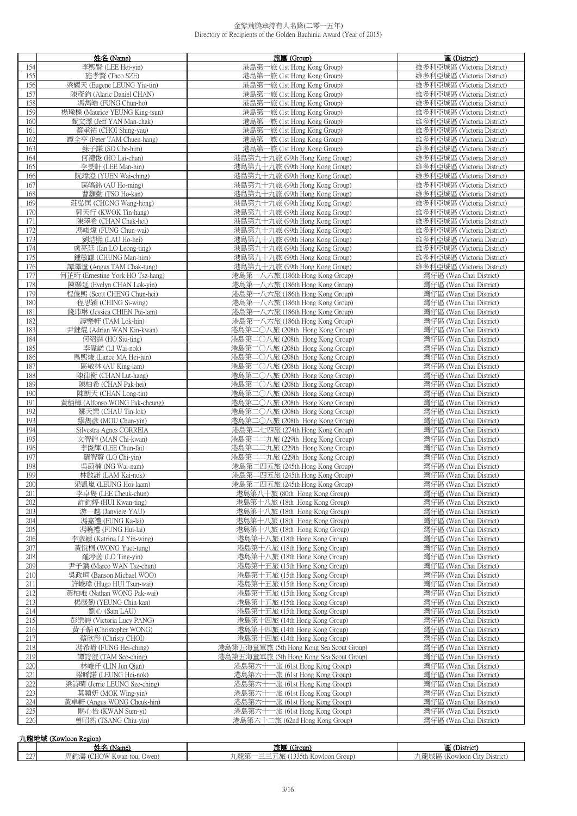|                | 姓名 (Name)                                                     | 旅團 (Group)                                                         | 區 (District)                                             |
|----------------|---------------------------------------------------------------|--------------------------------------------------------------------|----------------------------------------------------------|
| 154            | 李熙賢 (LEE Hei-yin)                                             | 港島第一旅 (1st Hong Kong Group)                                        | 維多利亞城區 (Victoria District)                               |
| 155            | 施孝賢 (Theo SZE)                                                | 港島第一旅 (1st Hong Kong Group)                                        | 維多利亞城區 (Victoria District)                               |
| 156            | 梁耀天 (Eugene LEUNG Yiu-tin)                                    | 港島第一旅 (1st Hong Kong Group)                                        | 維多利亞城區 (Victoria District)                               |
| 157            | 陳彥鈞 (Alaric Daniel CHAN)                                      | 港島第一旅 (1st Hong Kong Group)                                        | 維多利亞城區 (Victoria District)                               |
| 158            | 馮雋皓 (FUNG Chun-ho)                                            | 港島第一旅 (1st Hong Kong Group)                                        | 維多利亞城區 (Victoria District)                               |
| 159            | 楊璥榛 (Maurice YEUNG King-tsun)                                 | 港島第一旅 (1st Hong Kong Group)                                        | 維多利亞城區 (Victoria District)                               |
| 160            | 甄文澤 (Jeff YAN Man-chak)                                       | 港島第一旅 (1st Hong Kong Group)                                        | 維多利亞城區 (Victoria District)                               |
| 161            | 蔡承祐 (CHOI Shing-yau)                                          | 港島第一旅 (1st Hong Kong Group)                                        | 維多利亞城區 (Victoria District)                               |
| 162            | 譚全亨 (Peter TAM Chuen-hang)                                    | 港島第一旅 (1st Hong Kong Group)                                        | 維多利亞城區 (Victoria District)                               |
| 163<br>164     | 蘇子謙 (SO Che-him)<br>何禮俊 (HO Lai-chun)                         | 港島第一旅 (1st Hong Kong Group)<br>港島第九十九旅 (99th Hong Kong Group)      | 維多利亞城區 (Victoria District)<br>維多利亞城區 (Victoria District) |
| 165            | 李旻軒 (LEE Man-hin)                                             | 港島第九十九旅 (99th Hong Kong Group)                                     | 維多利亞城區 (Victoria District)                               |
| 166            | 阮瑋澄 (YUEN Wai-ching)                                          | 港島第九十九旅 (99th Hong Kong Group)                                     | 維多利亞城區 (Victoria District)                               |
| 167            | 區皜銘 (AU Ho-ming)                                              | 港島第九十九旅 (99th Hong Kong Group)                                     | 維多利亞城區 (Victoria District)                               |
| 168            | 曹灝勤 (TSO Ho-kan)                                              | 港島第九十九旅 (99th Hong Kong Group)                                     | 維多利亞城區 (Victoria District)                               |
| 169            | 莊弘匡 (CHONG Wang-hong)                                         | 港島第九十九旅 (99th Hong Kong Group)                                     | 維多利亞城區 (Victoria District)                               |
| 170            | 郭天行 (KWOK Tin-hang)                                           | 港島第九十九旅 (99th Hong Kong Group)                                     | 維多利亞城區 (Victoria District)                               |
| 171            | 陳澤希 (CHAN Chak-hei)                                           | 港島第九十九旅 (99th Hong Kong Group)                                     | 維多利亞城區 (Victoria District)                               |
| 172            | 馮竣煒 (FUNG Chun-wai)                                           | 港島第九十九旅 (99th Hong Kong Group)                                     | 維多利亞城區 (Victoria District)                               |
| 173            | 劉浩熙 (LAU Ho-hei)                                              | 港島第九十九旅 (99th Hong Kong Group)                                     | 維多利亞城區 (Victoria District)                               |
| 174            | 盧亮廷 (Ian LO Leong-ting)                                       | 港島第九十九旅 (99th Hong Kong Group)                                     | 維多利亞城區 (Victoria District)                               |
| 175            | 鍾敏謙 (CHUNG Man-him)                                           | 港島第九十九旅 (99th Hong Kong Group)                                     | 維多利亞城區 (Victoria District)                               |
| 176            | 譚澤潼 (Angus TAM Chak-tung)                                     | 港島第九十九旅 (99th Hong Kong Group)                                     | 維多利亞城區 (Victoria District)                               |
| 177<br>178     | 何芷珩 (Ernestine York HO Tsz-hang)<br>陳樂延 (Evelyn CHAN Lok-vin) | 港島第一八六旅 (186th Hong Kong Group)<br>港島第一八六旅 (186th Hong Kong Group) | 灣仔區 (Wan Chai District)<br>灣仔區 (Wan Chai District)       |
| 179            | 程俊熙 (Scott CHENG Chun-hei)                                    | 港島第一八六旅 (186th Hong Kong Group)                                    | 灣仔區 (Wan Chai District)                                  |
| 180            | 程思穎 (CHING Si-wing)                                           | 港島第一八六旅 (186th Hong Kong Group)                                    | 灣仔區 (Wan Chai District)                                  |
| 181            | 錢沛琳 (Jessica CHIEN Pui-lam)                                   | 港島第一八六旅 (186th Hong Kong Group)                                    | 灣仔區 (Wan Chai District)                                  |
| 182            | 譚樂軒 (TAM Lok-hin)                                             | 港島第一八六旅 (186th Hong Kong Group)                                    | 灣仔區 (Wan Chai District)                                  |
| 183            | 尹鍵焜 (Adrian WAN Kin-kwan)                                     | 港島第二〇八旅 (208th Hong Kong Group)                                    | 灣仔區 (Wan Chai District)                                  |
| 184            | 何紹霆 (HO Siu-ting)                                             | 港島第二〇八旅 (208th Hong Kong Group)                                    | 灣仔區 (Wan Chai District)                                  |
| 185            | 李偉諾 (LI Wai-nok)                                              | 港島第二〇八旅 (208th Hong Kong Group)                                    | 灣仔區 (Wan Chai District)                                  |
| 186            | 馬熙焌 (Lance MA Hei-jun)                                        | 港島第二〇八旅 (208th Hong Kong Group)                                    | 灣仔區 (Wan Chai District)                                  |
| 187            | 區敬林 (AU King-lam)                                             | 港島第二〇八旅 (208th Hong Kong Group)                                    | 灣仔區 (Wan Chai District)                                  |
| 188            | 陳律衡 (CHAN Lut-hang)                                           | 港島第二〇八旅 (208th Hong Kong Group)                                    | 灣仔區 (Wan Chai District)                                  |
| 189            | 陳柏希 (CHAN Pak-hei)                                            | 港島第二〇八旅 (208th Hong Kong Group)<br>港島第二〇八旅 (208th Hong Kong Group) | 灣仔區 (Wan Chai District)                                  |
| 190<br>191     | 陳朗天 (CHAN Long-tin)<br>黃栢樟 (Alfonso WONG Pak-cheung)          | 港島第二〇八旅 (208th Hong Kong Group)                                    | 灣仔區 (Wan Chai District)<br>灣仔區 (Wan Chai District)       |
| 192            | 鄒天樂 (CHAU Tin-lok)                                            | 港島第二〇八旅 (208th Hong Kong Group)                                    | 灣仔區 (Wan Chai District)                                  |
| 193            | 繆雋彥 (MOU Chun-yin)                                            | 港島第二〇八旅 (208th Hong Kong Group)                                    | 灣仔區 (Wan Chai District)                                  |
| 194            | Silvestra Agnes CORREIA                                       | 港島第二七四旅 (274th Hong Kong Group)                                    | 灣仔區 (Wan Chai District)                                  |
| 195            | 文智鈞 (MAN Chi-kwan)                                            | 港島第二二九旅 (229th Hong Kong Group)                                    | 灣仔區 (Wan Chai District)                                  |
| 196            | 李俊輝 (LEE Chun-fai)                                            | 港島第二二九旅 (229th Hong Kong Group)                                    | 灣仔區 (Wan Chai District)                                  |
| 197            | 羅智賢 (LO Chi-yin)                                              | 港島第二二九旅 (229th Hong Kong Group)                                    | 灣仔區 (Wan Chai District)                                  |
| 198            | 吳蔚楠 (NG Wai-nam)                                              | 港島第二四五旅 (245th Hong Kong Group)                                    | 灣仔區 (Wan Chai District)                                  |
| 199<br>$200 -$ | 林啟諾 (LAM Kai-nok)<br>梁凯嵐 (LEUNG Hoi-laam)                     | 港島第二四五旅 (245th Hong Kong Group)<br>港島第二四五旅 (245th Hong Kong Group) | 灣仔區 (Wan Chai District)<br>灣仔區 (Wan Chai District)       |
| 201            | 李卓雋 (LEE Cheuk-chun)                                          | 港島第八十旅 (80th Hong Kong Group)                                      | 灣仔區 (Wan Chai District)                                  |
| 202            | 許鈞婷 (HUI Kwan-ting)                                           | 港島第十八旅 (18th Hong Kong Group)                                      | 灣仔區 (Wan Chai District)                                  |
| 203            | 游一越 (Janviere YAU)                                            | 港島第十八旅 (18th Hong Kong Group)                                      | 灣仔區 (Wan Chai District)                                  |
| 204            | 馮嘉禮 (FUNG Ka-lai)                                             | 港島第十八旅 (18th Hong Kong Group)                                      | 灣仔區 (Wan Chai District)                                  |
| 205            | 馮曉禮 (FUNG Hui-lai)                                            | 港島第十八旅 (18th Hong Kong Group)                                      | 灣仔區 (Wan Chai District)                                  |
| 206            | 李彥穎 (Katrina LI Yin-wing)                                     | 港島第十八旅 (18th Hong Kong Group)                                      | 灣仔區 (Wan Chai District)                                  |
| 207            | 黃悅桐 (WONG Yuet-tung)                                          | 港島第十八旅 (18th Hong Kong Group)                                      | 灣仔區 (Wan Chai District)                                  |
| 208            | 羅渟茵 (LO Ting-yin)                                             | 港島第十八旅 (18th Hong Kong Group)                                      | 灣仔區 (Wan Chai District)                                  |
| 209            | 尹子鐫 (Marco WAN Tsz-chun)                                      | 港島第十五旅 (15th Hong Kong Group)                                      | 灣仔區 (Wan Chai District)                                  |
| 210            | 吳政垣 (Banson Michael WOO)                                      | 港島第十五旅 (15th Hong Kong Group)<br>港島第十五旅 (15th Hong Kong Group)     | 灣仔區 (Wan Chai District)                                  |
| 211<br>212     | 許峻瑋 (Hugo HUI Tsun-wai)<br>黃柏唯 (Nathan WONG Pak-wai)          | 港島第十五旅 (15th Hong Kong Group)                                      | 灣仔區 (Wan Chai District)<br>灣仔區 (Wan Chai District)       |
| 213            | 楊展勤 (YEUNG Chin-kan)                                          | 港島第十五旅 (15th Hong Kong Group)                                      | 灣仔區 (Wan Chai District)                                  |
| 214            | 劉心 (Sam LAU)                                                  | 港島第十五旅 (15th Hong Kong Group)                                      | 灣仔區 (Wan Chai District)                                  |
| 215            | 彭樂詩 (Victoria Lucy PANG)                                      | 港島第十四旅 (14th Hong Kong Group)                                      | 灣仔區 (Wan Chai District)                                  |
| 216            | 黃子韜 (Christopher WONG)                                        | 港島第十四旅 (14th Hong Kong Group)                                      | 灣仔區 (Wan Chai District)                                  |
| 217            | 蔡欣彤 (Christy CHOI)                                            | 港島第十四旅 (14th Hong Kong Group)                                      | 灣仔區 (Wan Chai District)                                  |
| 218            | 馮希晴 (FUNG Hei-ching)                                          | 港島第五海童軍旅 (5th Hong Kong Sea Scout Group)                           | 灣仔區 (Wan Chai District)                                  |
| 219            | 譚詩澄 (TAM See-ching)                                           | 港島第五海童軍旅 (5th Hong Kong Sea Scout Group)                           | 灣仔區 (Wan Chai District)                                  |
| 220            | 林峻仟 (LIN Jun Qian)                                            | 港島第六十一旅 (61st Hong Kong Group)                                     | 灣仔區 (Wan Chai District)                                  |
| 221            | 梁晞諾 (LEUNG Hei-nok)                                           | 港島第六十一旅 (61st Hong Kong Group)                                     | 灣仔區 (Wan Chai District)                                  |
| 222            | 梁詩晴 (Jerrie LEUNG Sze-ching)                                  | 港島第六十一旅 (61st Hong Kong Group)                                     | 灣仔區 (Wan Chai District)                                  |
| 223<br>224     | 莫穎妍 (MOK Wing-yin)<br>黃卓軒 (Angus WONG Cheuk-hin)              | 港島第六十一旅 (61st Hong Kong Group)<br>港島第六十一旅 (61st Hong Kong Group)   | 灣仔區 (Wan Chai District)<br>灣仔區 (Wan Chai District)       |
| 225            | 關心怡 (KWAN Sum-yi)                                             | 港島第六十一旅 (61st Hong Kong Group)                                     | 灣仔區 (Wan Chai District)                                  |
| 226            | 曾昭然 (TSANG Chiu-yin)                                          | 港島第六十二旅 (62nd Hong Kong Group)                                     | 灣仔區 (Wan Chai District)                                  |
|                |                                                               |                                                                    |                                                          |

|     | 九龍地域<br>. (Kowloon Region)   |                                                                 |                                            |  |  |
|-----|------------------------------|-----------------------------------------------------------------|--------------------------------------------|--|--|
|     | ₩ Φ.<br>(Name)<br>๛          | 旅厚<br>(Group)                                                   | <b>District</b><br>▥                       |  |  |
| 227 | (CHOW Kwan-tou, Owen)<br>問鉤濤 | - 龍竺<br>--<br>(1335th Kowloon Group)<br><b>Service</b><br>циви- | L龍城區<br>District<br>kowloon (<br>$+ + + +$ |  |  |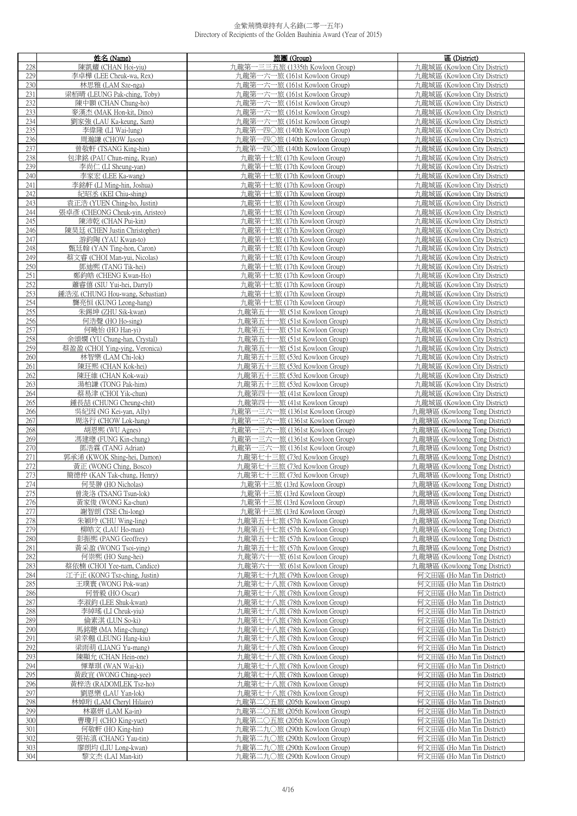|            | 姓名 (Name)                                 | 旅團 (Group)                                                    | 區 (District)                                                   |
|------------|-------------------------------------------|---------------------------------------------------------------|----------------------------------------------------------------|
| 228        | 陳凱耀 (CHAN Hoi-yiu)                        | 九龍第一三三五旅 (1335th Kowloon Group)                               | 九龍城區 (Kowloon City District)                                   |
| 229        | 李卓樺 (LEE Cheuk-wa, Rex)                   | 九龍第一六一旅 (161st Kowloon Group)                                 | 九龍城區 (Kowloon City District)                                   |
| 230        | 林思雅 (LAM Sze-nga)                         | 九龍第一六一旅 (161st Kowloon Group)                                 | 九龍城區 (Kowloon City District)                                   |
| 231        | 梁栢晴 (LEUNG Pak-ching, Toby)               | 九龍第一六一旅 (161st Kowloon Group)                                 | 九龍城區 (Kowloon City District)                                   |
| 232        | 陳中顥 (CHAN Chung-ho)                       | 九龍第一六一旅 (161st Kowloon Group)                                 | 九龍城區 (Kowloon City District)                                   |
| 233        | 麥漢杰 (MAK Hon-kit, Dino)                   | 九龍第一六一旅 (161st Kowloon Group)                                 | 九龍城區 (Kowloon City District)                                   |
| 234        | 劉家強 (LAU Ka-keung, Sam)                   | 九龍第一六一旅 (161st Kowloon Group)                                 | 九龍城區 (Kowloon City District)                                   |
| 235        | 李偉隆 (LI Wai-lung)                         | 九龍第一四〇旅 (140th Kowloon Group)                                 | 九龍城區 (Kowloon City District)                                   |
|            |                                           | 九龍第一四〇旅 (140th Kowloon Group)                                 | 九龍城區 (Kowloon City District)                                   |
| 236<br>237 | 周瀚謙 (CHOW Jason)<br>曾敬軒 (TSANG King-hin)  |                                                               |                                                                |
|            |                                           | 九龍第一四〇旅 (140th Kowloon Group)<br>力.龍第十七旅 (17th Kowloon Group) | 九龍城區 (Kowloon City District)<br>力.龍城區 (Kowloon City District)  |
| 238<br>239 | 包津銘 (PAU Chun-ming, Ryan)                 | 九龍第十七旅 (17th Kowloon Group)                                   | 九龍城區 (Kowloon City District)                                   |
| 240        | 李尚仁 (LI Sheung-yan)                       |                                                               |                                                                |
| 241        | 李家宏 (LEE Ka-wang)                         | 九龍第十七旅 (17th Kowloon Group)                                   | 九龍城區 (Kowloon City District)                                   |
| 242        | 李銘軒 (LI Ming-hin, Joshua)                 | 九龍第十七旅 (17th Kowloon Group)                                   | 九龍城區 (Kowloon City District)                                   |
|            | 紀昭丞 (KEI Chiu-shing)                      | 九龍第十七旅 (17th Kowloon Group)                                   | 九龍城區 (Kowloon City District)                                   |
| 243        | 袁正浩 (YUEN Ching-ho, Justin)               | 九龍第十七旅 (17th Kowloon Group)                                   | 九龍城區 (Kowloon City District)                                   |
| 244        | 張卓彥 (CHEONG Cheuk-yin, Aristeo)           | 九龍第十七旅 (17th Kowloon Group)                                   | 九龍城區 (Kowloon City District)                                   |
| 245        | 陳沛乾 (CHAN Pui-kin)                        | 九龍第十七旅 (17th Kowloon Group)                                   | 九龍城區 (Kowloon City District)                                   |
| 246        | 陳昊廷 (CHEN Justin Christopher)             | 九龍第十七旅 (17th Kowloon Group)                                   | 九龍城區 (Kowloon City District)                                   |
| 247        | 游鈞陶 (YAU Kwan-to)                         | 九龍第十七旅 (17th Kowloon Group)                                   | 九龍城區 (Kowloon City District)                                   |
| 248        | 甄廷翰 (YAN Ting-hon, Caron)                 | 九龍第十七旅 (17th Kowloon Group)                                   | 九龍城區 (Kowloon City District)                                   |
| 249        | 蔡文睿 (CHOI Man-yui, Nicolas)               | 九龍第十七旅 (17th Kowloon Group)                                   | 九龍城區 (Kowloon City District)                                   |
| 250        | 鄧迪熙 (TANG Tik-hei)                        | 九龍第十七旅 (17th Kowloon Group)                                   | 九龍城區 (Kowloon City District)                                   |
| 251        | 鄭鈞皓 (CHENG Kwan-Ho)                       | 九龍第十七旅 (17th Kowloon Group)                                   | 九龍城區 (Kowloon City District)                                   |
| 252        | 蕭睿僖 (SIU Yui-hei, Darryl)                 | 九龍第十七旅 (17th Kowloon Group)                                   | 九龍城區 (Kowloon City District)                                   |
| 253        | 鍾浩泓 (CHUNG Hou-wang, Sebastian)           | 九龍第十七旅 (17th Kowloon Group)                                   | 九龍城區 (Kowloon City District)                                   |
| 254        | 龔亮恒 (KUNG Leong-hang)                     | 九龍第十七旅 (17th Kowloon Group)                                   | 九龍城區 (Kowloon City District)                                   |
| 255<br>256 | 朱錫坤 (ZHU Sik-kwan)<br>何浩聲 (HO Ho-sing)    | 九龍第五十一旅 (51st Kowloon Group)<br>九龍第五十一旅 (51st Kowloon Group)  | 九龍城區 (Kowloon City District)<br>九龍城區 (Kowloon City District)   |
| 257        | 何曉怡 (HO Han-yi)                           | 九龍第五十一旅 (51st Kowloon Group)                                  | 九龍城區 (Kowloon City District)                                   |
| 258        | 余頌嫺 (YU Chung-han, Crystal)               | 九龍第五十一旅 (51st Kowloon Group)                                  | 九龍城區 (Kowloon City District)                                   |
| 259        | 蔡盈盈 (CHOI Ying-ying, Veronica)            | 九龍第五十一旅 (51st Kowloon Group)                                  | 九龍城區 (Kowloon City District)                                   |
| 260        | 林智樂 (LAM Chi-lok)                         | 九龍第五十三旅 (53rd Kowloon Group)                                  | 九龍城區 (Kowloon City District)                                   |
| 261        | 陳玨熙 (CHAN Kok-hei)                        | 九龍第五十三旅 (53rd Kowloon Group)                                  | 九龍城區 (Kowloon City District)                                   |
| 262        | 陳玨維 (CHAN Kok-wai)                        | 九龍第五十三旅 (53rd Kowloon Group)                                  | 九龍城區 (Kowloon City District)                                   |
| 263        | 湯柏謙 (TONG Pak-him)                        | 九龍第五十三旅 (53rd Kowloon Group)                                  | 九龍城區 (Kowloon City District)                                   |
| 264        | 蔡易津 (CHOI Yik-chun)                       | 九龍第四十一旅 (41st Kowloon Group)                                  | 九龍城區 (Kowloon City District)                                   |
| 265        | 鍾長喆 (CHUNG Cheung-chit)                   | 九龍第四十一旅 (41st Kowloon Group)                                  | 九龍城區 (Kowloon City District)                                   |
| 266        | 吳紀因 (NG Kei-yan, Ally)                    | 九龍第一三六一旅 (1361st Kowloon Group)                               | 九龍塘區 (Kowloong Tong District)                                  |
| 267        | 周洛行 (CHOW Lok-hang)                       | 九龍第一三六一旅 (1361st Kowloon Group)                               | 九龍塘區 (Kowloong Tong District)                                  |
| 268        | 胡恩熙 (WU Agnes)                            | 九龍第一三六一旅 (1361st Kowloon Group)                               | 九龍塘區 (Kowloong Tong District)                                  |
| 269        | 馮建璁 (FUNG Kin-chung)                      | 九龍第一三六一旅 (1361st Kowloon Group)                               | 九龍塘區 (Kowloong Tong District)                                  |
| 270        | 鄧浩霖 (TANG Adrian)                         | 九龍第一三六一旅 (1361st Kowloon Group)                               | 九龍塘區 (Kowloong Tong District)                                  |
| 271        | 郭承浠 (KWOK Shing-hei, Damon)               | 九龍第七十三旅 (73rd Kowloon Group)                                  | 九龍塘區 (Kowloong Tong District)                                  |
| 272        | 黃正 (WONG Ching, Bosco)                    | 九龍第七十三旅 (73rd Kowloon Group)                                  | 九龍塘區 (Kowloong Tong District)                                  |
| 273        | 簡德仲 (KAN Tak-chung, Henry)                | 九龍第七十三旅 (73rd Kowloon Group)                                  | 九龍塘區 (Kowloong Tong District)                                  |
| 274        | 何旻翀 (HO Nicholas)                         | 九龍第十三旅 (13rd Kowloon Group)                                   | 力龍塘區 (Kowloong Tong District)                                  |
| 275        | 曾浚洛 (TSANG Tsun-lok)                      | 九龍第十三旅 (13rd Kowloon Group)                                   | 九龍塘區 (Kowloong Tong District)                                  |
| 276        | 黃家俊 (WONG Ka-chun)                        | 力.龍第十三旅 (13rd Kowloon Group)                                  | 九龍塘區 (Kowloong Tong District)                                  |
| 277        | 謝智朗 (TSE Chi-long)                        | 九龍第十三旅 (13rd Kowloon Group)                                   | 九龍塘區 (Kowloong Tong District)                                  |
| 278        | 朱穎玲 (CHU Wing-ling)                       | 九龍第五十七旅 (57th Kowloon Group)                                  | 九龍塘區 (Kowloong Tong District)                                  |
| 279        | 柳皓文 (LAU Ho-man)                          | 九龍第五十七旅 (57th Kowloon Group)                                  | 九龍塘區 (Kowloong Tong District)                                  |
| 280<br>281 | 彭振熙 (PANG Geoffrey)                       | 九龍第五十七旅 (57th Kowloon Group)                                  | 九龍塘區 (Kowloong Tong District)                                  |
| 282        | 黃采盈 (WONG Tsoi-ying)<br>何崇熙 (HO Sung-hei) | 九龍第五十七旅 (57th Kowloon Group)<br>九龍第六十一旅 (61st Kowloon Group)  | 九龍塘區 (Kowloong Tong District)<br>九龍塘區 (Kowloong Tong District) |
| 283        | 蔡依楠 (CHOI Yee-nam, Candice)               | 九龍第六十一旅 (61st Kowloon Group)                                  | 九龍塘區 (Kowloong Tong District)                                  |
| 284        | 江子正 (KONG Tsz-ching, Justin)              | 九龍第七十九旅 (79th Kowloon Group)                                  | 何文田區 (Ho Man Tin District)                                     |
| 285        | 王璞寰 (WONG Pok-wan)                        | 九龍第七十八旅 (78th Kowloon Group)                                  | 何文田區 (Ho Man Tin District)                                     |
| 286        | 何晉毅 (HO Oscar)                            | 九龍第七十八旅 (78th Kowloon Group)                                  | 何文田區 (Ho Man Tin District)                                     |
| 287        | 李淑鈞 (LEE Shuk-kwan)                       | 九龍第七十八旅 (78th Kowloon Group)                                  | 何文田區 (Ho Man Tin District)                                     |
| 288        | 李綽瑤 (LI Cheuk-yiu)                        | 九龍第七十八旅 (78th Kowloon Group)                                  | 何文田區 (Ho Man Tin District)                                     |
| 289        | 倫素淇 (LUN So-ki)                           | 九龍第七十八旅 (78th Kowloon Group)                                  | 何文田區 (Ho Man Tin District)                                     |
| 290        | 馬銘聰 (MA Ming-chung)                       | 九龍第七十八旅 (78th Kowloon Group)                                  | 何文田區 (Ho Man Tin District)                                     |
| 291        | 梁幸翹 (LEUNG Hang-kiu)                      | 九龍第七十八旅 (78th Kowloon Group)                                  | 何文田區 (Ho Man Tin District)                                     |
| 292        | 梁雨萌 (LIANG Yu-mang)                       | 九龍第七十八旅 (78th Kowloon Group)                                  | 何文田區 (Ho Man Tin District)                                     |
| 293        | 陳顯允 (CHAN Hein-one)                       | 九龍第七十八旅 (78th Kowloon Group)                                  | 何文田區 (Ho Man Tin District)                                     |
| 294        | 惲葦琪 (WAN Wai-ki)                          | 九龍第七十八旅 (78th Kowloon Group)                                  | 何文田區 (Ho Man Tin District)                                     |
| 295        | 黃政宜 (WONG Ching-yee)                      | 九龍第七十八旅 (78th Kowloon Group)                                  | 何文田區 (Ho Man Tin District)                                     |
| 296        | 黃梓浩 (RADOMLEK Tsz-ho)                     | 九龍第七十八旅 (78th Kowloon Group)                                  | 何文田區 (Ho Man Tin District)                                     |
| 297        | 劉恩樂 (LAU Yan-lok)                         | 九龍第七十八旅 (78th Kowloon Group)                                  | 何文田區 (Ho Man Tin District)                                     |
| 298        | 林婥珩 (LAM Cheryl Hilaire)                  | 九龍第二〇五旅 (205th Kowloon Group)                                 | 何文田區 (Ho Man Tin District)                                     |
| 299        | 林嘉妍 (LAM Ka-in)                           | 九龍第二〇五旅 (205th Kowloon Group)                                 | 何文田區 (Ho Man Tin District)                                     |
| 300        | 曹瓊月 (CHO King-yuet)                       | 九龍第二〇五旅 (205th Kowloon Group)                                 | 何文田區 (Ho Man Tin District)                                     |
| 301        | 何敬軒 (HO King-hin)                         | 九龍第二九〇旅 (290th Kowloon Group)                                 | 何文田區 (Ho Man Tin District)                                     |
| 302        | 張祐滇 (CHANG Yau-tin)                       | 九龍第二九〇旅 (290th Kowloon Group)                                 | 何文田區 (Ho Man Tin District)                                     |
| 303        | 廖朗均 (LIU Long-kwan)                       | 九龍第二九〇旅 (290th Kowloon Group)                                 | 何文田區 (Ho Man Tin District)                                     |
| 304        | 黎文杰 (LAI Man-kit)                         | 九龍第二九〇旅 (290th Kowloon Group)                                 | 何文田區 (Ho Man Tin District)                                     |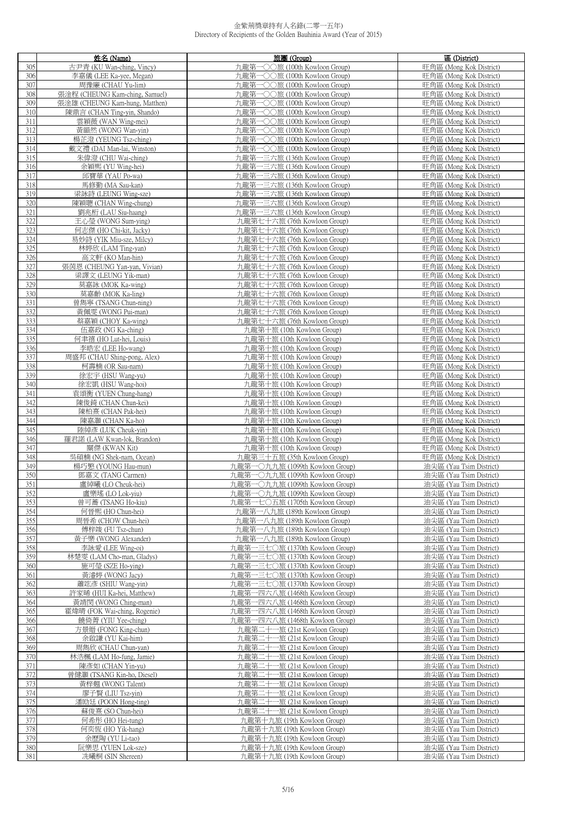|     | 姓名 (Name)                      | 旅團 (Group)                      | 區 (District)            |
|-----|--------------------------------|---------------------------------|-------------------------|
| 305 | 古尹青 (KU Wan-ching, Vincy)      | 九龍第一〇〇旅 (100th Kowloon Group)   | 旺角區 (Mong Kok District) |
| 306 | 李嘉儀 (LEE Ka-yee, Megan)        | 九龍第一〇〇旅 (100th Kowloon Group)   | 旺角區 (Mong Kok District) |
| 307 | 周豫廉 (CHAU Yu-lim)              | 九龍第一〇〇旅 (100th Kowloon Group)   | 旺角區 (Mong Kok District) |
|     |                                |                                 |                         |
| 308 | 張淦程 (CHEUNG Kam-ching, Samuel) | 九龍第一〇〇旅 (100th Kowloon Group)   | 旺角區 (Mong Kok District) |
| 309 | 張淦雄 (CHEUNG Kam-hung, Matthen) | 九龍第一〇〇旅 (100th Kowloon Group)   | 旺角區 (Mong Kok District) |
| 310 | 陳鼎言 (CHAN Ting-yin, Shando)    | 九龍第一○○旅 (100th Kowloon Group)   | 旺角區 (Mong Kok District) |
| 311 | 雲穎薇 (WAN Wing-mei)             | 九龍第一○○旅 (100th Kowloon Group)   | 旺角區 (Mong Kok District) |
| 312 | 黃韻然 (WONG Wan-yin)             | 九龍第一〇〇旅 (100th Kowloon Group)   | 旺角區 (Mong Kok District) |
| 313 | 楊芷澄 (YEUNG Tsz-ching)          | 九龍第一○○旅 (100th Kowloon Group)   | 旺角區 (Mong Kok District) |
| 314 | 戴文禮 (DAI Man-lai, Winston)     | 九龍第一○○旅 (100th Kowloon Group)   | 旺角區 (Mong Kok District) |
| 315 | 朱偉澄 (CHU Wai-ching)            | 九龍第一三六旅 (136th Kowloon Group)   | 旺角區 (Mong Kok District) |
| 316 | 余穎熙 (YU Wing-hei)              | 九龍第一三六旅 (136th Kowloon Group)   | 旺角區 (Mong Kok District) |
| 317 | 邱寶華 (YAU Po-wa)                | 九龍第一三六旅 (136th Kowloon Group)   | 旺角區 (Mong Kok District) |
| 318 | 馬修勤 (MA Sau-kan)               | 九龍第一三六旅 (136th Kowloon Group)   | 旺角區 (Mong Kok District) |
|     |                                |                                 |                         |
| 319 | 梁詠詩 (LEUNG Wing-sze)           | 九龍第一三六旅 (136th Kowloon Group)   | 旺角區 (Mong Kok District) |
| 320 | 陳穎聰 (CHAN Wing-chung)          | 九龍第一三六旅 (136th Kowloon Group)   | 旺角區 (Mong Kok District) |
| 321 | 劉兆桁 (LAU Siu-haang)            | 九龍第一三六旅 (136th Kowloon Group)   | 旺角區 (Mong Kok District) |
| 322 | 王心瑩 (WONG Sum-ying)            | 九龍第七十六旅 (76th Kowloon Group)    | 旺角區 (Mong Kok District) |
| 323 | 何志傑 (HO Chi-kit, Jacky)        | 九龍第七十六旅 (76th Kowloon Group)    | 旺角區 (Mong Kok District) |
| 324 | 易妙詩 (YIK Miu-sze, Milcy)       | 九龍第七十六旅 (76th Kowloon Group)    | 旺角區 (Mong Kok District) |
| 325 | 林婷欣 (LAM Ting-yan)             | 九龍第七十六旅 (76th Kowloon Group)    | 旺角區 (Mong Kok District) |
| 326 | 高文軒 (KO Man-hin)               | 九龍第七十六旅 (76th Kowloon Group)    | 旺角區 (Mong Kok District) |
| 327 | 張茵恩 (CHEUNG Yan-yan, Vivian)   | 九龍第七十六旅 (76th Kowloon Group)    | 旺角區 (Mong Kok District) |
| 328 | 梁譯文 (LEUNG Yik-man)            | 九龍第七十六旅 (76th Kowloon Group)    | 旺角區 (Mong Kok District) |
| 329 | 莫嘉詠 (MOK Ka-wing)              | 九龍第七十六旅 (76th Kowloon Group)    | 旺角區 (Mong Kok District) |
| 330 | 莫嘉齡 (MOK Ka-ling)              | 九龍第七十六旅 (76th Kowloon Group)    | 旺角區 (Mong Kok District) |
| 331 | 曾雋寧 (TSANG Chun-ning)          | 九龍第七十六旅 (76th Kowloon Group)    | 旺角區 (Mong Kok District) |
| 332 | 黃佩雯 (WONG Pui-man)             | 九龍第七十六旅 (76th Kowloon Group)    | 旺角區 (Mong Kok District) |
| 333 | 蔡嘉穎 (CHOY Ka-wing)             | 九龍第七十六旅 (76th Kowloon Group)    | 旺角區 (Mong Kok District) |
| 334 | 伍嘉政 (NG Ka-ching)              | 九龍第十旅 (10th Kowloon Group)      | 旺角區 (Mong Kok District) |
|     |                                |                                 |                         |
| 335 | 何聿禧 (HO Lut-hei, Louis)        | 九龍第十旅 (10th Kowloon Group)      | 旺角區 (Mong Kok District) |
| 336 | 李晧宏 (LEE Ho-wang)              | 九龍第十旅 (10th Kowloon Group)      | 旺角區 (Mong Kok District) |
| 337 | 周盛邦 (CHAU Shing-pong, Alex)    | 九龍第十旅 (10th Kowloon Group)      | 旺角區 (Mong Kok District) |
| 338 | 柯壽楠 (OR Sau-nam)               | 九龍第十旅 (10th Kowloon Group)      | 旺角區 (Mong Kok District) |
| 339 | 徐宏宇 (HSU Wang-yu)              | 九龍第十旅 (10th Kowloon Group)      | 旺角區 (Mong Kok District) |
| 340 | 徐宏凱 (HSU Wang-hoi)             | 九龍第十旅 (10th Kowloon Group)      | 旺角區 (Mong Kok District) |
| 341 | 袁頌衡 (YUEN Chung-hang)          | 九龍第十旅 (10th Kowloon Group)      | 旺角區 (Mong Kok District) |
| 342 | 陳俊錡 (CHAN Chun-kei)            | 九龍第十旅 (10th Kowloon Group)      | 旺角區 (Mong Kok District) |
| 343 | 陳柏熹 (CHAN Pak-hei)             | 九龍第十旅 (10th Kowloon Group)      | 旺角區 (Mong Kok District) |
| 344 | 陳嘉灝 (CHAN Ka-ho)               | 九龍第十旅 (10th Kowloon Group)      | 旺角區 (Mong Kok District) |
| 345 | 陸綽彥 (LUK Cheuk-yin)            | 九龍第十旅 (10th Kowloon Group)      | 旺角區 (Mong Kok District) |
| 346 | 羅君諾 (LAW Kwan-lok, Brandon)    | 九龍第十旅 (10th Kowloon Group)      | 旺角區 (Mong Kok District) |
| 347 | 關傑 (KWAN Kit)                  | 九龍第十旅 (10th Kowloon Group)      | 旺角區 (Mong Kok District) |
| 348 | 吳碩楠 (NG Shek-nam, Ocean)       | 九龍第三十五旅 (35th Kowloon Group)    | 旺角區 (Mong Kok District) |
| 349 | 楊巧慜 (YOUNG Hau-mun)            | 九龍第一〇九九旅 (1099th Kowloon Group) | 油尖區 (Yau Tsim District) |
| 350 | 鄧嘉文 (TANG Carmen)              | 九龍第一〇九九旅 (1099th Kowloon Group) | 油尖區 (Yau Tsim District) |
| 351 | 盧綽曦 (LO Cheuk-hei)             | 九龍第一〇九九旅 (1099th Kowloon Group) | 油尖區 (Yau Tsim District) |
| 352 | 盧樂瑤 (LO Lok-yiu)               | 九龍第一〇九九旅 (1099th Kowloon Group) | 油尖區 (Yau Tsim District) |
| 353 | 曾可蕎 (TSANG Ho-kiu)             | 九龍第一七〇五旅 (1705th Kowloon Group) |                         |
|     | 何晉熙 (HO Chun-hei)              | 九龍第一八九旅 (189th Kowloon Group)   | 油尖區 (Yau Tsim District) |
| 354 |                                |                                 | 油尖區 (Yau Tsim District) |
| 355 | 周晉希 (CHOW Chun-hei)            | 九龍第一八九旅 (189th Kowloon Group)   | 油尖區 (Yau Tsim District) |
| 356 | 傅梓竣 (FU Tsz-chun)              | 九龍第一八九旅 (189th Kowloon Group)   | 油尖區 (Yau Tsim District) |
| 357 | 黃子樂 (WONG Alexander)           | 九龍第一八九旅 (189th Kowloon Group)   | 油尖區 (Yau Tsim District) |
| 358 | 李詠愛 (LEE Wing-oi)              | 九龍第一三七〇旅 (1370th Kowloon Group) | 油尖區 (Yau Tsim District) |
| 359 | 林楚雯 (LAM Cho-man, Gladys)      | 九龍第一三七〇旅 (1370th Kowloon Group) | 油尖區 (Yau Tsim District) |
| 360 | 施可瑩 (SZE Ho-ving)              | 九龍第一三七〇旅 (1370th Kowloon Group) | 油尖區 (Yau Tsim District) |
| 361 | 黃濬婷 (WONG Jacy)                | 九龍第一三七〇旅 (1370th Kowloon Group) | 油尖區 (Yau Tsim District) |
| 362 | 蕭竑彥 (SHIU Wang-yin)            | 九龍第一三七〇旅 (1370th Kowloon Group) | 油尖區 (Yau Tsim District) |
| 363 | 許家晞 (HUI Ka-hei, Matthew)      | 九龍第一四六八旅 (1468th Kowloon Group) | 油尖區 (Yau Tsim District) |
| 364 | 黃靖閔 (WONG Ching-man)           | 九龍第一四六八旅 (1468th Kowloon Group) | 油尖區 (Yau Tsim District) |
| 365 | 霍煒晴 (FOK Wai-ching, Rogenie)   | 九龍第一四六八旅 (1468th Kowloon Group) | 油尖區 (Yau Tsim District) |
| 366 | 饒倚菁 (YIU Yee-ching)            | 九龍第一四六八旅 (1468th Kowloon Group) | 油尖區 (Yau Tsim District) |
| 367 | 方景縉 (FONG King-chun)           | 九龍第二十一旅 (21st Kowloon Group)    | 油尖區 (Yau Tsim District) |
| 368 | 余啟謙 (YU Kai-him)               | 九龍第二十一旅 (21st Kowloon Group)    | 油尖區 (Yau Tsim District) |
| 369 | 周雋欣 (CHAU Chun-yan)            | 九龍第二十一旅 (21st Kowloon Group)    | 油尖區 (Yau Tsim District) |
| 370 | 林浩楓 (LAM Ho-fung, Jamie)       | 九龍第二十一旅 (21st Kowloon Group)    | 油尖區 (Yau Tsim District) |
| 371 | 陳彥如 (CHAN Yin-yu)              | 九龍第二十一旅 (21st Kowloon Group)    | 油尖區 (Yau Tsim District) |
| 372 | 曾健灝 (TSANG Kin-ho, Diesel)     | 九龍第二十一旅 (21st Kowloon Group)    | 油尖區 (Yau Tsim District) |
| 373 | 黃梓翹 (WONG Talent)              | 九龍第二十一旅 (21st Kowloon Group)    | 油尖區 (Yau Tsim District) |
|     |                                |                                 |                         |
| 374 | 廖子賢 (LIU Tsz-yin)              | 九龍第二十一旅 (21st Kowloon Group)    | 油尖區 (Yau Tsim District) |
| 375 | 潘劻廷 (POON Hong-ting)           | 九龍第二十一旅 (21st Kowloon Group)    | 油尖區 (Yau Tsim District) |
| 376 | 蘇俊熹 (SO Chun-hei)              | 九龍第二十一旅 (21st Kowloon Group)    | 油尖區 (Yau Tsim District) |
| 377 | 何希彤 (HO Hei-tung)              | 九龍第十九旅 (19th Kowloon Group)     | 油尖區 (Yau Tsim District) |
| 378 | 何奕恆 (HO Yik-hang)              | 九龍第十九旅 (19th Kowloon Group)     | 油尖區 (Yau Tsim District) |
| 379 | 余歷陶 (YU Li-tao)                | 九龍第十九旅 (19th Kowloon Group)     | 油尖區 (Yau Tsim District) |
| 380 | 阮樂思 (YUEN Lok-sze)             | 九龍第十九旅 (19th Kowloon Group)     | 油尖區 (Yau Tsim District) |
| 381 | 冼曦桐 (SIN Shereen)              | 九龍第十九旅 (19th Kowloon Group)     | 油尖區 (Yau Tsim District) |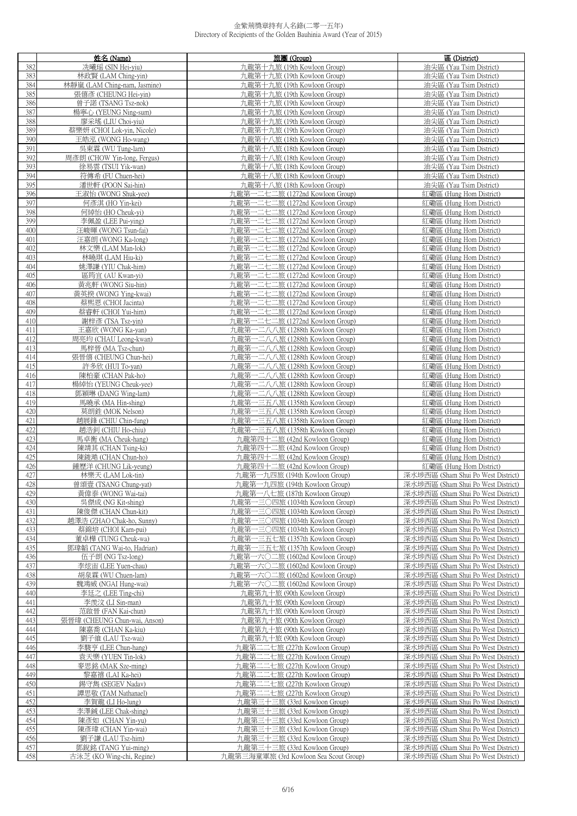|            | 姓名 (Name)                                          | 旅團 (Group)                                                         | 區 (District)                                                             |
|------------|----------------------------------------------------|--------------------------------------------------------------------|--------------------------------------------------------------------------|
| 382        | 冼曦瑶 (SIN Hei-yiu)                                  | 九龍第十九旅 (19th Kowloon Group)                                        | 油尖區 (Yau Tsim District)                                                  |
| 383        | 林政賢 (LAM Ching-yin)                                | 九龍第十九旅 (19th Kowloon Group)                                        | 油尖區 (Yau Tsim District)                                                  |
| 384        | 林靜嵐 (LAM Ching-nam, Jasmine)                       | 九龍第十九旅 (19th Kowloon Group)                                        | 油尖區 (Yau Tsim District)                                                  |
| 385        | 張僖彥 (CHEUNG Hei-yin)                               | 九龍第十九旅 (19th Kowloon Group)                                        | 油尖區 (Yau Tsim District)                                                  |
| 386        | 曾子諾 (TSANG Tsz-nok)                                | 九龍第十九旅 (19th Kowloon Group)                                        | 油尖區 (Yau Tsim District)                                                  |
| 387        | 楊寧心 (YEUNG Ning-sum)                               | 九龍第十九旅 (19th Kowloon Group)                                        | 油尖區 (Yau Tsim District)                                                  |
| 388        | 廖采瑤 (LIU Choi-yiu)                                 | 九龍第十九旅 (19th Kowloon Group)                                        | 油尖區 (Yau Tsim District)                                                  |
| 389        | 蔡樂妍 (CHOI Lok-yin, Nicole)                         | 九龍第十九旅 (19th Kowloon Group)                                        | 油尖區 (Yau Tsim District)                                                  |
| 390        | 王皓泓 (WONG Ho-wang)                                 | 九龍第十八旅 (18th Kowloon Group)                                        | 油尖區 (Yau Tsim District)                                                  |
| 391        | 吳東霖 (WU Tung-lam)                                  | 九龍第十八旅 (18th Kowloon Group)                                        | 油尖區 (Yau Tsim District)                                                  |
| 392        | 周彥朗 (CHOW Yin-long, Fergus)                        | 九龍第十八旅 (18th Kowloon Group)                                        | 油尖區 (Yau Tsim District)                                                  |
| 393        | 徐易雲 (TSUI Yik-wan)                                 | 九龍第十八旅 (18th Kowloon Group)                                        | 油尖區 (Yau Tsim District)                                                  |
| 394<br>395 | 符傳希 (FU Chuen-hei)<br>潘世軒 (POON Sai-hin)           | 九龍第十八旅 (18th Kowloon Group)<br>九龍第十八旅 (18th Kowloon Group)         | 油尖區 (Yau Tsim District)<br>油尖區 (Yau Tsim District)                       |
| 396        | 王淑怡 (WONG Shuk-yee)                                | 九龍第一二七二旅 (1272nd Kowloon Group)                                    | 紅磡區 (Hung Hom District)                                                  |
| 397        | 何彥淇 (HO Yin-kei)                                   | 九龍第一二七二旅 (1272nd Kowloon Group)                                    | 紅磡區 (Hung Hom District)                                                  |
| 398        | 何綽怡 (HO Cheuk-yi)                                  | 九龍第一二七二旅 (1272nd Kowloon Group)                                    | 紅磡區 (Hung Hom District)                                                  |
| 399        | 李佩盈 (LEE Pui-ying)                                 | 九龍第一二七二旅 (1272nd Kowloon Group)                                    | 紅磡區 (Hung Hom District)                                                  |
| 400        | 汪峻暉 (WONG Tsun-fai)                                | 九龍第一二七二旅 (1272nd Kowloon Group)                                    | 紅磡區 (Hung Hom District)                                                  |
| 401        | 汪嘉朗 (WONG Ka-long)                                 | 九龍第一二七二旅 (1272nd Kowloon Group)                                    | 紅磡區 (Hung Hom District)                                                  |
| 402        | 林文樂 (LAM Man-lok)                                  | 九龍第一二七二旅 (1272nd Kowloon Group)                                    | 紅磡區 (Hung Hom District)                                                  |
| 403        | 林曉琪 (LAM Hiu-ki)                                   | 九龍第一二七二旅 (1272nd Kowloon Group)                                    | 紅磡區 (Hung Hom District)                                                  |
| 404        | 姚澤謙 (YIU Chak-him)                                 | 九龍第一二七二旅 (1272nd Kowloon Group)                                    | 紅磡區 (Hung Hom District)                                                  |
| 405        | 區筠宜 (AU Kwan-yi)                                   | 九龍第一二七二旅 (1272nd Kowloon Group)                                    | 紅磡區 (Hung Hom District)                                                  |
| 406        | 黃兆軒 (WONG Siu-hin)                                 | 九龍第一二七二旅 (1272nd Kowloon Group)                                    | 紅磡區 (Hung Hom District)                                                  |
| 407        | 黃英揆 (WONG Ying-kwai)                               | 九龍第一二七二旅 (1272nd Kowloon Group)                                    | 紅磡區 (Hung Hom District)                                                  |
| 408<br>409 | 蔡熙恩 (CHOI Jacinta)                                 | 九龍第一二七二旅 (1272nd Kowloon Group)<br>九龍第一二七二旅 (1272nd Kowloon Group) | 紅磡區 (Hung Hom District)                                                  |
| 410        | 蔡睿軒 (CHOI Yui-him)<br>謝梓彥 (TSA Tsz-yin)            | 九龍第一二七二旅 (1272nd Kowloon Group)                                    | 紅磡區 (Hung Hom District)<br>紅磡區 (Hung Hom District)                       |
| 411        | 王嘉欣 (WONG Ka-yan)                                  | 九龍第一二八八旅 (1288th Kowloon Group)                                    | 紅磡區 (Hung Hom District)                                                  |
| 412        | 周亮均 (CHAU Leong-kwan)                              | 九龍第一二八八旅 (1288th Kowloon Group)                                    | 紅磡區 (Hung Hom District)                                                  |
| 413        | 馬梓晉 (MA Tsz-chun)                                  | 九龍第一二八八旅 (1288th Kowloon Group)                                    | 紅磡區 (Hung Hom District)                                                  |
| 414        | 張晉僖 (CHEUNG Chun-hei)                              | 九龍第一二八八旅 (1288th Kowloon Group)                                    | 紅磡區 (Hung Hom District)                                                  |
| 415        | 許多欣 (HUI To-yan)                                   | 九龍第一二八八旅 (1288th Kowloon Group)                                    | 紅磡區 (Hung Hom District)                                                  |
| 416        | 陳柏豪 (CHAN Pak-ho)                                  | 九龍第一二八八旅 (1288th Kowloon Group)                                    | 紅磡區 (Hung Hom District)                                                  |
| 417        | 楊綽怡 (YEUNG Cheuk-yee)                              | 九龍第一二八八旅 (1288th Kowloon Group)                                    | 紅磡區 (Hung Hom District)                                                  |
| 418        | 鄧穎琳 (DANG Wing-lam)                                | 九龍第一二八八旅 (1288th Kowloon Group)                                    | 紅磡區 (Hung Hom District)                                                  |
| 419        | 馬曉承 (MA Hin-shing)                                 | 九龍第一三五八旅 (1358th Kowloon Group)                                    | 紅磡區 (Hung Hom District)                                                  |
| 420<br>421 | 莫朗鉎 (MOK Nelson)                                   | 九龍第一三五八旅 (1358th Kowloon Group)                                    | 紅磡區 (Hung Hom District)                                                  |
| 422        | 趙展鋒 (CHIU Chin-fung)<br>趙浩釗 (CHIU Ho-chiu)         | 九龍第一三五八旅 (1358th Kowloon Group)<br>九龍第一三五八旅 (1358th Kowloon Group) | 紅磡區 (Hung Hom District)<br>紅磡區 (Hung Hom District)                       |
| 423        | 馬卓衡 (MA Cheuk-hang)                                | 九龍第四十二旅 (42nd Kowloon Group)                                       | 紅磡區 (Hung Hom District)                                                  |
| 424        | 陳靖其 (CHAN Tsing-ki)                                | 九龍第四十二旅 (42nd Kowloon Group)                                       | 紅磡區 (Hung Hom District)                                                  |
| 425        | 陳鋑澔 (CHAN Chun-ho)                                 | 九龍第四十二旅 (42nd Kowloon Group)                                       | 紅磡區 (Hung Hom District)                                                  |
| 426        | 鍾歷洋 (CHUNG Lik-yeung)                              | 九龍第四十二旅 (42nd Kowloon Group)                                       | 紅磡區 (Hung Hom District)                                                  |
| 427        | 林樂天 (LAM Lok-tin)                                  | 九龍第一九四旅 (194th Kowloon Group)                                      | 深水埗西區 (Sham Shui Po West District)                                       |
| 428        | 曾頌壹 (TSANG Chung-yat)                              | 九龍第一九四旅 (194th Kowloon Group)                                      | 深水埗西區 (Sham Shui Po West District)                                       |
| 429        | 黃偉泰 (WONG Wai-tai)                                 | 九龍第一八七旅 (187th Kowloon Group)                                      | 深水埗西區 (Sham Shui Po West District)                                       |
| 430        | 吳傑成 (NG Kit-shing)                                 | 九龍第一三〇四旅 (1034th Kowloon Group)                                    | 深水埗西區 (Sham Shui Po West District)                                       |
| 431<br>432 | 陳俊傑 (CHAN Chun-kit)                                | 九龍第一三〇四旅 (1034th Kowloon Group)                                    | 深水埗西區 (Sham Shui Po West District)                                       |
| 433        | 趙澤浩 (ZHAO Chak-ho, Sunny)<br>蔡錦培 (CHOI Kam-pui)    | 九龍第一三〇四旅 (1034th Kowloon Group)<br>九龍第一三〇四旅 (1034th Kowloon Group) | 深水埗西區 (Sham Shui Po West District)<br>深水埗西區 (Sham Shui Po West District) |
| 434        | 董卓樺 (TUNG Cheuk-wa)                                | 九龍第一三五七旅 (1357th Kowloon Group)                                    | 深水埗西區 (Sham Shui Po West District)                                       |
| 435        | 鄧瑋韜 (TANG Wai-to, Hadrian)                         | 九龍第一三五七旅 (1357th Kowloon Group)                                    | 深水埗西區 (Sham Shui Po West District)                                       |
| 436        | 伍子朗 (NG Tsz-long)                                  | 九龍第一六〇二旅 (1602nd Kowloon Group)                                    | 深水埗西區 (Sham Shui Po West District)                                       |
| 437        | 李炫宙 (LEE Yuen-chau)                                | 九龍第一六〇二旅 (1602nd Kowloon Group)                                    | 深水埗西區 (Sham Shui Po West District)                                       |
| 438        | 胡泉霖 (WU Chuen-lam)                                 | 九龍第一六〇二旅 (1602nd Kowloon Group)                                    | 深水埗西區 (Sham Shui Po West District)                                       |
| 439        | 魏鴻威 (NGAI Hung-wai)                                | 九龍第一六〇二旅 (1602nd Kowloon Group)                                    | 深水埗西區 (Sham Shui Po West District)                                       |
| 440        | 李廷之 (LEE Ting-chi)                                 | 九龍第九十旅 (90th Kowloon Group)                                        | 深水埗西區 (Sham Shui Po West District)                                       |
| 441        | 李羨汶 (LI Sin-man)                                   | 九龍第九十旅 (90th Kowloon Group)                                        | 深水埗西區 (Sham Shui Po West District)                                       |
| 442<br>443 | 范啟晉 (FAN Kai-chun)<br>張晉瑋 (CHEUNG Chun-wai, Anson) | 九龍第九十旅 (90th Kowloon Group)<br>九龍第九十旅 (90th Kowloon Group)         | 深水埗西區 (Sham Shui Po West District)<br>深水埗西區 (Sham Shui Po West District) |
| 444        | 陳嘉喬 (CHAN Ka-kiu)                                  | 九龍第九十旅 (90th Kowloon Group)                                        | 深水埗西區 (Sham Shui Po West District)                                       |
| 445        | 劉子維 (LAU Tsz-wai)                                  | 九龍第九十旅 (90th Kowloon Group)                                        | 深水埗西區 (Sham Shui Po West District)                                       |
| 446        | 李駿亨 (LEE Chun-hang)                                | 九龍第二二七旅 (227th Kowloon Group)                                      | 深水埗西區 (Sham Shui Po West District)                                       |
| 447        | 袁天樂 (YUEN Tin-lok)                                 | 九龍第二二七旅 (227th Kowloon Group)                                      | 深水埗西區 (Sham Shui Po West District)                                       |
| 448        | 麥思銘 (MAK Sze-ming)                                 | 九龍第二二七旅 (227th Kowloon Group)                                      | 深水埗西區 (Sham Shui Po West District)                                       |
| 449        | 黎嘉禧 (LAI Ka-hei)                                   | 九龍第二二七旅 (227th Kowloon Group)                                      | 深水埗西區 (Sham Shui Po West District)                                       |
| 450        | 錫守雋 (SEGEV Nadav)                                  | 九龍第二二七旅 (227th Kowloon Group)                                      | 深水埗西區 (Sham Shui Po West District)                                       |
| 451        | 譚思敬 (TAM Nathanael)                                | 九龍第二二七旅 (227th Kowloon Group)                                      | 深水埗西區 (Sham Shui Po West District)                                       |
| 452        | 李賀龍 (LI Ho-lung)                                   | 九龍第三十三旅 (33rd Kowloon Group)                                       | 深水埗西區 (Sham Shui Po West District)                                       |
| 453        | 李澤鋮 (LEE Chak-shing)                               | 九龍第三十三旅 (33rd Kowloon Group)                                       | 深水埗西區 (Sham Shui Po West District)                                       |
| 454<br>455 | 陳彥如 (CHAN Yin-yu)<br>陳彥瑋 (CHAN Yin-wai)            | 九龍第三十三旅 (33rd Kowloon Group)<br>九龍第三十三旅 (33rd Kowloon Group)       | 深水埗西區 (Sham Shui Po West District)<br>深水埗西區 (Sham Shui Po West District) |
| 456        | 劉子謙 (LAU Tsz-him)                                  | 九龍第三十三旅 (33rd Kowloon Group)                                       | 深水埗西區 (Sham Shui Po West District)                                       |
| 457        | 鄧銳銘 (TANG Yui-ming)                                | 九龍第三十三旅 (33rd Kowloon Group)                                       | 深水埗西區 (Sham Shui Po West District)                                       |
| 458        | 古泳芝 (KO Wing-chi, Regine)                          | 九龍第三海童軍旅 (3rd Kowloon Sea Scout Group)                             | 深水埗西區 (Sham Shui Po West District)                                       |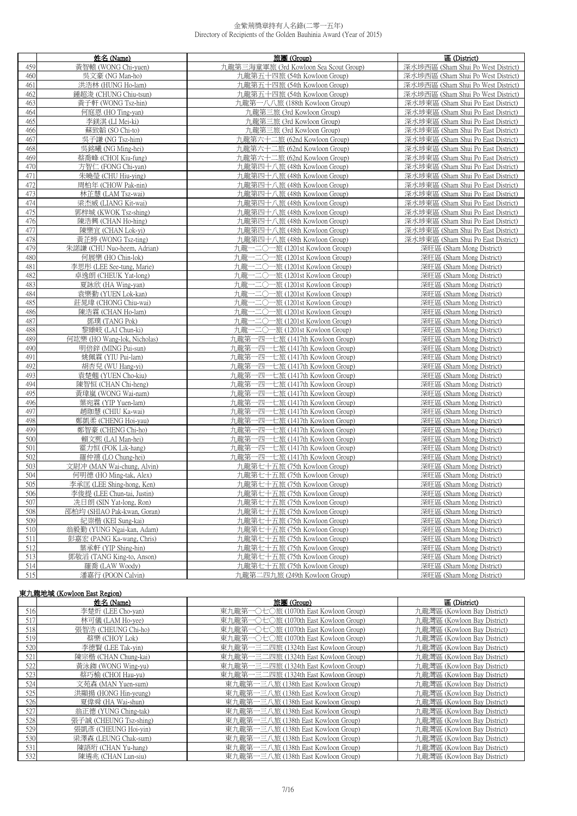|            | 姓名 (Name)                                  | 旅團 (Group)                                                         | 區 (District)                                         |
|------------|--------------------------------------------|--------------------------------------------------------------------|------------------------------------------------------|
| 459        | 黃智轅 (WONG Chi-yuen)                        | 九龍第三海童軍旅 (3rd Kowloon Sea Scout Group)                             | 深水埗西區 (Sham Shui Po West District)                   |
| 460        | 吳文豪 (NG Man-ho)                            | 九龍第五十四旅 (54th Kowloon Group)                                       | 深水埗西區 (Sham Shui Po West District)                   |
| 461        | 洪浩林 (HUNG Ho-lam)                          | 九龍第五十四旅 (54th Kowloon Group)                                       | 深水埗西區 (Sham Shui Po West District)                   |
| 462        | 鍾超浚 (CHUNG Chiu-tsun)                      | 九龍第五十四旅 (54th Kowloon Group)                                       | 深水埗西區 (Sham Shui Po West District)                   |
| 463        | 黃子軒 (WONG Tsz-hin)                         | 九龍第一八八旅 (188th Kowloon Group)                                      | 深水埗東區 (Sham Shui Po East District)                   |
| 464        | 何庭恩 (HO Ting-yan)                          | 九龍第三旅 (3rd Kowloon Group)                                          | 深水埗東區 (Sham Shui Po East District)                   |
| 465        | 李鎂淇 (LI Mei-ki)                            | 九龍第三旅 (3rd Kowloon Group)                                          | 深水埗東區 (Sham Shui Po East District)                   |
| 466        | 蘇致韜 (SO Chi-to)                            | 九龍第三旅 (3rd Kowloon Group)                                          | 深水埗東區 (Sham Shui Po East District)                   |
| 467        | 吳子謙 (NG Tsz-him)                           | 九龍第六十二旅 (62nd Kowloon Group)                                       | 深水埗東區 (Sham Shui Po East District)                   |
| 468        | 吳銘曦 (NG Ming-hei)                          | 九龍第六十二旅 (62nd Kowloon Group)                                       | 深水埗東區 (Sham Shui Po East District)                   |
| 469        | 蔡喬峰 (CHOI Kiu-fung)                        | 九龍第六十二旅 (62nd Kowloon Group)                                       | 深水埗東區 (Sham Shui Po East District)                   |
| 470        | 方智仁 (FONG Chi-yan)                         | 九龍第四十八旅 (48th Kowloon Group)                                       | 深水埗東區 (Sham Shui Po East District)                   |
| 471        | 朱曉瑩 (CHU Hiu-ying)                         | 九龍第四十八旅 (48th Kowloon Group)                                       | 深水埗東區 (Sham Shui Po East District)                   |
| 472        | 周柏年 (CHOW Pak-nin)                         | 九龍第四十八旅 (48th Kowloon Group)                                       | 深水埗東區 (Sham Shui Po East District)                   |
| 473        | 林芷慧 (LAM Tsz-wai)                          | 九龍第四十八旅 (48th Kowloon Group)                                       | 深水埗東區 (Sham Shui Po East District)                   |
| 474        | 梁杰威 (LIANG Kit-wai)                        | 九龍第四十八旅 (48th Kowloon Group)                                       | 深水埗東區 (Sham Shui Po East District)                   |
| 475        | 郭梓城 (KWOK Tsz-shing)                       | 九龍第四十八旅 (48th Kowloon Group)                                       | 深水埗東區 (Sham Shui Po East District)                   |
| 476        | 陳浩興 (CHAN Ho-hing)                         | 九龍第四十八旅 (48th Kowloon Group)                                       | 深水埗東區 (Sham Shui Po East District)                   |
| 477        | 陳樂宜 (CHAN Lok-yi)                          | 九龍第四十八旅 (48th Kowloon Group)                                       | 深水埗東區 (Sham Shui Po East District)                   |
| 478        | 黃芷婷 (WONG Tsz-ting)                        | 九龍第四十八旅 (48th Kowloon Group)                                       | 深水埗東區 (Sham Shui Po East District)                   |
| 479        | 朱諾謙 (CHU Nuo-heem, Adrian)                 | 九龍一二〇一旅 (1201st Kowloon Group)                                     | 深旺區 (Sham Mong District)                             |
| 480        | 何展樂 (HO Chin-lok)                          | 九龍一二〇一旅 (1201st Kowloon Group)                                     | 深旺區 (Sham Mong District)                             |
| 481        | 李思彤 (LEE See-tung, Marie)                  | 九龍一二〇一旅 (1201st Kowloon Group)                                     | 深旺區 (Sham Mong District)                             |
| 482        | 卓逸朗 (CHEUK Yat-long)                       | 一二〇一旅 (1201st Kowloon Group)<br>九龍-                                | 深旺區 (Sham Mong District)                             |
| 483        | 夏詠欣 (HA Wing-yan)                          | 九龍一二〇一旅 (1201st Kowloon Group)                                     | 深旺區 (Sham Mong District)                             |
| 484<br>485 | 袁樂勤 (YUEN Lok-kan)<br>莊晁瑋 (CHONG Chiu-wai) | 九龍一二〇一旅 (1201st Kowloon Group)<br>九龍一二〇一旅 (1201st Kowloon Group)   | 深旺區 (Sham Mong District)<br>深旺區 (Sham Mong District) |
| 486        | 陳浩霖 (CHAN Ho-lam)                          | 九龍一二〇一旅 (1201st Kowloon Group)                                     | 深旺區 (Sham Mong District)                             |
| 487        | 鄧璞 (TANG Pok)                              | 九龍一二〇一旅 (1201st Kowloon Group)                                     | 深旺區 (Sham Mong District)                             |
| 488        | 黎臻岐 (LAI Chun-ki)                          | 九龍一二〇一旅 (1201st Kowloon Group)                                     | 深旺區 (Sham Mong District)                             |
| 489        | 何竑樂 (HO Wang-lok, Nicholas)                | 九龍第一四一七旅 (1417th Kowloon Group)                                    | 深旺區 (Sham Mong District)                             |
| 490        | 明倍鋅 (MING Pui-sun)                         | 九龍第一四一七旅 (1417th Kowloon Group)                                    | 深旺區 (Sham Mong District)                             |
| 491        | 姚佩霖 (YIU Pui-lam)                          | 九龍第一四一七旅 (1417th Kowloon Group)                                    | 深旺區 (Sham Mong District)                             |
| 492        | 胡杏兒 (WU Hang-yi)                           | 九龍第一四一七旅 (1417th Kowloon Group)                                    | 深旺區 (Sham Mong District)                             |
| 493        | 袁楚翹 (YUEN Cho-kiu)                         | 九龍第一四一七旅 (1417th Kowloon Group)                                    | 深旺區 (Sham Mong District)                             |
| 494        | 陳智恒 (CHAN Chi-heng)                        | 九龍第一四一七旅 (1417th Kowloon Group)                                    | 深旺區 (Sham Mong District)                             |
| 495        | 黃瑋嵐 (WONG Wai-nam)                         | 九龍第一四一七旅 (1417th Kowloon Group)                                    | 深旺區 (Sham Mong District)                             |
| 496        | 葉宛霖 (YIP Yuen-lam)                         | 九龍第一四一七旅 (1417th Kowloon Group)                                    | 深旺區 (Sham Mong District)                             |
| 497        | 趙珈慧 (CHIU Ka-wai)                          | 九龍第一四一七旅 (1417th Kowloon Group)                                    | 深旺區 (Sham Mong District)                             |
| 498        | 鄭凱柔 (CHENG Hoi-yau)                        | 九龍第一四一七旅 (1417th Kowloon Group)                                    | 深旺區 (Sham Mong District)                             |
| 499        | 鄭智豪 (CHENG Chi-ho)                         | 九龍第一四一七旅 (1417th Kowloon Group)                                    | 深旺區 (Sham Mong District)                             |
| 500        | 賴文熙 (LAI Man-hei)                          | 九龍第一四一七旅 (1417th Kowloon Group)                                    | 深旺區 (Sham Mong District)                             |
| 501<br>502 | 霍力恒 (FOK Lik-hang)<br>羅仲禧 (LO Chung-hei)   | 九龍第一四一七旅 (1417th Kowloon Group)<br>九龍第一四一七旅 (1417th Kowloon Group) | 深旺區 (Sham Mong District)<br>深旺區 (Sham Mong District) |
| 503        | 文尉冲 (MAN Wai-chung, Alvin)                 | 九龍第七十五旅 (75th Kowloon Group)                                       | 深旺區 (Sham Mong District)                             |
| 504        | 何明德 (HO Ming-tak, Alex)                    | 九龍第七十五旅 (75th Kowloon Group)                                       | 深旺區 (Sham Mong District)                             |
| 505        | 李承匡 (LEE Shing-hong, Ken)                  | 九龍第七十五旅 (75th Kowloon Group)                                       | 深旺區 (Sham Mong District)                             |
| 506        | 李俊提 (LEE Chun-tai, Justin)                 | 九龍第七十五旅 (75th Kowloon Group)                                       | 深旺區 (Sham Mong District)                             |
| 507        | 冼日朗 (SIN Yat-long, Ron)                    | 九龍第七十五旅 (75th Kowloon Group)                                       | 深旺區 (Sham Mong District)                             |
| 508        | 邵柏均 (SHIAO Pak-kwan, Goran)                | 九龍第七十五旅 (75th Kowloon Group)                                       | 深旺區 (Sham Mong District)                             |
| 509        | 紀崇楷 (KEI Sung-kai)                         | 九龍第七十五旅 (75th Kowloon Group)                                       | 深旺區 (Sham Mong District)                             |
| 510        | 翁毅勤 (YUNG Ngai-kan, Adam)                  | 九龍第七十五旅 (75th Kowloon Group)                                       | 深旺區 (Sham Mong District)                             |
| 511        | 彭嘉宏 (PANG Ka-wang, Chris)                  | 九龍第七十五旅 (75th Kowloon Group)                                       | 深旺區 (Sham Mong District)                             |
| 512        | 葉承軒 (YIP Shing-hin)                        | 九龍第七十五旅 (75th Kowloon Group)                                       | 深旺區 (Sham Mong District)                             |
| 513        | 鄧敬滔 (TANG King-to, Anson)                  | 九龍第七十五旅 (75th Kowloon Group)                                       | 深旺區 (Sham Mong District)                             |
| 514        | 羅喬 (LAW Woody)                             | 九龍第七十五旅 (75th Kowloon Group)                                       | 深旺區 (Sham Mong District)                             |
| 515        | 潘嘉行 (POON Calvin)                          | 九龍第二四九旅 (249th Kowloon Group)                                      | 深旺區 (Sham Mong District)                             |

# 東九龍地域 (Kowloon East Region)

|     | 姓名 (Name)              | 旅團 (Group)                            | 區 (District)                |
|-----|------------------------|---------------------------------------|-----------------------------|
| 516 | 李楚炘 (LEE Cho-yan)      | 東九龍第一〇七〇旅 (1070th East Kowloon Group) | 九龍灣區 (Kowloon Bay District) |
| 517 | 林可儀 (LAM Ho-yee)       | 東九龍第一〇七〇旅 (1070th East Kowloon Group) | 九龍灣區 (Kowloon Bay District) |
| 518 | 張智浩 (CHEUNG Chi-ho)    | 東九龍第一〇七〇旅 (1070th East Kowloon Group) | 九龍灣區 (Kowloon Bay District) |
| 519 | 蔡樂 (CHOY Lok)          | 東九龍第一〇七〇旅 (1070th East Kowloon Group) | 九龍灣區 (Kowloon Bay District) |
| 520 | 李德賢 (LEE Tak-yin)      | 東九龍第一三二四旅 (1324th East Kowloon Group) | 九龍灣區 (Kowloon Bay District) |
| 521 | 陳宗楷 (CHAN Chung-kai)   | 東九龍第一三二四旅 (1324th East Kowloon Group) | 九龍灣區 (Kowloon Bay District) |
| 522 | 黃泳銣 (WONG Wing-yu)     | 東九龍第一三二四旅 (1324th East Kowloon Group) | 九龍灣區 (Kowloon Bay District) |
| 523 | 蔡巧榆 (CHOI Hau-yu)      | 東九龍第一三二四旅 (1324th East Kowloon Group) | 九龍灣區 (Kowloon Bay District) |
| 524 | 文苑森 (MAN Yuen-sum)     | 東九龍第一三八旅 (138th East Kowloon Group)   | 九龍灣區 (Kowloon Bay District) |
| 525 | 洪顯揚 (HONG Hin-yeung)   | 東九龍第一三八旅 (138th East Kowloon Group)   | 九龍灣區 (Kowloon Bay District) |
| 526 | 夏偉舜 (HA Wai-shun)      | 東九龍第一三八旅 (138th East Kowloon Group)   | 九龍灣區 (Kowloon Bay District) |
| 527 | 翁正德 (YUNG Ching-tak)   | 東九龍第一三八旅 (138th East Kowloon Group)   | 九龍灣區 (Kowloon Bay District) |
| 528 | 張子誠 (CHEUNG Tsz-shing) | 東九龍第一三八旅 (138th East Kowloon Group)   | 九龍灣區 (Kowloon Bay District) |
| 529 | 張凱彥 (CHEUNG Hoi-vin)   | 東九龍第一三八旅 (138th East Kowloon Group)   | 九龍灣區 (Kowloon Bay District) |
| 530 | 梁澤森 (LEUNG Chak-sum)   | 東九龍第一三八旅 (138th East Kowloon Group)   | 九龍灣區 (Kowloon Bay District) |
| 531 | 陳語珩 (CHAN Yu-hang)     | 東九龍第一三八旅 (138th East Kowloon Group)   | 九龍灣區 (Kowloon Bay District) |
| 532 | 陳遴兆 (CHAN Lun-siu)     | 東九龍第一三八旅 (138th East Kowloon Group)   | 九龍灣區 (Kowloon Bay District) |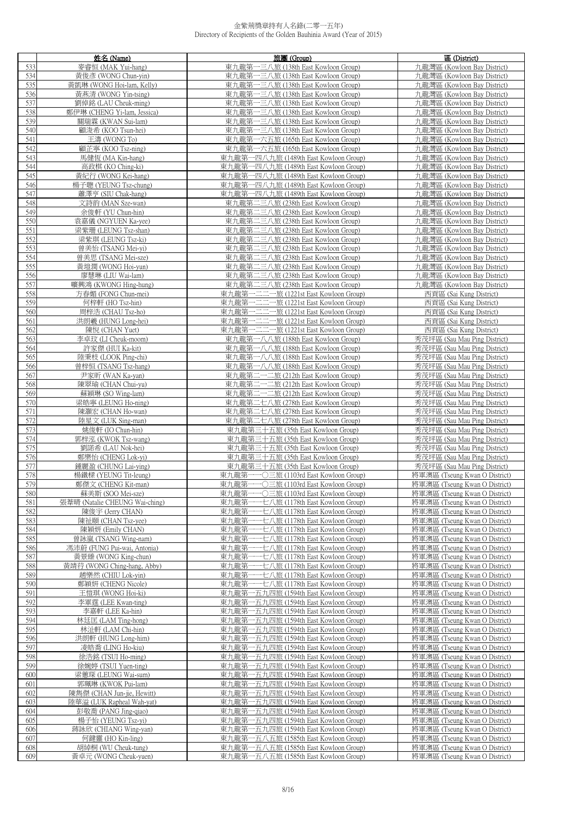|            | 姓名 (Name)                                    | 旅團 (Group)                                                                      | 區 (District)                                                   |
|------------|----------------------------------------------|---------------------------------------------------------------------------------|----------------------------------------------------------------|
| 533        | 麥睿恒 (MAK Yui-hang)                           | 東九龍第一三八旅 (138th East Kowloon Group)                                             | 九龍灣區 (Kowloon Bay District)                                    |
| 534        | 黃俊彥 (WONG Chun-yin)                          | 東九龍第一三八旅 (138th East Kowloon Group)                                             | 九龍灣區 (Kowloon Bay District)                                    |
| 535        | 黃凱琳 (WONG Hoi-lam, Kelly)                    | 東九龍第一三八旅 (138th East Kowloon Group)                                             | 九龍灣區 (Kowloon Bay District)                                    |
| 536        | 黃燕清 (WONG Yin-tsing)                         | 東九龍第一三八旅 (138th East Kowloon Group)                                             | 九龍灣區 (Kowloon Bay District)                                    |
| 537        | 劉倬銘 (LAU Cheuk-ming)                         | 東九龍第一三八旅 (138th East Kowloon Group)                                             | 九龍灣區 (Kowloon Bay District)                                    |
| 538        | 鄭伊琳 (CHENG Yi-lam, Jessica)                  | 東九龍第一三八旅 (138th East Kowloon Group)                                             | 九龍灣區 (Kowloon Bay District)                                    |
| 539        | 關瑞霖 (KWAN Sui-lam)                           | 東九龍第一三八旅 (138th East Kowloon Group)                                             | 九龍灣區 (Kowloon Bay District)                                    |
| 540        | 顧浚希 (KOO Tsun-hei)                           | 東九龍第一三八旅 (138th East Kowloon Group)                                             | 九龍灣區 (Kowloon Bay District)                                    |
| 541        | 王濤 (WONG To)                                 | 東九龍第一六五旅 (165th East Kowloon Group)                                             | 九龍灣區 (Kowloon Bay District)                                    |
| 542        | 顧芷寧 (KOO Tsz-ning)                           | 東九龍第一六五旅 (165th East Kowloon Group)                                             | 九龍灣區 (Kowloon Bay District)                                    |
| 543        | 馬健恆 (MA Kin-hang)                            | 東九龍第一四八九旅 (1489th East Kowloon Group)                                           | 九龍灣區 (Kowloon Bay District)                                    |
| 544        | 高政棋 (KO Ching-ki)                            | 東九龍第一四八九旅 (1489th East Kowloon Group)                                           | 九龍灣區 (Kowloon Bay District)                                    |
| 545        | 黃紀行 (WONG Kei-hang)                          | 東九龍第一四八九旅 (1489th East Kowloon Group)<br>東九龍第一四八九旅 (1489th East Kowloon Group)  | 九龍灣區 (Kowloon Bay District)                                    |
| 546<br>547 | 楊子聰 (YEUNG Tsz-chung)<br>蕭澤亨 (SIU Chak-hang) | 東九龍第一四八九旅 (1489th East Kowloon Group)                                           | 九龍灣區 (Kowloon Bay District)<br>九龍灣區 (Kowloon Bay District)     |
| 548        | 文詩韵 (MAN Sze-wan)                            | 東九龍第二三八旅 (238th East Kowloon Group)                                             | 九龍灣區 (Kowloon Bay District)                                    |
| 549        | 余俊軒 (YU Chun-hin)                            | 東九龍第二三八旅 (238th East Kowloon Group)                                             | 九龍灣區 (Kowloon Bay District)                                    |
| 550        | 袁嘉儀 (NGYUEN Ka-yee)                          | 東九龍第二三八旅 (238th East Kowloon Group)                                             | 九龍灣區 (Kowloon Bay District)                                    |
| 551        | 梁紫珊 (LEUNG Tsz-shan)                         | 東九龍第二三八旅 (238th East Kowloon Group)                                             | 九龍灣區 (Kowloon Bay District)                                    |
| 552        | 梁紫琪 (LEUNG Tsz-ki)                           | 東九龍第二三八旅 (238th East Kowloon Group)                                             | 九龍灣區 (Kowloon Bay District)                                    |
| 553        | 曾美怡 (TSANG Mei-yi)                           | 東九龍第二三八旅 (238th East Kowloon Group)                                             | 九龍灣區 (Kowloon Bay District)                                    |
| 554        | 曾美思 (TSANG Mei-sze)                          | 東九龍第二三八旅 (238th East Kowloon Group)                                             | 九龍灣區 (Kowloon Bay District)                                    |
| 555        | 黃塏潤 (WONG Hoi-yun)                           | 東九龍第二三八旅 (238th East Kowloon Group)                                             | 九龍灣區 (Kowloon Bay District)                                    |
| 556        | 廖慧琳 (LIU Wai-lam)                            | 東九龍第二三八旅 (238th East Kowloon Group)                                             | 九龍灣區 (Kowloon Bay District)                                    |
| 557        | 曠興鴻 (KWONG Hing-hung)                        | 東九龍第二三八旅 (238th East Kowloon Group)                                             | 九龍灣區 (Kowloon Bay District)                                    |
| 558        | 方春媚 (FONG Chun-mei)                          | 東九龍第一二二一旅 (1221st East Kowloon Group)                                           | 西貢區 (Sai Kung District)                                        |
| 559        | 何梓軒 (HO Tsz-hin)                             | 東九龍第一二二一旅 (1221st East Kowloon Group)                                           | 西貢區 (Sai Kung District)                                        |
| 560        | 周梓浩 (CHAU Tsz-ho)                            | 東九龍第一二二一旅 (1221st East Kowloon Group)                                           | 西貢區 (Sai Kung District)                                        |
| 561        | 洪朗羲 (HUNG Long-hei)                          | 東九龍第一二二一旅 (1221st East Kowloon Group)                                           | 西貢區 (Sai Kung District)                                        |
| 562        | 陳悅 (CHAN Yuet)                               | 東九龍第一二二一旅 (1221st East Kowloon Group)                                           | 西貢區 (Sai Kung District)                                        |
| 563        | 李卓玟 (LI Cheuk-moom)                          | 東九龍第一八八旅 (188th East Kowloon Group)                                             | 秀茂坪區 (Sau Mau Ping District)                                   |
| 564<br>565 | 許家傑 (HUI Ka-kit)                             | 東九龍第一八八旅 (188th East Kowloon Group)                                             | 秀茂坪區 (Sau Mau Ping District)                                   |
| 566        | 陸秉枝 (LOOK Ping-chi)<br>曾梓恒 (TSANG Tsz-hang)  | 東九龍第一八八旅 (188th East Kowloon Group)<br>東九龍第一八八旅 (188th East Kowloon Group)      | 秀茂坪區 (Sau Mau Ping District)<br>秀茂坪區 (Sau Mau Ping District)   |
| 567        | 尹家昕 (WAN Ka-yan)                             | 東九龍第二一二旅 (212th East Kowloon Group)                                             | 秀茂坪區 (Sau Mau Ping District)                                   |
| 568        | 陳翠瑜 (CHAN Chui-yu)                           | 東九龍第二一二旅 (212th East Kowloon Group)                                             | 秀茂坪區 (Sau Mau Ping District)                                   |
| 569        | 蘇穎琳 (SO Wing-lam)                            | 東九龍第二一二旅 (212th East Kowloon Group)                                             | 秀茂坪區 (Sau Mau Ping District)                                   |
| 570        | 梁皓寧 (LEUNG Ho-ning)                          | 東九龍第二七八旅 (278th East Kowloon Group)                                             | 秀茂坪區 (Sau Mau Ping District)                                   |
| 571        | 陳灝宏 (CHAN Ho-wan)                            | 東九龍第二七八旅 (278th East Kowloon Group)                                             | 秀茂坪區 (Sau Mau Ping District)                                   |
| 572        | 陸星文 (LUK Sing-man)                           | 東九龍第二七八旅 (278th East Kowloon Group)                                             | 秀茂坪區 (Sau Mau Ping District)                                   |
| 573        | 姚俊軒 (IO Chun-hin)                            | 東九龍第三十五旅 (35th East Kowloon Group)                                              | 秀茂坪區 (Sau Mau Ping District)                                   |
| 574        | 郭梓泓 (KWOK Tsz-wang)                          | 東九龍第三十五旅 (35th East Kowloon Group)                                              | 秀茂坪區 (Sau Mau Ping District)                                   |
| 575        | 劉諾希 (LAU Nok-hei)                            | 東九龍第三十五旅 (35th East Kowloon Group)                                              | 秀茂坪區 (Sau Mau Ping District)                                   |
| 576        | 鄭樂怡 (CHENG Lok-yi)                           | 東九龍第三十五旅 (35th East Kowloon Group)                                              | 秀茂坪區 (Sau Mau Ping District)                                   |
| 577<br>578 | 鍾麗盈 (CHUNG Lai-ying)                         | 東九龍第三十五旅 (35th East Kowloon Group)<br>東九龍第一一〇三旅 (1103rd East Kowloon Group)     | 秀茂坪區 (Sau Mau Ping District)                                   |
| 579        | 楊鐵樑 (YEUNG Tit-leung)<br>鄭傑文 (CHENG Kit-man) | 東九龍第一一○三旅 (1103rd East Kowloon Group)                                           | 將軍澳區 (Tseung Kwan O District)<br>將軍澳區 (Tseung Kwan O District) |
| 580        | 蘇美斯 (SOO Mei-sze)                            | -〇三旅 (1103rd East Kowloon Group)<br>東九龍第                                        | 將軍澳區 (Tseung Kwan O District)                                  |
| 581        | 張葦晴 (Natalie CHEUNG Wai-ching)               | 東九龍第<br>七八旅 (1178th East Kowloon Group)                                         | 將軍澳區 (Tseung Kwan O District)                                  |
| 582        | 陳俊宇 (Jerry CHAN)                             | 東九龍第<br>-七八旅 (1178th East Kowloon Group)                                        | 將軍澳區 (Tseung Kwan O District)                                  |
| 583        | 陳祉頤 (CHAN Tsz-yee)                           | 東九龍第<br>-七八旅 (1178th East Kowloon Group)                                        | 將軍澳區 (Tseung Kwan O District)                                  |
| 584        | 陳穎妍 (Emily CHAN)                             | 東九龍第<br>-七八旅 (1178th East Kowloon Group)                                        | 將軍澳區 (Tseung Kwan O District)                                  |
| 585        | 曾詠嵐 (TSANG Wing-nam)                         | 東九龍第<br>-七八旅 (1178th East Kowloon Group)                                        | 將軍澳區 (Tseung Kwan O District)                                  |
| 586        | 馮沛蔚 (FUNG Pui-wai, Antonia)                  | 七八旅 (1178th East Kowloon Group)<br>東九龍第                                         | 將軍澳區 (Tseung Kwan O District)                                  |
| 587        | 黃景臻 (WONG King-chun)                         | 東九龍第<br>-七八旅 (1178th East Kowloon Group)                                        | 將軍澳區 (Tseung Kwan O District)                                  |
| 588        | 黃靖荇 (WONG Ching-hang, Abby)                  | ·七八旅 (1178th East Kowloon Group)<br>東九龍第                                        | 將軍澳區 (Tseung Kwan O District)                                  |
| 589        | 趙樂然 (CHIU Lok-yin)                           | 東九龍第<br>·七八旅 (1178th East Kowloon Group)                                        | 將軍澳區 (Tseung Kwan O District)                                  |
| 590        | 鄭穎妍 (CHENG Nicole)                           | 東九龍第<br>-一七八旅 (1178th East Kowloon Group)<br>東九龍第一                              | 將軍澳區 (Tseung Kwan O District)                                  |
| 591<br>592 | 王愷琪 (WONG Hoi-ki)<br>李軍霆 (LEE Kwan-ting)     | -五九四旅 (1594th East Kowloon Group)<br>東九龍第一<br>-五九四旅 (1594th East Kowloon Group) | 將軍澳區 (Tseung Kwan O District)<br>將軍澳區 (Tseung Kwan O District) |
| 593        | 李嘉軒 (LEE Ka-hin)                             | 東九龍第一五九四旅 (1594th East Kowloon Group)                                           | 將軍澳區 (Tseung Kwan O District)                                  |
| 594        | 林廷匡 (LAM Ting-hong)                          | -五九四旅 (1594th East Kowloon Group)<br>東九龍第                                       | 將軍澳區 (Tseung Kwan O District)                                  |
| 595        | 林沚軒 (LAM Chi-hin)                            | 東九龍第一五九四旅 (1594th East Kowloon Group)                                           | 將軍澳區 (Tseung Kwan O District)                                  |
| 596        | 洪朗軒 (HUNG Long-him)                          | 東九龍第一<br>-五九四旅 (1594th East Kowloon Group)                                      | 將軍澳區 (Tseung Kwan O District)                                  |
| 597        | 凌皓喬 (LING Ho-kiu)                            | 東九龍第一五九四旅 (1594th East Kowloon Group)                                           | 將軍澳區 (Tseung Kwan O District)                                  |
| 598        | 徐浩銘 (TSUI Ho-ming)                           | 東九龍第一五九四旅 (1594th East Kowloon Group)                                           | 將軍澳區 (Tseung Kwan O District)                                  |
| 599        | 徐婉婷 (TSUI Yuen-ting)                         | 東九龍第一五九四旅 (1594th East Kowloon Group)                                           | 將軍澳區 (Tseung Kwan O District)                                  |
| 600        | 梁蕙琛 (LEUNG Wai-sum)                          | -五九四旅 (1594th East Kowloon Group)<br>東九龍第                                       | 將軍澳區 (Tseung Kwan O District)                                  |
| 601        | 郭珮琳 (KWOK Pui-lam)                           | 東九龍第一五九四旅 (1594th East Kowloon Group)                                           | 將軍澳區 (Tseung Kwan O District)                                  |
| 602        | 陳雋傑 (CHAN Jun-jie, Hewitt)                   | -五九四旅 (1594th East Kowloon Group)<br>東九龍第一                                      | 將軍澳區 (Tseung Kwan O District)                                  |
| 603        | 陸華溢 (LUK Rapheal Wah-yat)                    | 東九龍第一五九四旅 (1594th East Kowloon Group)                                           | 將軍澳區 (Tseung Kwan O District)                                  |
| 604        | 彭敬喬 (PANG Jing-qiao)                         | 東九龍第<br>-五九四旅 (1594th East Kowloon Group)                                       | 將軍澳區 (Tseung Kwan O District)                                  |
| 605        | 楊子怡 (YEUNG Tsz-yi)                           | 東九龍第一五九四旅 (1594th East Kowloon Group)                                           | 將軍澳區 (Tseung Kwan O District)                                  |
| 606        | 蔣詠欣 (CHIANG Wing-yan)                        | 東九龍第一五九四旅 (1594th East Kowloon Group)                                           | 將軍澳區 (Tseung Kwan O District)                                  |
| 607<br>608 | 何鍵靈 (HO Kin-ling)<br>胡綽桐 (WU Cheuk-tung)     | 東九龍第一五八五旅 (1585th East Kowloon Group)<br>東九龍第一五八五旅 (1585th East Kowloon Group)  | 將軍澳區 (Tseung Kwan O District)<br>將軍澳區 (Tseung Kwan O District) |
| 609        | 黃卓元 (WONG Cheuk-yuen)                        | 東九龍第一五八五旅 (1585th East Kowloon Group)                                           | 將軍澳區 (Tseung Kwan O District)                                  |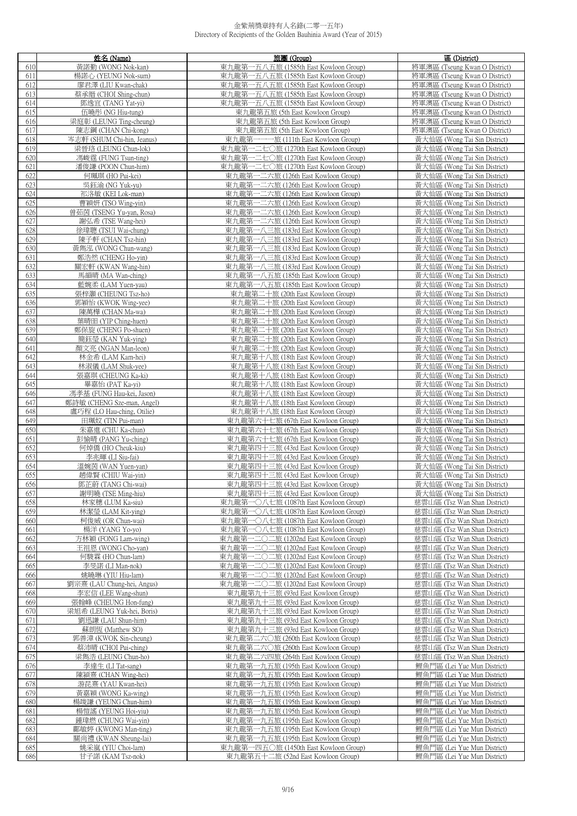|     | 姓名 (Name)                                  | 旅團 (Group)                            | 區 (District)                  |
|-----|--------------------------------------------|---------------------------------------|-------------------------------|
| 610 | 黃諾勤 (WONG Nok-kan)                         | 東九龍第一五八五旅 (1585th East Kowloon Group) | 將軍澳區 (Tseung Kwan O District) |
| 611 | 楊諾心 (YEUNG Nok-sum)                        | 東九龍第一五八五旅 (1585th East Kowloon Group) | 將軍澳區 (Tseung Kwan O District) |
| 612 | 廖君澤 (LIU Kwan-chak)                        | 東九龍第一五八五旅 (1585th East Kowloon Group) | 將軍澳區 (Tseung Kwan O District) |
| 613 |                                            | 東九龍第一五八五旅 (1585th East Kowloon Group) | 將軍澳區 (Tseung Kwan O District) |
|     | 蔡承縉 (CHOI Shing-chun)<br>鄧逸宜 (TANG Yat-yi) | 東九龍第一五八五旅 (1585th East Kowloon Group) | 將軍澳區 (Tseung Kwan O District) |
| 614 |                                            |                                       |                               |
| 615 | 伍曉彤 (NG Hiu-tung)                          | 東九龍第五旅 (5th East Kowloon Group)       | 將軍澳區 (Tseung Kwan O District) |
| 616 | 梁庭彰 (LEUNG Ting-cheung)                    | 東九龍第五旅 (5th East Kowloon Group)       | 將軍澳區 (Tseung Kwan O District) |
| 617 | 陳志鋼 (CHAN Chi-kong)                        | 東九龍第五旅 (5th East Kowloon Group)       | 將軍澳區 (Tseung Kwan O District) |
| 618 | 岑志軒 (SHUM Chi-hin, Jeanus)                 | 東九龍第一一一旅 (111th East Kowloon Group)   | 黃大仙區 (Wong Tai Sin District)  |
| 619 | 梁晉珞 (LEUNG Chun-lok)                       | 東九龍第一二七〇旅 (1270th East Kowloon Group) | 黃大仙區 (Wong Tai Sin District)  |
| 620 | 馮峻霆 (FUNG Tsun-ting)                       | 東九龍第一二七〇旅 (1270th East Kowloon Group) | 黃大仙區 (Wong Tai Sin District)  |
| 621 | 潘俊謙 (POON Chun-him)                        | 東九龍第一二七〇旅 (1270th East Kowloon Group) | 黃大仙區 (Wong Tai Sin District)  |
| 622 | 何珮琪 (HO Pui-kei)                           | 東九龍第一二六旅 (126th East Kowloon Group)   | 黃大仙區 (Wong Tai Sin District)  |
| 623 | 吳鈺渝 (NG Yuk-yu)                            | 東九龍第一二六旅 (126th East Kowloon Group)   | 黃大仙區 (Wong Tai Sin District)  |
| 624 | 祁洛敏 (KEI Lok-man)                          | 東九龍第一二六旅 (126th East Kowloon Group)   | 黃大仙區 (Wong Tai Sin District)  |
| 625 | 曹穎妍 (TSO Wing-yin)                         | 東九龍第一二六旅 (126th East Kowloon Group)   | 黃大仙區 (Wong Tai Sin District)  |
| 626 | 曾茹茵 (TSENG Yu-yan, Rosa)                   | 東九龍第一二六旅 (126th East Kowloon Group)   | 黃大仙區 (Wong Tai Sin District)  |
| 627 | 謝弘希 (TSE Wang-hei)                         | 東九龍第一二六旅 (126th East Kowloon Group)   | 黃大仙區 (Wong Tai Sin District)  |
| 628 | 徐瑋聰 (TSUI Wai-chung)                       | 東九龍第一八三旅 (183rd East Kowloon Group)   | 黃大仙區 (Wong Tai Sin District)  |
| 629 | 陳子軒 (CHAN Tsz-hin)                         | 東九龍第一八三旅 (183rd East Kowloon Group)   | 黃大仙區 (Wong Tai Sin District)  |
| 630 | 黃雋泓 (WONG Chun-wang)                       | 東九龍第一八三旅 (183rd East Kowloon Group)   | 黃大仙區 (Wong Tai Sin District)  |
| 631 | 鄭浩然 (CHENG Ho-yin)                         | 東九龍第一八三旅 (183rd East Kowloon Group)   | 黃大仙區 (Wong Tai Sin District)  |
| 632 | 關宏軒 (KWAN Wang-hin)                        | 東九龍第一八三旅 (183rd East Kowloon Group)   | 黃大仙區 (Wong Tai Sin District)  |
| 633 | 馬韻晴 (MA Wan-ching)                         | 東九龍第一八五旅 (185th East Kowloon Group)   | 黃大仙區 (Wong Tai Sin District)  |
| 634 | 藍婉柔 (LAM Yuen-yau)                         | 東九龍第一八五旅 (185th East Kowloon Group)   | 黃大仙區 (Wong Tai Sin District)  |
| 635 | 張梓灝 (CHEUNG Tsz-ho)                        | 東九龍第二十旅 (20th East Kowloon Group)     | 黃大仙區 (Wong Tai Sin District)  |
| 636 | 郭穎怡 (KWOK Wing-yee)                        | 東九龍第二十旅 (20th East Kowloon Group)     | 黃大仙區 (Wong Tai Sin District)  |
| 637 | 陳萬樺 (CHAN Ma-wa)                           | 東九龍第二十旅 (20th East Kowloon Group)     | 黃大仙區 (Wong Tai Sin District)  |
| 638 | 葉晴田 (YIP Ching-huen)                       | 東九龍第二十旅 (20th East Kowloon Group)     | 黃大仙區 (Wong Tai Sin District)  |
| 639 | 鄭保旋 (CHENG Po-shuen)                       | 東九龍第二十旅 (20th East Kowloon Group)     | 黃大仙區 (Wong Tai Sin District)  |
| 640 | 簡鈺瑩 (KAN Yuk-ying)                         | 東九龍第二十旅 (20th East Kowloon Group)     | 黃大仙區 (Wong Tai Sin District)  |
| 641 | 顏文亮 (NGAN Man-leon)                        | 東九龍第二十旅 (20th East Kowloon Group)     | 黃大仙區 (Wong Tai Sin District)  |
| 642 | 林金希 (LAM Kam-hei)                          | 東九龍第十八旅 (18th East Kowloon Group)     | 黃大仙區 (Wong Tai Sin District)  |
| 643 | 林淑儀 (LAM Shuk-yee)                         | 東九龍第十八旅 (18th East Kowloon Group)     | 黃大仙區 (Wong Tai Sin District)  |
| 644 | 張嘉琪 (CHEUNG Ka-ki)                         | 東九龍第十八旅 (18th East Kowloon Group)     | 黃大仙區 (Wong Tai Sin District)  |
| 645 | 畢嘉怡 (PAT Ka-yi)                            | 東九龍第十八旅 (18th East Kowloon Group)     | 黃大仙區 (Wong Tai Sin District)  |
| 646 | 馮孝基 (FUNG Hau-kei, Jason)                  | 東九龍第十八旅 (18th East Kowloon Group)     | 黃大仙區 (Wong Tai Sin District)  |
| 647 | 鄭詩敏 (CHENG Sze-man, Angel)                 | 東九龍第十八旅 (18th East Kowloon Group)     | 黃大仙區 (Wong Tai Sin District)  |
| 648 | 盧巧程 (LO Hau-ching, Otilie)                 | 東九龍第十八旅 (18th East Kowloon Group)     | 黃大仙區 (Wong Tai Sin District)  |
| 649 | 田珮妏 (TIN Pui-man)                          | 東九龍第六十七旅 (67th East Kowloon Group)    | 黃大仙區 (Wong Tai Sin District)  |
| 650 | 朱嘉進 (CHU Ka-chun)                          | 東九龍第六十七旅 (67th East Kowloon Group)    | 黃大仙區 (Wong Tai Sin District)  |
| 651 | 彭愉晴 (PANG Yu-ching)                        | 東九龍第六十七旅 (67th East Kowloon Group)    | 黃大仙區 (Wong Tai Sin District)  |
| 652 | 何焯僑 (HO Cheuk-kiu)                         | 東九龍第四十三旅 (43rd East Kowloon Group)    | 黃大仙區 (Wong Tai Sin District)  |
| 653 | 李兆暉 (LI Siu-fai)                           | 東九龍第四十三旅 (43rd East Kowloon Group)    | 黃大仙區 (Wong Tai Sin District)  |
| 654 | 溫婉茵 (WAN Yuen-yan)                         | 東九龍第四十三旅 (43rd East Kowloon Group)    | 黃大仙區 (Wong Tai Sin District)  |
| 655 | 趙偉賢 (CHIU Wai-yin)                         | 東九龍第四十三旅 (43rd East Kowloon Group)    | 黃大仙區 (Wong Tai Sin District)  |
| 656 | 鄧芷蔚 (TANG Chi-wai)                         | 東九龍第四十三旅 (43rd East Kowloon Group)    | 黃大仙區 (Wong Tai Sin District)  |
| 657 | 謝明曉 (TSE Ming-hiu)                         | 東九龍第四十三旅 (43rd East Kowloon Group)    | 黃大仙區 (Wong Tai Sin District)  |
| 658 | 林家穗 (LUM Ka-siu)                           | 東九龍第一〇八七旅 (1087th East Kowloon Group) | 慈雲山區 (Tsz Wan Shan District)  |
| 659 | 林潔瑩 (LAM Kit-ying)                         | 東九龍第一〇八七旅 (1087th East Kowloon Group) | 慈雲山區 (Tsz Wan Shan District)  |
| 660 | 柯俊威 (OR Chun-wai)                          | 東九龍第一〇八七旅 (1087th East Kowloon Group) | 慈雲山區 (Tsz Wan Shan District)  |
| 661 | 楊洋 (YANG Yo-yo)                            | 東九龍第一〇八七旅 (1087th East Kowloon Group) | 慈雲山區 (Tsz Wan Shan District)  |
| 662 | 方林穎 (FONG Lam-wing)                        | 東九龍第一二〇二旅 (1202nd East Kowloon Group) | 慈雲山區 (Tsz Wan Shan District)  |
| 663 | 王祖恩 (WONG Cho-yan)                         | 東九龍第一二〇二旅 (1202nd East Kowloon Group) | 慈雲山區 (Tsz Wan Shan District)  |
| 664 | 何駿霖 (HO Chun-lam)                          | 東九龍第一二〇二旅 (1202nd East Kowloon Group) | 慈雲山區 (Tsz Wan Shan District)  |
| 665 | 李旻諾 (LI Man-nok)                           | 東九龍第一二〇二旅 (1202nd East Kowloon Group) | 慈雲山區 (Tsz Wan Shan District)  |
| 666 | 姚曉琳 (YIU Hiu-lam)                          | 東九龍第一二〇二旅 (1202nd East Kowloon Group) | 慈雲山區 (Tsz Wan Shan District)  |
| 667 | 劉宗熹 (LAU Chung-hei, Angus)                 | 東九龍第一二〇二旅 (1202nd East Kowloon Group) | 慈雲山區 (Tsz Wan Shan District)  |
| 668 | 李宏信 (LEE Wang-shun)                        | 東九龍第九十三旅 (93rd East Kowloon Group)    | 慈雲山區 (Tsz Wan Shan District)  |
| 669 | 張翰峰 (CHEUNG Hon-fung)                      | 東九龍第九十三旅 (93rd East Kowloon Group)    | 慈雲山區 (Tsz Wan Shan District)  |
| 670 | 梁旭希 (LEUNG Yuk-hei, Boris)                 | 東九龍第九十三旅 (93rd East Kowloon Group)    | 慈雲山區 (Tsz Wan Shan District)  |
| 671 | 劉迅謙 (LAU Shun-him)                         | 東九龍第九十三旅 (93rd East Kowloon Group)    | 慈雲山區 (Tsz Wan Shan District)  |
| 672 | 蘇朗恆 (Matthew SO)                           | 東九龍第九十三旅 (93rd East Kowloon Group)    | 慈雲山區 (Tsz Wan Shan District)  |
| 673 | 郭善漳 (KWOK Sin-cheung)                      | 東九龍第二六〇旅 (260th East Kowloon Group)   | 慈雲山區 (Tsz Wan Shan District)  |
| 674 | 蔡沛晴 (CHOI Pui-ching)                       | 東九龍第二六〇旅 (260th East Kowloon Group)   | 慈雲山區 (Tsz Wan Shan District)  |
| 675 | 梁雋浩 (LEUNG Chun-ho)                        | 東九龍第二六四旅 (264th East Kowloon Group)   | 慈雲山區 (Tsz Wan Shan District)  |
| 676 | 李達生 (LI Tat-sang)                          | 東九龍第一九五旅 (195th East Kowloon Group)   | 鯉魚門區 (Lei Yue Mun District)   |
| 677 | 陳穎熹 (CHAN Wing-hei)                        | 東九龍第一九五旅 (195th East Kowloon Group)   | 鯉魚門區 (Lei Yue Mun District)   |
| 678 | 游昆熹 (YAU Kwan-hei)                         | 東九龍第一九五旅 (195th East Kowloon Group)   | 鯉魚門區 (Lei Yue Mun District)   |
| 679 | 黃嘉穎 (WONG Ka-wing)                         | 東九龍第一九五旅 (195th East Kowloon Group)   | 鯉魚門區 (Lei Yue Mun District)   |
| 680 | 楊竣謙 (YEUNG Chun-him)                       | 東九龍第一九五旅 (195th East Kowloon Group)   | 鯉魚門區 (Lei Yue Mun District)   |
| 681 | 楊愷謠 (YEUNG Hoi-yiu)                        | 東九龍第一九五旅 (195th East Kowloon Group)   | 鯉魚門區 (Lei Yue Mun District)   |
| 682 | 鍾瑋燃 (CHUNG Wai-yin)                        | 東九龍第一九五旅 (195th East Kowloon Group)   | 鯉魚門區 (Lei Yue Mun District)   |
| 683 | 鄺敏婷 (KWONG Man-ting)                       | 東九龍第一九五旅 (195th East Kowloon Group)   | 鯉魚門區 (Lei Yue Mun District)   |
| 684 | 關尚禮 (KWAN Sheung-lai)                      | 東九龍第一九五旅 (195th East Kowloon Group)   | 鯉魚門區 (Lei Yue Mun District)   |
| 685 | 姚采嵐 (YIU Choi-lam)                         | 東九龍第一四五〇旅 (1450th East Kowloon Group) | 鯉魚門區 (Lei Yue Mun District)   |
| 686 | 甘子諾 (KAM Tsz-nok)                          | 東九龍第五十二旅 (52nd East Kowloon Group)    | 鯉魚門區 (Lei Yue Mun District)   |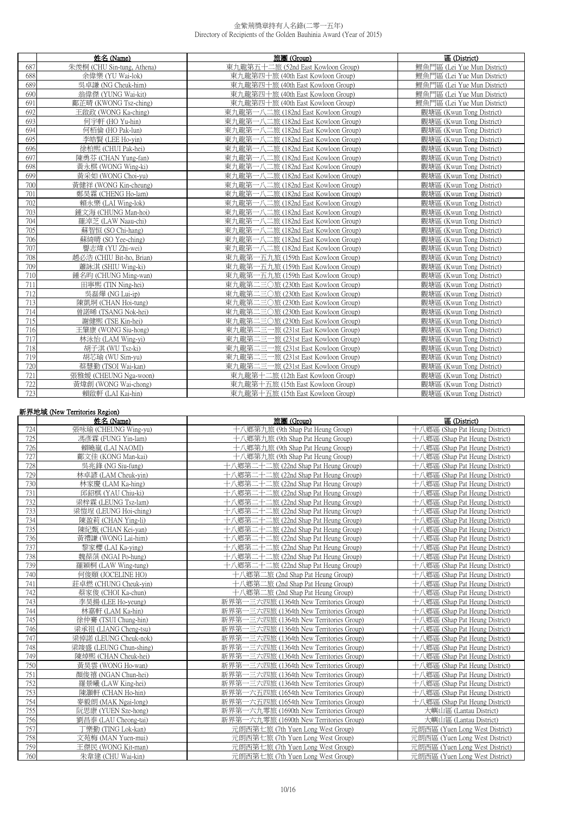|     | 姓名 (Name)                  | 旅團 (Group)                          | 區 (District)                |
|-----|----------------------------|-------------------------------------|-----------------------------|
| 687 | 朱羡桐 (CHU Sin-tung, Athena) | 東九龍第五十二旅 (52nd East Kowloon Group)  | 鯉魚門區 (Lei Yue Mun District) |
| 688 | 余偉樂 (YU Wai-lok)           | 東九龍第四十旅 (40th East Kowloon Group)   | 鯉魚門區 (Lei Yue Mun District) |
| 689 | 吳卓謙 (NG Cheuk-him)         | 東九龍第四十旅 (40th East Kowloon Group)   | 鯉魚門區 (Lei Yue Mun District) |
| 690 | 翁偉傑 (YUNG Wai-kit)         | 東九龍第四十旅 (40th East Kowloon Group)   | 鯉魚門區 (Lei Yue Mun District) |
| 691 | 鄺芷晴 (KWONG Tsz-ching)      | 東九龍第四十旅 (40th East Kowloon Group)   | 鯉魚門區 (Lei Yue Mun District) |
| 692 | 王啟政 (WONG Ka-ching)        | 東九龍第一八二旅 (182nd East Kowloon Group) | 觀塘區 (Kwun Tong District)    |
| 693 | 何字軒 (HO Yu-hin)            | 東九龍第一八二旅 (182nd East Kowloon Group) | 觀塘區 (Kwun Tong District)    |
| 694 | 何栢倫 (HO Pak-lun)           | 東九龍第一八二旅 (182nd East Kowloon Group) | 觀塘區 (Kwun Tong District)    |
| 695 | 李皓賢 (LEE Ho-vin)           | 東九龍第一八二旅 (182nd East Kowloon Group) | 觀塘區 (Kwun Tong District)    |
| 696 | 徐柏熙 (CHUI Pak-hei)         | 東九龍第一八二旅 (182nd East Kowloon Group) | 觀塘區 (Kwun Tong District)    |
| 697 | 陳勇芬 (CHAN Yung-fan)        | 東九龍第一八二旅 (182nd East Kowloon Group) | 觀塘區 (Kwun Tong District)    |
| 698 | 黃永棋 (WONG Wing-ki)         | 東九龍第一八二旅 (182nd East Kowloon Group) | 觀塘區 (Kwun Tong District)    |
| 699 | 黃采如 (WONG Choi-yu)         | 東九龍第一八二旅 (182nd East Kowloon Group) | 觀塘區 (Kwun Tong District)    |
| 700 | 黃健祥 (WONG Kin-cheung)      | 東九龍第一八二旅 (182nd East Kowloon Group) | 觀塘區 (Kwun Tong District)    |
| 701 | 鄭昊霖 (CHENG Ho-lam)         | 東九龍第一八二旅 (182nd East Kowloon Group) | 觀塘區 (Kwun Tong District)    |
| 702 | 賴永樂 (LAI Wing-lok)         | 東九龍第一八二旅 (182nd East Kowloon Group) | 觀塘區 (Kwun Tong District)    |
| 703 | 鍾文海 (CHUNG Man-hoi)        | 東九龍第一八二旅 (182nd East Kowloon Group) | 觀塘區 (Kwun Tong District)    |
| 704 | 羅淖芝 (LAW Naau-chi)         | 東九龍第一八二旅 (182nd East Kowloon Group) | 觀塘區 (Kwun Tong District)    |
| 705 | 蘇智恒 (SO Chi-hang)          | 東九龍第一八二旅 (182nd East Kowloon Group) | 觀塘區 (Kwun Tong District)    |
| 706 | 蘇綺晴 (SO Yee-ching)         | 東九龍第一八二旅 (182nd East Kowloon Group) | 觀塘區 (Kwun Tong District)    |
| 707 | 譽志煒 (YU Zhi-wei)           | 東九龍第一八二旅 (182nd East Kowloon Group) | 觀塘區 (Kwun Tong District)    |
| 708 | 趙必浩 (CHIU Bit-ho, Brian)   | 東九龍第一五九旅 (159th East Kowloon Group) | 觀塘區 (Kwun Tong District)    |
| 709 | 蕭詠淇 (SHIU Wing-ki)         | 東九龍第一五九旅 (159th East Kowloon Group) | 觀塘區 (Kwun Tong District)    |
| 710 | 鍾名昀 (CHUNG Ming-wan)       | 東九龍第一五九旅 (159th East Kowloon Group) | 觀塘區 (Kwun Tong District)    |
| 711 | 田寧熙 (TIN Ning-hei)         | 東九龍第二三〇旅 (230th East Kowloon Group) | 觀塘區 (Kwun Tong District)    |
| 712 | 吳磊燁 (NG Lui-ip)            | 東九龍第二三〇旅 (230th East Kowloon Group) | 觀塘區 (Kwun Tong District)    |
| 713 | 陳凱垌 (CHAN Hoi-tung)        | 東九龍第二三〇旅 (230th East Kowloon Group) | 觀塘區 (Kwun Tong District)    |
| 714 | 曾諾晞 (TSANG Nok-hei)        | 東九龍第二三〇旅 (230th East Kowloon Group) | 觀塘區 (Kwun Tong District)    |
| 715 | 謝健熙 (TSE Kin-hei)          | 東九龍第二三〇旅 (230th East Kowloon Group) | 觀塘區 (Kwun Tong District)    |
| 716 | 王肇康 (WONG Siu-hong)        | 東九龍第二三一旅 (231st East Kowloon Group) | 觀塘區 (Kwun Tong District)    |
| 717 | 林泳怡 (LAM Wing-yi)          | 東九龍第二三一旅 (231st East Kowloon Group) | 觀塘區 (Kwun Tong District)    |
| 718 | 胡子淇 (WU Tsz-ki)            | 東九龍第二三一旅 (231st East Kowloon Group) | 觀塘區 (Kwun Tong District)    |
| 719 | 胡芯瑜 (WU Sim-yu)            | 東九龍第二三一旅 (231st East Kowloon Group) | 觀塘區 (Kwun Tong District)    |
| 720 | 蔡慧勤 (TSOI Wai-kan)         | 東九龍第二三一旅 (231st East Kowloon Group) | 觀塘區 (Kwun Tong District)    |
| 721 | 張雅媛 (CHEUNG Nga-woon)      | 東九龍第十二旅 (12th East Kowloon Group)   | 觀塘區 (Kwun Tong District)    |
| 722 | 黃煒創 (WONG Wai-chong)       | 東九龍第十五旅 (15th East Kowloon Group)   | 觀塘區 (Kwun Tong District)    |
| 723 | 賴啟軒 (LAI Kai-hin)          | 東九龍第十五旅 (15th East Kowloon Group)   | 觀塘區 (Kwun Tong District)    |

|     | 新界地域 (New Territories Region) |                                             |                                |
|-----|-------------------------------|---------------------------------------------|--------------------------------|
|     | 姓名 (Name)                     | 旅團 (Group)                                  | 區 (District)                   |
| 724 | 張咏瑜 (CHEUNG Wing-yu)          | 十八鄉第九旅 (9th Shap Pat Heung Group)           | 十八鄉區 (Shap Pat Heung District) |
| 725 | 馮彥霖 (FUNG Yin-lam)            | 十八鄉第九旅 (9th Shap Pat Heung Group)           | 十八鄉區 (Shap Pat Heung District) |
| 726 | 賴曉嵐 (LAI NAOMI)               | 十八鄉第九旅 (9th Shap Pat Heung Group)           | 十八鄉區 (Shap Pat Heung District) |
| 727 | 鄺文佳 (KONG Man-kai)            | 十八鄉第九旅 (9th Shap Pat Heung Group)           | 十八鄉區 (Shap Pat Heung District) |
| 728 | 吳兆鋒 (NG Siu-fung)             | 十八鄉第二十二旅 (22nd Shap Pat Heung Group)        | 十八鄉區 (Shap Pat Heung District) |
| 729 | 林卓諺 (LAM Cheuk-yin)           | 十八鄉第二十二旅 (22nd Shap Pat Heung Group)        | 十八鄉區 (Shap Pat Heung District) |
| 730 | 林家慶 (LAM Ka-hing)             | 十八鄉第二十二旅 (22nd Shap Pat Heung Group)        | 十八鄉區 (Shap Pat Heung District) |
| 731 | 邱鉊棋 (YAU Chiu-ki)             | \鄉第二十二旅 (22nd Shap Pat Heung Group)         | 十八鄉區 (Shap Pat Heung District) |
| 732 | 梁梓霖 (LEUNG Tsz-lam)           | 十八鄉第二十二旅 (22nd Shap Pat Heung Group)        | 十八鄉區 (Shap Pat Heung District) |
| 733 | 梁愷埕 (LEUNG Hoi-ching)         | 十八鄉第二十二旅 (22nd Shap Pat Heung Group)        | 十八鄉區 (Shap Pat Heung District) |
| 734 | 陳盈莉 (CHAN Ying-li)            | 十八鄉第二十二旅 (22nd Shap Pat Heung Group)        | 十八鄉區 (Shap Pat Heung District) |
| 735 | 陳紀甄 (CHAN Kei-yan)            | 十八鄉第二十二旅 (22nd Shap Pat Heung Group)        | 十八鄉區 (Shap Pat Heung District) |
| 736 | 黃禮謙 (WONG Lai-him)            | 十八鄉第二十二旅 (22nd Shap Pat Heung Group)        | 十八鄉區 (Shap Pat Heung District) |
| 737 | 黎家櫻 (LAI Ka-ying)             | 十八鄉第二十二旅 (22nd Shap Pat Heung Group)        | 十八鄉區 (Shap Pat Heung District) |
| 738 | 魏葆葓 (NGAI Po-hung)            | 十八鄉第二十二旅 (22nd Shap Pat Heung Group)        | 十八鄉區 (Shap Pat Heung District) |
| 739 | 羅穎桐 (LAW Wing-tung)           | 十八鄉第二十二旅 (22nd Shap Pat Heung Group)        | 十八鄉區 (Shap Pat Heung District) |
| 740 | 何俊頤 (JOCELINE HO)             | 十八鄉第二旅 (2nd Shap Pat Heung Group)           | 十八鄉區 (Shap Pat Heung District) |
| 741 | 莊卓燃 (CHUNG Cheuk-vin)         | 十八鄉第二旅 (2nd Shap Pat Heung Group)           | 十八鄉區 (Shap Pat Heung District) |
| 742 | 蔡家俊 (CHOI Ka-chun)            | 十八鄉第二旅 (2nd Shap Pat Heung Group)           | 十八鄉區 (Shap Pat Heung District) |
| 743 | 李昊揚 (LEE Ho-yeung)            | 一三六四旅 (1364th New Territories Group)<br>新界第 | 十八鄉區 (Shap Pat Heung District) |
| 744 | 林嘉軒 (LAM Ka-hin)              | 新界第一三六四旅 (1364th New Territories Group)     | 十八鄉區 (Shap Pat Heung District) |
| 745 | 徐仲騫 (TSUI Chung-hin)          | 新界第一三六四旅 (1364th New Territories Group)     | 十八鄉區 (Shap Pat Heung District) |
| 746 | 梁承祖 (LIANG Cheng-tsu)         | 新界第一三六四旅 (1364th New Territories Group)     | 十八鄉區 (Shap Pat Heung District) |
| 747 | 梁倬諾 (LEUNG Cheuk-nok)         | 新界第一三六四旅 (1364th New Territories Group)     | 十八鄉區 (Shap Pat Heung District) |
| 748 | 梁竣盛 (LEUNG Chun-shing)        | 新界第一三六四旅 (1364th New Territories Group)     | 十八鄉區 (Shap Pat Heung District) |
| 749 | 陳焯熙 (CHAN Cheuk-hei)          | 新界第一三六四旅 (1364th New Territories Group)     | 十八鄉區 (Shap Pat Heung District) |
| 750 | 黃昊雲 (WONG Ho-wan)             | 新界第一三六四旅 (1364th New Territories Group)     | 十八鄉區 (Shap Pat Heung District) |
| 751 | 顏俊禧 (NGAN Chun-hei)           | 新界第一三六四旅 (1364th New Territories Group)     | 十八鄉區 (Shap Pat Heung District) |
| 752 | 羅景曦 (LAW King-hei)            | 新界第<br>一三六四旅 (1364th New Territories Group) | 十八鄉區 (Shap Pat Heung District) |
| 753 | 陳灝軒 (CHAN Ho-hin)             | 新界第<br>一六五四旅 (1654th New Territories Group) | 十八鄉區 (Shap Pat Heung District) |
| 754 | 麥毅朗 (MAK Ngai-long)           | 新界第<br>一六五四旅 (1654th New Territories Group) | 十八鄉區 (Shap Pat Heung District) |
| 755 | 阮思康 (YUEN Sze-hong)           | 新界第<br>一六九零旅 (1690th New Territories Group) | 大嶼山區 (Lantau District)         |
| 756 | 劉昌泰 (LAU Cheong-tai)          | 新界第<br>一六九零旅 (1690th New Territories Group) | 大嶼山區 (Lantau District)         |
| 757 | 「樂勤 (TING Lok-kan)            | 元朗西第七旅 (7th Yuen Long West Group)           | 元朗西區 (Yuen Long West District) |
| 758 | 文苑梅 (MAN Yuen-mui)            | 元朗西第七旅 (7th Yuen Long West Group)           | 元朗西區 (Yuen Long West District) |
| 759 | 王傑民 (WONG Kit-man)            | 元朗西第七旅 (7th Yuen Long West Group)           | 元朗西區 (Yuen Long West District) |
| 760 | 朱韋建 (CHU Wai-kin)             | 元朗西第七旅 (7th Yuen Long West Group)           | 元朗西區 (Yuen Long West District) |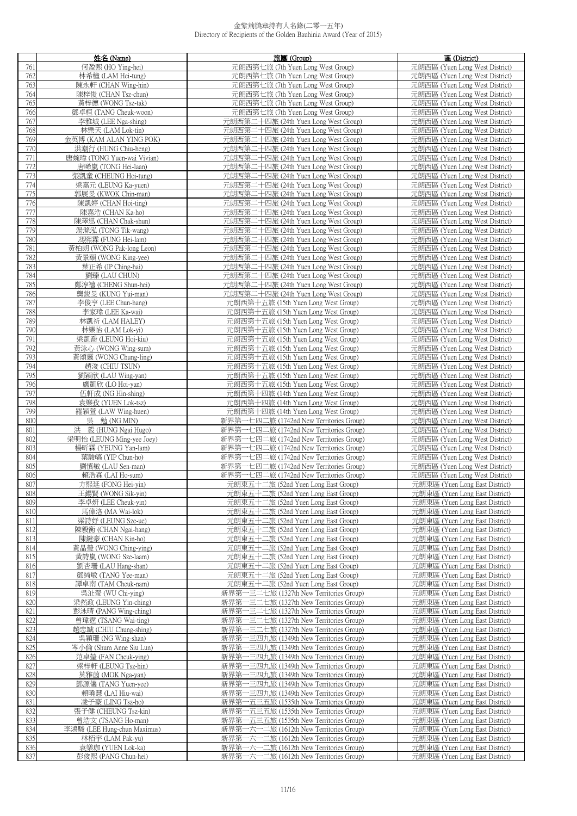|            | 姓名 (Name)                                    | 旅團 (Group)                                                                 | 區 (District)                                                     |
|------------|----------------------------------------------|----------------------------------------------------------------------------|------------------------------------------------------------------|
| 761        | 何盈熙 (HO Ying-hei)                            | 元朗西第七旅 (7th Yuen Long West Group)                                          | 元朗西區 (Yuen Long West District)                                   |
| 762        | 林希橦 (LAM Hei-tung)                           | 元朗西第七旅 (7th Yuen Long West Group)                                          | 元朗西區 (Yuen Long West District)                                   |
| 763        | 陳永軒 (CHAN Wing-hin)                          | 元朗西第七旅 (7th Yuen Long West Group)                                          | 元朗西區 (Yuen Long West District)                                   |
| 764        | 陳梓俊 (CHAN Tsz-chun)                          | 元朗西第七旅 (7th Yuen Long West Group)                                          | 元朗西區 (Yuen Long West District)                                   |
| 765        | 黃梓德 (WONG Tsz-tak)                           | 元朗西第七旅 (7th Yuen Long West Group)                                          | 元朗西區 (Yuen Long West District)                                   |
| 766        | 鄧卓桓 (TANG Cheuk-woon)                        | 元朗西第七旅 (7th Yuen Long West Group)                                          | 元朗西區 (Yuen Long West District)                                   |
| 767        |                                              | 元朗西第二十四旅 (24th Yuen Long West Group)                                       |                                                                  |
|            | 李雅城 (LEE Nga-shing)                          |                                                                            | 元朗西區 (Yuen Long West District)                                   |
| 768        | 林樂天 (LAM Lok-tin)                            | 元朗西第二十四旅 (24th Yuen Long West Group)                                       | 元朗西區 (Yuen Long West District)                                   |
| 769        | 金英博 (KAM ALAN YING POK)                      | 元朗西第二十四旅 (24th Yuen Long West Group)                                       | 元朗西區 (Yuen Long West District)                                   |
| 770        | 洪潮行 (HUNG Chiu-heng)                         | 元朗西第二十四旅 (24th Yuen Long West Group)                                       | 元朗西區 (Yuen Long West District)                                   |
| 771        | 唐婉瑋 (TONG Yuen-wai Vivian)                   | 元朗西第二十四旅 (24th Yuen Long West Group)                                       | 元朗西區 (Yuen Long West District)                                   |
| 772        | 唐晞嵐 (TONG Hei-laan)                          | 元朗西第二十四旅 (24th Yuen Long West Group)                                       | 元朗西區 (Yuen Long West District)                                   |
| 773        | 張凱童 (CHEUNG Hoi-tung)                        | 元朗西第二十四旅 (24th Yuen Long West Group)                                       | 元朗西區 (Yuen Long West District)                                   |
| 774        | 梁嘉元 (LEUNG Ka-yuen)                          | 元朗西第二十四旅 (24th Yuen Long West Group)                                       | 元朗西區 (Yuen Long West District)                                   |
| 775        | 郭展旻 (KWOK Chin-man)                          | 元朗西第二十四旅 (24th Yuen Long West Group)                                       | 元朗西區 (Yuen Long West District)                                   |
| 776        | 陳凱婷 (CHAN Hoi-ting)                          | 元朗西第二十四旅 (24th Yuen Long West Group)                                       | 元朗西區 (Yuen Long West District)                                   |
| 777        | 陳嘉浩 (CHAN Ka-ho)                             | 元朗西第二十四旅 (24th Yuen Long West Group)                                       | 元朗西區 (Yuen Long West District)                                   |
| 778        | 陳澤迅 (CHAN Chak-shun)                         | 元朗西第二十四旅 (24th Yuen Long West Group)                                       | 元朗西區 (Yuen Long West District)                                   |
| 779        | 湯滌泓 (TONG Tik-wang)                          | 元朗西第二十四旅 (24th Yuen Long West Group)                                       | 元朗西區 (Yuen Long West District)                                   |
| 780        | 馮熙霖 (FUNG Hei-lam)                           | 元朗西第二十四旅 (24th Yuen Long West Group)                                       | 元朗西區 (Yuen Long West District)                                   |
| 781        | 黃柏朗 (WONG Pak-long Leon)                     | 元朗西第二十四旅 (24th Yuen Long West Group)                                       | 元朗西區 (Yuen Long West District)                                   |
| 782        | 黃景頤 (WONG King-yee)                          | 元朗西第二十四旅 (24th Yuen Long West Group)                                       | 元朗西區 (Yuen Long West District)                                   |
| 783        | 葉正希 (IP Ching-hai)                           | 元朗西第二十四旅 (24th Yuen Long West Group)                                       | 元朗西區 (Yuen Long West District)                                   |
| 784        | 劉臻 (LAU CHUN)                                | 元朗西第二十四旅 (24th Yuen Long West Group)                                       | 元朗西區 (Yuen Long West District)                                   |
| 785        | 鄭淳禧 (CHENG Shun-hei)                         | 元朗西第二十四旅 (24th Yuen Long West Group)                                       | 元朗西區 (Yuen Long West District)                                   |
| 786        | 龔銳旻 (KUNG Yui-man)                           | 元朗西第二十四旅 (24th Yuen Long West Group)                                       | 元朗西區 (Yuen Long West District)                                   |
| 787        | 李俊亨 (LEE Chun-hang)                          | 元朗西第十五旅 (15th Yuen Long West Group)                                        | 元朗西區 (Yuen Long West District)                                   |
| 788        | 李家瑋 (LEE Ka-wai)                             | 元朗西第十五旅 (15th Yuen Long West Group)                                        | 元朗西區 (Yuen Long West District)                                   |
| 789        | 林凱祈 (LAM HALEY)                              | 元朗西第十五旅 (15th Yuen Long West Group)                                        | 元朗西區 (Yuen Long West District)                                   |
| 790        | 林樂怡 (LAM Lok-yi)                             | 元朗西第十五旅 (15th Yuen Long West Group)                                        | 元朗西區 (Yuen Long West District)                                   |
| 791        | 梁凱喬 (LEUNG Hoi-kiu)                          | 元朗西第十五旅 (15th Yuen Long West Group)                                        | 元朗西區 (Yuen Long West District)                                   |
| 792<br>793 | 黃泳心 (WONG Wing-sum)                          | 元朗西第十五旅 (15th Yuen Long West Group)                                        | 元朗西區 (Yuen Long West District)                                   |
| 794        | 黃頌靈 (WONG Chung-ling)<br>趙浚 (CHIU TSUN)      | 元朗西第十五旅 (15th Yuen Long West Group)<br>元朗西第十五旅 (15th Yuen Long West Group) | 元朗西區 (Yuen Long West District)<br>元朗西區 (Yuen Long West District) |
| 795        | 劉穎欣 (LAU Wing-yan)                           | 元朗西第十五旅 (15th Yuen Long West Group)                                        | 元朗西區 (Yuen Long West District)                                   |
| 796        | 盧凱欣 (LO Hoi-yan)                             | 元朗西第十五旅 (15th Yuen Long West Group)                                        | 元朗西區 (Yuen Long West District)                                   |
| 797        | 伍軒成 (NG Hin-shing)                           | 元朗西第十四旅 (14th Yuen Long West Group)                                        | 元朗西區 (Yuen Long West District)                                   |
| 798        | 袁樂孜 (YUEN Lok-tsz)                           | 元朗西第十四旅 (14th Yuen Long West Group)                                        | 元朗西區 (Yuen Long West District)                                   |
| 799        | 羅穎萱 (LAW Wing-huen)                          | 元朗西第十四旅 (14th Yuen Long West Group)                                        | 元朗西區 (Yuen Long West District)                                   |
| 800        | 吳 勉 (NG MIN)                                 | 新界第一七四二旅 (1742nd New Territories Group)                                    | 元朗西區 (Yuen Long West District)                                   |
| 801        | 洪 毅 (HUNG Ngai Hugo)                         | 新界第一七四二旅 (1742nd New Territories Group)                                    | 元朗西區 (Yuen Long West District)                                   |
| 802        | 梁明怡 (LEUNG Ming-yee Joey)                    | 新界第一七四二旅 (1742nd New Territories Group)                                    | 元朗西區 (Yuen Long West District)                                   |
| 803        | 楊昕霖 (YEUNG Yan-lam)                          | 新界第一七四二旅 (1742nd New Territories Group)                                    | 元朗西區 (Yuen Long West District)                                   |
| 804        | 葉駿皜 (YIP Chun-ho)                            | 新界第一七四二旅 (1742nd New Territories Group)                                    | 元朗西區 (Yuen Long West District)                                   |
| 805        | 劉慎敏 (LAU Sen-man)                            | 新界第一七四二旅 (1742nd New Territories Group)                                    | 元朗西區 (Yuen Long West District)                                   |
| 806        | 賴浩森 (LAI Ho-sum)                             | 新界第一七四二旅 (1742nd New Territories Group)                                    | 元朗西區 (Yuen Long West District)                                   |
| 807        | 方熙延 (FONG Hei-vin)                           | 元朗東五十二旅 (52nd Yuen Long East Group)                                        | 元朗東區 (Yuen Long East District)                                   |
| 808        | 王鍚賢 (WONG Sik-yin)                           | 元朗東五十二旅 (52nd Yuen Long East Group)                                        | 元朗東區 (Yuen Long East District)                                   |
| 809        | 李卓妍 (LEE Cheuk-yin)                          | 元朗東五十二旅 (52nd Yuen Long East Group)                                        | 元朗東區 (Yuen Long East District)                                   |
| 810        | 馬偉洛 (MA Wai-lok)                             | 元朗東五十二旅 (52nd Yuen Long East Group)                                        | 元朗東區 (Yuen Long East District)                                   |
| 811        | 梁詩妤 (LEUNG Sze-ue)                           | 元朗東五十二旅 (52nd Yuen Long East Group)                                        | 元朗東區 (Yuen Long East District)                                   |
| 812        | 陳毅衡 (CHAN Ngai-hang)                         | 元朗東五十二旅 (52nd Yuen Long East Group)                                        | 元朗東區 (Yuen Long East District)                                   |
| 813<br>814 | 陳鍵豪 (CHAN Kin-ho)                            | 元朗東五十二旅 (52nd Yuen Long East Group)<br>元朗東五十二旅 (52nd Yuen Long East Group) | 元朗東區 (Yuen Long East District)<br>元朗東區 (Yuen Long East District) |
| 815        | 黃晶瑩 (WONG Ching-ying)<br>黃詩嵐 (WONG Sze-laam) | 元朗東五十二旅 (52nd Yuen Long East Group)                                        | 元朗東區 (Yuen Long East District)                                   |
| 816        | 劉杏珊 (LAU Hang-shan)                          | 元朗東五十二旅 (52nd Yuen Long East Group)                                        | 元朗東區 (Yuen Long East District)                                   |
| 817        | 鄧綺敏 (TANG Yee-man)                           | 元朗東五十二旅 (52nd Yuen Long East Group)                                        | 元朗東區 (Yuen Long East District)                                   |
| 818        | 譚卓南 (TAM Cheuk-nam)                          | 元朗東五十二旅 (52nd Yuen Long East Group)                                        | 元朗東區 (Yuen Long East District)                                   |
| 819        | 吳沚螢 (WU Chi-ying)                            | 新界第一三二七旅 (1327th New Territories Group)                                    | 元朗東區 (Yuen Long East District)                                   |
| 820        | 梁然政 (LEUNG Yin-ching)                        | 新界第一三二七旅 (1327th New Territories Group)                                    | 元朗東區 (Yuen Long East District)                                   |
| 821        | 彭泳晴 (PANG Wing-ching)                        | 一三二七旅 (1327th New Territories Group)<br>新界第                                | 元朗東區 (Yuen Long East District)                                   |
| 822        | 曾瑋霆 (TSANG Wai-ting)                         | 新界第<br>一三二七旅 (1327th New Territories Group)                                | 元朗東區 (Yuen Long East District)                                   |
| 823        | 趙忠誠 (CHIU Chung-shing)                       | - 三二七旅 (1327th New Territories Group)<br>新界第                               | 元朗東區 (Yuen Long East District)                                   |
| 824        | 吳穎珊 (NG Wing-shan)                           | 新界第一三四九旅 (1349th New Territories Group)                                    | 元朗東區 (Yuen Long East District)                                   |
| 825        | 岑小倫 (Shum Anne Siu Lun)                      | 新界第一三四九旅 (1349th New Territories Group)                                    | 元朗東區 (Yuen Long East District)                                   |
| 826        | 范卓瑩 (FAN Cheuk-ying)                         | 新界第<br>一三四九旅 (1349th New Territories Group)                                | 元朗東區 (Yuen Long East District)                                   |
| 827        | 梁梓軒 (LEUNG Tsz-hin)                          | 新界第一三四九旅 (1349th New Territories Group)                                    | 元朗東區 (Yuen Long East District)                                   |
| 828        | 莫雅茵 (MOK Nga-yan)                            | 一三四九旅 (1349th New Territories Group)<br>新界第                                | 元朗東區 (Yuen Long East District)                                   |
| 829        | 鄧源儀 (TANG Yuen-yee)                          | 新界第一三四九旅 (1349th New Territories Group)                                    | 元朗東區 (Yuen Long East District)                                   |
| 830        | 賴曉慧 (LAI Hiu-wai)                            | 一三四九旅 (1349th New Territories Group)<br>新界第                                | 元朗東區 (Yuen Long East District)                                   |
| 831        | 凌子豪 (LING Tsz-ho)                            | 新界第一五三五旅 (1535th New Territories Group)                                    | 元朗東區 (Yuen Long East District)                                   |
| 832        | 張子健 (CHEUNG Tsz-kin)                         | 新界第一五三五旅 (1535th New Territories Group)                                    | 元朗東區 (Yuen Long East District)                                   |
| 833        | 曾浩文 (TSANG Ho-man)                           | 新界第一五三五旅 (1535th New Territories Group)                                    | 元朗東區 (Yuen Long East District)                                   |
| 834        | 李鴻駿 (LEE Hung-chun Maximus)                  | 新界第一六一二旅 (1612th New Territories Group)                                    | 元朗東區 (Yuen Long East District)                                   |
| 835        | 林栢宇 (LAM Pak-yu)                             | 新界第一六一二旅 (1612th New Territories Group)                                    | 元朗東區 (Yuen Long East District)                                   |
| 836        | 袁樂珈 (YUEN Lok-ka)                            | 新界第一六一二旅 (1612th New Territories Group)                                    | 元朗東區 (Yuen Long East District)                                   |
| 837        | 彭俊熙 (PANG Chun-hei)                          | 新界第一六一二旅 (1612th New Territories Group)                                    | 元朗東區 (Yuen Long East District)                                   |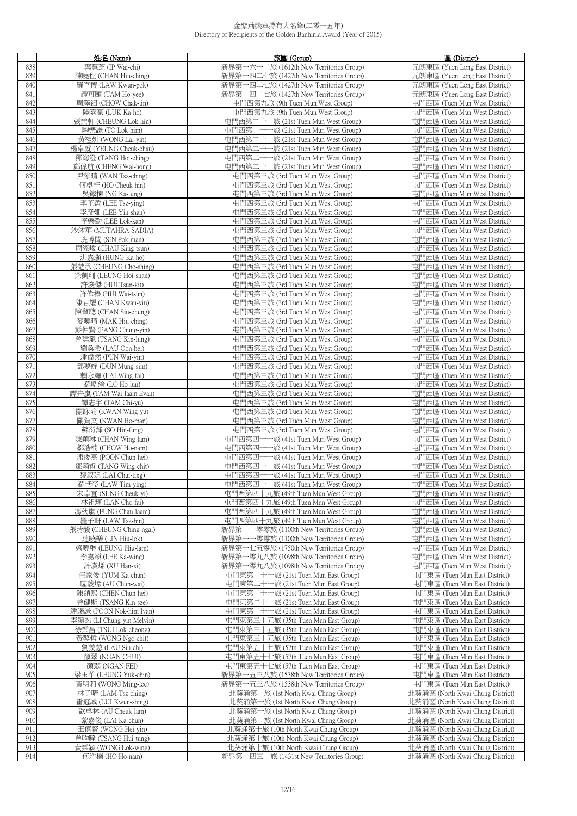|            | 姓名 (Name)                                   | 旅團 (Group)                                                                         | 區 (District)                                                   |
|------------|---------------------------------------------|------------------------------------------------------------------------------------|----------------------------------------------------------------|
| 838        | 葉慧芝 (IP Wai-chi)                            | 新界第一六一二旅 (1612th New Territories Group)                                            | 元朗東區 (Yuen Long East District)                                 |
| 839        | 陳曉程 (CHAN Hiu-ching)                        | 新界第一四二七旅 (1427th New Territories Group)                                            | 元朗東區 (Yuen Long East District)                                 |
| 840        | 羅官博 (LAW Kwun-pok)                          | 新界第一四二七旅 (1427th New Territories Group)                                            | 元朗東區 (Yuen Long East District)                                 |
| 841        | 譚可頤 (TAM Ho-yee)                            | 新界第一四二七旅 (1427th New Territories Group)                                            | 元朗東區 (Yuen Long East District)                                 |
| 842        | 周澤鈿 (CHOW Chak-tin)                         | 屯門西第九旅 (9th Tuen Mun West Group)                                                   | 屯門西區 (Tuen Mun West District)                                  |
| 843        | 陸嘉豪 (LUK Ka-ho)                             | 屯門西第九旅 (9th Tuen Mun West Group)                                                   | 屯門西區 (Tuen Mun West District)                                  |
| 844        | 張樂軒 (CHEUNG Lok-hin)                        | 屯門西第二十一旅 (21st Tuen Mun West Group)                                                | 屯門西區 (Tuen Mun West District)                                  |
| 845        | 陶樂謙 (TO Lok-him)                            | 屯門西第二十一旅 (21st Tuen Mun West Group)                                                | 屯門西區 (Tuen Mun West District)                                  |
| 846        | 黃禮妍 (WONG Lai-yin)                          | 屯門西第二十一旅 (21st Tuen Mun West Group)                                                | 屯門西區 (Tuen Mun West District)                                  |
| 847        | 楊卓就 (YEUNG Cheuk-chau)                      | 屯門西第二十一旅 (21st Tuen Mun West Group)                                                | 屯門西區 (Tuen Mun West District)                                  |
| 848        | 鄧海澄 (TANG Hoi-ching)                        | 屯門西第二十一旅 (21st Tuen Mun West Group)                                                | 屯門西區 (Tuen Mun West District)                                  |
| 849        | 鄭偉航 (CHENG Wai-hong)                        | 屯門西第二十一旅 (21st Tuen Mun West Group)                                                | 屯門西區 (Tuen Mun West District)                                  |
| 850<br>851 | 尹紫晴 (WAN Tsz-ching)<br>何卓軒 (HO Cheuk-hin)   | 屯門西第三旅 (3rd Tuen Mun West Group)<br>屯門西第三旅 (3rd Tuen Mun West Group)               | 屯門西區 (Tuen Mun West District)<br>屯門西區 (Tuen Mun West District) |
| 852        | 吳鎵棟 (NG Ka-tung)                            | 屯門西第三旅 (3rd Tuen Mun West Group)                                                   | 屯門西區 (Tuen Mun West District)                                  |
| 853        | 李芷盈 (LEE Tsz-ying)                          | 屯門西第三旅 (3rd Tuen Mun West Group)                                                   | 屯門西區 (Tuen Mun West District)                                  |
| 854        | 李彥姍 (LEE Yin-shan)                          | 屯門西第三旅 (3rd Tuen Mun West Group)                                                   | 屯門西區 (Tuen Mun West District)                                  |
| 855        | 李樂勤 (LEE Lok-kan)                           | 屯門西第三旅 (3rd Tuen Mun West Group)                                                   | 屯門西區 (Tuen Mun West District)                                  |
| 856        | 沙沐華 (MUTAHRA SADIA)                         | 屯門西第三旅 (3rd Tuen Mun West Group)                                                   | 屯門西區 (Tuen Mun West District)                                  |
| 857        | 冼博聞 (SIN Pok-man)                           | 屯門西第三旅 (3rd Tuen Mun West Group)                                                   | 屯門西區 (Tuen Mun West District)                                  |
| 858        | 周經峻 (CHAU King-tsun)                        | 屯門西第三旅 (3rd Tuen Mun West Group)                                                   | 屯門西區 (Tuen Mun West District)                                  |
| 859        | 洪嘉灝 (HUNG Ka-ho)                            | 屯門西第三旅 (3rd Tuen Mun West Group)                                                   | 屯門西區 (Tuen Mun West District)                                  |
| 860        | 張楚承 (CHEUNG Cho-shing)                      | 屯門西第三旅 (3rd Tuen Mun West Group)                                                   | 屯門西區 (Tuen Mun West District)                                  |
| 861        | 梁凱珊 (LEUNG Hoi-shan)                        | 屯門西第三旅 (3rd Tuen Mun West Group)                                                   | 屯門西區 (Tuen Mun West District)                                  |
| 862        | 許浚傑 (HUI Tsun-kit)                          | 屯門西第三旅 (3rd Tuen Mun West Group)                                                   | 屯門西區 (Tuen Mun West District)                                  |
| 863        | 許偉榛 (HUI Wai-tsun)                          | 屯門西第三旅 (3rd Tuen Mun West Group)                                                   | 屯門西區 (Tuen Mun West District)                                  |
| 864        | 陳君耀 (CHAN Kwan-yiu)                         | 屯門西第三旅 (3rd Tuen Mun West Group)                                                   | 屯門西區 (Tuen Mun West District)                                  |
| 865        | 陳肇聰 (CHAN Siu-chung)                        | 屯門西第三旅 (3rd Tuen Mun West Group)                                                   | 屯門西區 (Tuen Mun West District)                                  |
| 866        | 麥曉晴 (MAK Hiu-ching)                         | 屯門西第三旅 (3rd Tuen Mun West Group)                                                   | 屯門西區 (Tuen Mun West District)                                  |
| 867<br>868 | 彭仲賢 (PANG Chung-yin)                        | 屯門西第三旅 (3rd Tuen Mun West Group)<br>屯門西第三旅 (3rd Tuen Mun West Group)               | 屯門西區 (Tuen Mun West District)<br>屯門西區 (Tuen Mun West District) |
| 869        | 曾建龍 (TSANG Kin-lung)<br>劉奐希 (LAU Oon-hei)   | 屯門西第三旅 (3rd Tuen Mun West Group)                                                   | 屯門西區 (Tuen Mun West District)                                  |
| 870        | 潘偉然 (PUN Wai-yin)                           | 屯門西第三旅 (3rd Tuen Mun West Group)                                                   | 屯門西區 (Tuen Mun West District)                                  |
| 871        | 鄧夢嬋 (DUN Mung-sim)                          | 屯門西第三旅 (3rd Tuen Mun West Group)                                                   | 屯門西區 (Tuen Mun West District)                                  |
| 872        | 賴永輝 (LAI Wing-fai)                          | 屯門西第三旅 (3rd Tuen Mun West Group)                                                   | 屯門西區 (Tuen Mun West District)                                  |
| 873        | 羅晧綸 (LO Ho-lun)                             | 屯門西第三旅 (3rd Tuen Mun West Group)                                                   | 屯門西區 (Tuen Mun West District)                                  |
| 874        | 譚卉嵐 (TAM Wai-laam Evan)                     | 屯門西第三旅 (3rd Tuen Mun West Group)                                                   | 屯門西區 (Tuen Mun West District)                                  |
| 875        | 譚志宇 (TAM Chi-yu)                            | 屯門西第三旅 (3rd Tuen Mun West Group)                                                   | 屯門西區 (Tuen Mun West District)                                  |
| 876        | 關詠瑜 (KWAN Wing-yu)                          | 屯門西第三旅 (3rd Tuen Mun West Group)                                                   | 屯門西區 (Tuen Mun West District)                                  |
| 877        | 關賀文 (KWAN Ho-man)                           | 屯門西第三旅 (3rd Tuen Mun West Group)                                                   | 屯門西區 (Tuen Mun West District)                                  |
| 878        | 蘇衍鋒 (SO Hin-fung)                           | 屯門西第三旅 (3rd Tuen Mun West Group)                                                   | 屯門西區 (Tuen Mun West District)                                  |
| 879<br>880 | 陳穎琳 (CHAN Wing-lam)<br>鄒浩楠 (CHOW Ho-nam)    | 屯門西第四十一旅 (41st Tuen Mun West Group)                                                | 屯門西區 (Tuen Mun West District)<br>屯門西區 (Tuen Mun West District) |
| 881        | 潘俊熹 (POON Chun-hei)                         | 屯門西第四十一旅 (41st Tuen Mun West Group)<br>屯門西第四十一旅 (41st Tuen Mun West Group)         | 屯門西區 (Tuen Mun West District)                                  |
| 882        | 鄧穎哲 (TANG Wing-chit)                        | 屯門西第四十一旅 (41st Tuen Mun West Group)                                                | 屯門西區 (Tuen Mun West District)                                  |
| 883        | 黎叙廷 (LAI Chui-ting)                         | 屯門西第四十一旅 (41st Tuen Mun West Group)                                                | 屯門西區 (Tuen Mun West District)                                  |
| 884        | 羅恬瑩 (LAW Tim-ving)                          | 中門西第四十一旅 (41st Tuen Mun West Group)                                                | 屯門西區 (Tuen Mun West District)                                  |
| 885        | 宋卓宜 (SUNG Cheuk-yi)                         | 屯門西第四十九旅 (49th Tuen Mun West Group)                                                | 屯門西區 (Tuen Mun West District)                                  |
| 886        | 林祖輝 (LAN Cho-fai)                           | 屯門西第四十九旅 (49th Tuen Mun West Group)                                                | 屯門西區 (Tuen Mun West District)                                  |
| 887        | 馮秋嵐 (FUNG Chau-laam)                        | 屯門西第四十九旅 (49th Tuen Mun West Group)                                                | 屯門西區 (Tuen Mun West District)                                  |
| 888        | 羅子軒 (LAW Tsz-hin)                           | 屯門西第四十九旅 (49th Tuen Mun West Group)                                                | 屯門西區 (Tuen Mun West District)                                  |
| 889        | 張清毅 (CHEUNG Ching-ngai)                     | ——零零旅 (1100th New Territories Group)<br>新界第                                        | 屯門西區 (Tuen Mun West District)                                  |
| 890        | 連曉樂 (LIN Hiu-lok)                           | 新界第<br>一零零旅 (1100th New Territories Group)                                         | 屯門西區 (Tuen Mun West District)                                  |
| 891<br>892 | 梁曉琳 (LEUNG Hiu-lam)                         | 新界第一七五零旅 (1750th New Territories Group)                                            | 屯門西區 (Tuen Mun West District)                                  |
| 893        | 李嘉穎 (LEE Ka-wing)<br>許漢烯 (XU Han-xi)        | 新界第一零九八旅 (1098th New Territories Group)<br>新界第一零九八旅 (1098th New Territories Group) | 屯門西區 (Tuen Mun West District)<br>屯門西區 (Tuen Mun West District) |
| 894        | 任家俊 (YUM Ka-chun)                           | 屯門東第二十一旅 (21st Tuen Mun East Group)                                                | 屯門東區 (Tuen Mun East District)                                  |
| 895        | 區駿煒 (AU Chun-wai)                           | 屯門東第二十一旅 (21st Tuen Mun East Group)                                                | 屯門東區 (Tuen Mun East District)                                  |
| 896        | 陳鎮熙 (CHEN Chun-hei)                         | 屯門東第二十一旅 (21st Tuen Mun East Group)                                                | 屯門東區 (Tuen Mun East District)                                  |
| 897        | 曾健斯 (TSANG Kin-sze)                         | 屯門東第二十一旅 (21st Tuen Mun East Group)                                                | 屯門東區 (Tuen Mun East District)                                  |
| 898        | 潘諾謙 (POON Nok-him Ivan)                     | 屯門東第二十一旅 (21st Tuen Mun East Group)                                                | 屯門東區 (Tuen Mun East District)                                  |
| 899        | 李頌然 (LI Chung-yin Melvin)                   | 屯門東第三十五旅 (35th Tuen Mun East Group)                                                | 屯門東區 (Tuen Mun East District)                                  |
| 900        | 徐樂昌 (TSUI Lok-cheong)                       | 屯門東第三十五旅 (35th Tuen Mun East Group)                                                | 屯門東區 (Tuen Mun East District)                                  |
| 901        | 黃鏊哲 (WONG Ngo-chit)                         | 屯門東第三十五旅 (35th Tuen Mun East Group)                                                | 屯門東區 (Tuen Mun East District)                                  |
| 902        | 劉羨慈 (LAU Sin-chi)                           | 屯門東第五十七旅 (57th Tuen Mun East Group)                                                | 屯門東區 (Tuen Mun East District)                                  |
| 903        | 顏翠 (NGAN CHUI)                              | 屯門東第五十七旅 (57th Tuen Mun East Group)                                                | 屯門東區 (Tuen Mun East District)                                  |
| 904<br>905 | 顏翡 (NGAN FEI)                               | 屯門東第五十七旅 (57th Tuen Mun East Group)                                                | 屯門東區 (Tuen Mun East District)                                  |
| 906        | 梁玉芊 (LEUNG Yuk-chin)<br>黃明莉 (WONG Ming-lee) | 新界第一五三八旅 (1538th New Territories Group)<br>新界第一五三八旅 (1538th New Territories Group) | 屯門東區 (Tuen Mun East District)<br>屯門東區 (Tuen Mun East District) |
| 907        | 林子晴 (LAM Tsz-ching)                         | 北葵涌第一旅 (1st North Kwai Chung Group)                                                | 北葵涌區 (North Kwai Chung District)                               |
| 908        | 雷冠誠 (LUI Kwun-shing)                        | 北葵涌第一旅 (1st North Kwai Chung Group)                                                | 北葵涌區 (North Kwai Chung District)                               |
| 909        | 歐卓林 (AU Cheuk-lam)                          | 北葵涌第一旅 (1st North Kwai Chung Group)                                                | 北葵涌區 (North Kwai Chung District)                               |
| 910        | 黎嘉俊 (LAI Ka-chun)                           | 北葵涌第一旅 (1st North Kwai Chung Group)                                                | 北葵涌區 (North Kwai Chung District)                               |
| 911        | 王僖賢 (WONG Hei-yin)                          | 北葵涌第十旅 (10th North Kwai Chung Group)                                               | 北葵涌區 (North Kwai Chung District)                               |
| 912        | 曾昫瞳 (TSANG Hui-tung)                        | 北葵涌第十旅 (10th North Kwai Chung Group)                                               | 北葵涌區 (North Kwai Chung District)                               |
| 913        | 黃樂潁 (WONG Lok-wing)                         | 北葵涌第十旅 (10th North Kwai Chung Group)                                               | 北葵涌區 (North Kwai Chung District)                               |
| 914        | 何浩楠 (HO Ho-nam)                             | 新界第一四三一旅 (1431st New Territories Group)                                            | 北葵涌區 (North Kwai Chung District)                               |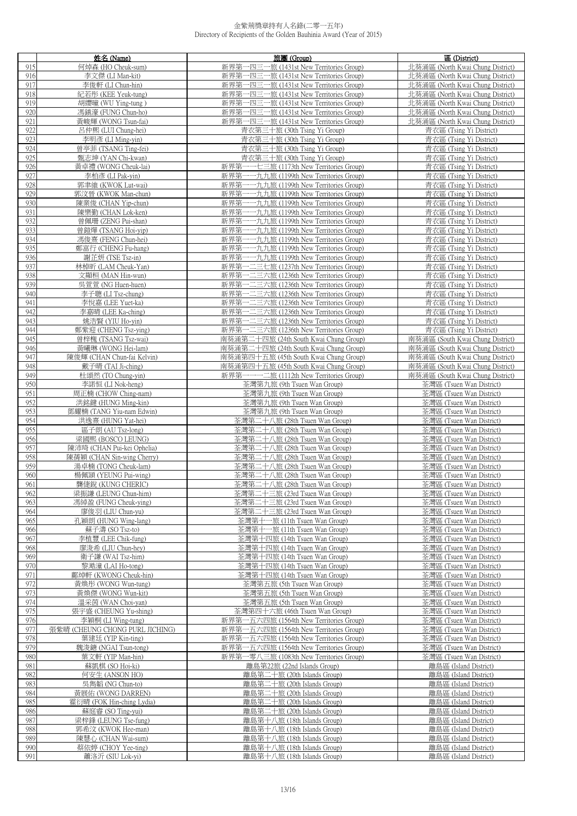|     | 姓名 (Name)                       | 旅團 (Group)                                                       | 區 (District)                                         |
|-----|---------------------------------|------------------------------------------------------------------|------------------------------------------------------|
| 915 | 何焯森 (HO Cheuk-sum)              | 新界第一四三一旅 (1431st New Territories Group)                          | 北葵涌區 (North Kwai Chung District)                     |
| 916 | 李文傑 (LI Man-kit)                | 新界第一四三一旅 (1431st New Territories Group)                          | 北葵涌區 (North Kwai Chung District)                     |
| 917 | 李俊軒 (LI Chun-hin)               | 新界第一四三一旅 (1431st New Territories Group)                          | 北葵涌區 (North Kwai Chung District)                     |
|     |                                 |                                                                  |                                                      |
| 918 | 紀若彤 (KEE Yeuk-tung)             | 新界第一四三一旅 (1431st New Territories Group)                          | 北葵涌區 (North Kwai Chung District)                     |
| 919 | 胡纓曈 (WU Ying-tung)              | 新界第一四三一旅 (1431st New Territories Group)                          | 北葵涌區 (North Kwai Chung District)                     |
| 920 | 馮鎮濠 (FUNG Chun-ho)              | 新界第一四三一旅 (1431st New Territories Group)                          | 北葵涌區 (North Kwai Chung District)                     |
| 921 | 黃峻輝 (WONG Tsun-fai)             | 新界第一四三一旅 (1431st New Territories Group)                          | 北葵涌區 (North Kwai Chung District)                     |
| 922 | 呂仲熙 (LUI Chung-hei)             | 青衣第三十旅 (30th Tsing Yi Group)                                     | 青衣區 (Tsing Yi District)                              |
| 923 | 李明彥 (LI Ming-yin)               | 青衣第三十旅 (30th Tsing Yi Group)                                     | 青衣區 (Tsing Yi District)                              |
| 924 | 曾亭菲 (TSANG Ting-fei)            | 青衣第三十旅 (30th Tsing Yi Group)                                     | 青衣區 (Tsing Yi District)                              |
| 925 | 甄志坤 (YAN Chi-kwan)              | 青衣第三十旅 (30th Tsing Yi Group)                                     | 青衣區 (Tsing Yi District)                              |
| 926 | 黃卓禮 (WONG Cheuk-lai)            | 新界第一一七三旅 (1173th New Territories Group)                          | 青衣區 (Tsing Yi District)                              |
| 927 | 李柏彥 (LI Pak-vin)                | 新界第一一九九旅 (1199th New Territories Group)                          | 青衣區 (Tsing Yi District)                              |
|     |                                 |                                                                  |                                                      |
| 928 | 郭聿維 (KWOK Lut-wai)              | 新界第<br>一一九九旅 (1199th New Territories Group)                      | 青衣區 (Tsing Yi District)                              |
| 929 | 郭汶晉 (KWOK Man-chun)             | 一一九九旅 (1199th New Territories Group)<br>新界第                      | 青衣區 (Tsing Yi District)                              |
| 930 | 陳業俊 (CHAN Yip-chun)             | 新界第一一九九旅 (1199th New Territories Group)                          | 青衣區 (Tsing Yi District)                              |
| 931 | 陳樂勤 (CHAN Lok-ken)              | 新界第一一九九旅 (1199th New Territories Group)                          | 青衣區 (Tsing Yi District)                              |
| 932 | 曾佩珊 (ZENG Pui-shan)             | 新界第一一九九旅 (1199th New Territories Group)                          | 青衣區 (Tsing Yi District)                              |
| 933 | 曾鎧燁 (TSANG Hoi-yip)             | 新界第一一九九旅 (1199th New Territories Group)                          | 青衣區 (Tsing Yi District)                              |
| 934 | 馮俊熹 (FENG Chun-hei)             | 新界第一一九九旅 (1199th New Territories Group)                          | 青衣區 (Tsing Yi District)                              |
| 935 | 鄭富行 (CHENG Fu-hang)             | 新界第一一九九旅 (1199th New Territories Group)                          | 青衣區 (Tsing Yi District)                              |
| 936 | 謝芷妍 (TSE Tsz-in)                | 新界第一一九九旅 (1199th New Territories Group)                          | 青衣區 (Tsing Yi District)                              |
| 937 | 林棹昕 (LAM Cheuk-Yan)             | 一二三七旅 (1237th New Territories Group)<br>新界第                      | 青衣區 (Tsing Yi District)                              |
| 938 | 文顯桓 (MAN Hin-wun)               | 新界第一二三六旅 (1236th New Territories Group)                          | 青衣區 (Tsing Yi District)                              |
| 939 | 吳萱萱 (NG Huen-huen)              | 新界第一二三六旅 (1236th New Territories Group)                          | 青衣區 (Tsing Yi District)                              |
| 940 | 李子聰 (LI Tsz-chung)              | 新界第一二三六旅 (1236th New Territories Group)                          | 青衣區 (Tsing Yi District)                              |
| 941 | 李悅嘉 (LEE Yuet-ka)               | 新界第一二三六旅 (1236th New Territories Group)                          | 青衣區 (Tsing Yi District)                              |
| 942 | 李嘉晴 (LEE Ka-ching)              | 新界第一二三六旅 (1236th New Territories Group)                          | 青衣區 (Tsing Yi District)                              |
| 943 |                                 | 新界第一二三六旅 (1236th New Territories Group)                          |                                                      |
| 944 | 姚浩賢 (YIU Ho-yin)                |                                                                  | 青衣區 (Tsing Yi District)                              |
|     | 鄭紫迎 (CHENG Tsz-ving)            | 新界第一二三六旅 (1236th New Territories Group)                          | 青衣區 (Tsing Yi District)                              |
| 945 | 曾梓槐 (TSANG Tsz-wai)             | 南葵涌第二十四旅 (24th South Kwai Chung Group)                           | 南葵涌區 (South Kwai Chung District)                     |
| 946 | 黃曦琳 (WONG Hei-lam)              | 南葵涌第二十四旅 (24th South Kwai Chung Group)                           | 南葵涌區 (South Kwai Chung District)                     |
| 947 | 陳俊輝 (CHAN Chun-fai Kelvin)      | 南葵涌第四十五旅 (45th South Kwai Chung Group)                           | 南葵涌區 (South Kwai Chung District)                     |
| 948 | 戴子晴 (TAI Ji-ching)              | 南葵涌第四十五旅 (45th South Kwai Chung Group)                           | 南葵涌區 (South Kwai Chung District)                     |
| 949 | 杜頌然 (TO Chung-yin)              | 新界第一一一二旅 (1112th New Territories Group)                          | 南葵涌區 (South Kwai Chung District)                     |
| 950 | 李諾恒 (LI Nok-heng)               | 荃灣第九旅 (9th Tsuen Wan Group)                                      | 荃灣區 (Tsuen Wan District)                             |
| 951 | 周正楠 (CHOW Ching-nam)            | 荃灣第九旅 (9th Tsuen Wan Group)                                      | 荃灣區 (Tsuen Wan District)                             |
| 952 | 洪銘鍵 (HUNG Ming-kin)             | 荃灣第九旅 (9th Tsuen Wan Group)                                      | 荃灣區 (Tsuen Wan District)                             |
| 953 | 鄧耀楠 (TANG Yiu-nam Edwin)        | 荃灣第九旅 (9th Tsuen Wan Group)                                      | 荃灣區 (Tsuen Wan District)                             |
| 954 | 洪逸熹 (HUNG Yat-hei)              | 荃灣第二十八旅 (28th Tsuen Wan Group)                                   | 荃灣區 (Tsuen Wan District)                             |
| 955 | 區子朗 (AU Tsz-long)               | 荃灣第二十八旅 (28th Tsuen Wan Group)                                   | 荃灣區 (Tsuen Wan District)                             |
| 956 | 梁國熙 (BOSCO LEUNG)               | 荃灣第二十八旅 (28th Tsuen Wan Group)                                   | 荃灣區 (Tsuen Wan District)                             |
| 957 | 陳沛琦 (CHAN Pui-kei Ophelia)      | 荃灣第二十八旅 (28th Tsuen Wan Group)                                   | 荃灣區 (Tsuen Wan District)                             |
| 958 | 陳蒨穎 (CHAN Sin-wing Cherry)      | 荃灣第二十八旅 (28th Tsuen Wan Group)                                   | 荃灣區 (Tsuen Wan District)                             |
| 959 | 湯卓楠 (TONG Cheuk-lam)            | 荃灣第二十八旅 (28th Tsuen Wan Group)                                   | 荃灣區 (Tsuen Wan District)                             |
| 960 | 楊佩頴 (YEUNG Pui-wing)            | 荃灣第二十八旅 (28th Tsuen Wan Group)                                   | 荃灣區 (Tsuen Wan District)                             |
| 961 | 龔倢銳 (KUNG CHERIC)               | 荃灣第二十八旅 (28th Tsuen Wan Group)                                   | 荃灣區 (Tsuen Wan District)                             |
| 962 | 梁振謙 (LEUNG Chun-him)            | 荃灣第二十三旅 (23rd Tsuen Wan Group)                                   | 荃灣區 (Tsuen Wan District)                             |
|     |                                 |                                                                  |                                                      |
| 963 | 馮綽盈 (FUNG Cheuk-ying)           | 荃灣第二十三旅 (23rd Tsuen Wan Group)<br>荃灣第二十三旅 (23rd Tsuen Wan Group) | 荃灣區 (Tsuen Wan District)<br>荃灣區 (Tsuen Wan District) |
| 964 | 廖俊羽 (LIU Chun-yu)               |                                                                  |                                                      |
| 965 | 孔穎朗 (HUNG Wing-lang)            | 荃灣第十一旅 (11th Tsuen Wan Group)                                    | 荃灣區 (Tsuen Wan District)                             |
| 966 | 蘇子濤 (SO Tsz-to)                 | 荃灣第十一旅 (11th Tsuen Wan Group)                                    | 荃灣區 (Tsuen Wan District)                             |
| 967 | 李植豐 (LEE Chik-fung)             | 荃灣第十四旅 (14th Tsuen Wan Group)                                    | 荃灣區 (Tsuen Wan District)                             |
| 968 | 廖浚希 (LIU Chun-hey)              | 荃灣第十四旅 (14th Tsuen Wan Group)                                    | 荃灣區 (Tsuen Wan District)                             |
| 969 | 衛子謙 (WAI Tsz-him)               | 荃灣第十四旅 (14th Tsuen Wan Group)                                    | 荃灣區 (Tsuen Wan District)                             |
| 970 | 黎澔潼 (LAI Ho-tong)               | 荃灣第十四旅 (14th Tsuen Wan Group)                                    | 荃灣區 (Tsuen Wan District)                             |
| 971 | 鄺焯軒 (KWONG Cheuk-hin)           | 荃灣第十四旅 (14th Tsuen Wan Group)                                    | 荃灣區 (Tsuen Wan District)                             |
| 972 | 黃煥彤 (WONG Wun-tung)             | 荃灣第五旅 (5th Tsuen Wan Group)                                      | 荃灣區 (Tsuen Wan District)                             |
| 973 | 黃煥傑 (WONG Wun-kit)              | 荃灣第五旅 (5th Tsuen Wan Group)                                      | 荃灣區 (Tsuen Wan District)                             |
| 974 | 溫采茵 (WAN Choi-yan)              | 荃灣第五旅 (5th Tsuen Wan Group)                                      | 荃灣區 (Tsuen Wan District)                             |
| 975 | 張宇盛 (CHEUNG Yu-shing)           | 荃灣第四十六旅 (46th Tsuen Wan Group)                                   | 荃灣區 (Tsuen Wan District)                             |
| 976 | 李穎桐 (LI Wing-tung)              | 新界第一五六四旅 (1564th New Territories Group)                          | 荃灣區 (Tsuen Wan District)                             |
| 977 | 張紫晴 (CHEUNG CHONG PURL JICHING) | 新界第一五六四旅 (1564th New Territories Group)                          | 荃灣區 (Tsuen Wan District)                             |
| 978 | 葉建廷 (YIP Kin-ting)              | 新界第一五六四旅 (1564th New Territories Group)                          | 荃灣區 (Tsuen Wan District)                             |
| 979 | 魏浚鎕 (NGAI Tsun-tong)            | 新界第一五六四旅 (1564th New Territories Group)                          | 荃灣區 (Tsuen Wan District)                             |
| 980 | 葉文軒 (YIP Man-hin)               | 新界第一零八三旅 (1083th New Territories Group)                          | 荃灣區 (Tsuen Wan District)                             |
| 981 | 蘇凱棋 (SO Hoi-ki)                 | 離島第22旅 (22nd Islands Group)                                      | 離島區 (Island District)                                |
| 982 | 何安生 (ANSON HO)                  | 離島第二十旅 (20th Islands Group)                                      | 離島區 (Island District)                                |
| 983 | 吳雋韜 (NG Chun-to)                | 離島第二十旅 (20th Islands Group)                                      | 離島區 (Island District)                                |
| 984 | 黃展佑 (WONG DARREN)               | 離島第二十旅 (20th Islands Group)                                      | 離島區 (Island District)                                |
| 985 | 霍衍晴 (FOK Hin-ching Lydia)       | 離島第二十旅 (20th Islands Group)                                      | 離島區 (Island District)                                |
| 986 | 蘇庭睿 (SO Ting-yui)               | 離島第二十旅 (20th Islands Group)                                      | 離島區 (Island District)                                |
|     |                                 |                                                                  |                                                      |
| 987 | 梁梓鋒 (LEUNG Tse-fung)            | 離島第十八旅 (18th Islands Group)                                      | 離島區 (Island District)                                |
| 988 | 郭希汶 (KWOK Hee-man)              | 離島第十八旅 (18th Islands Group)                                      | 離島區 (Island District)                                |
| 989 | 陳慧心 (CHAN Wai-sum)              | 離島第十八旅 (18th Islands Group)                                      | 離島區 (Island District)                                |
| 990 | 蔡依婷 (CHOY Yee-ting)             | 離島第十八旅 (18th Islands Group)                                      | 離島區 (Island District)                                |
| 991 | 蕭洛沂 (SIU Lok-yi)                | 離島第十八旅 (18th Islands Group)                                      | 離島區 (Island District)                                |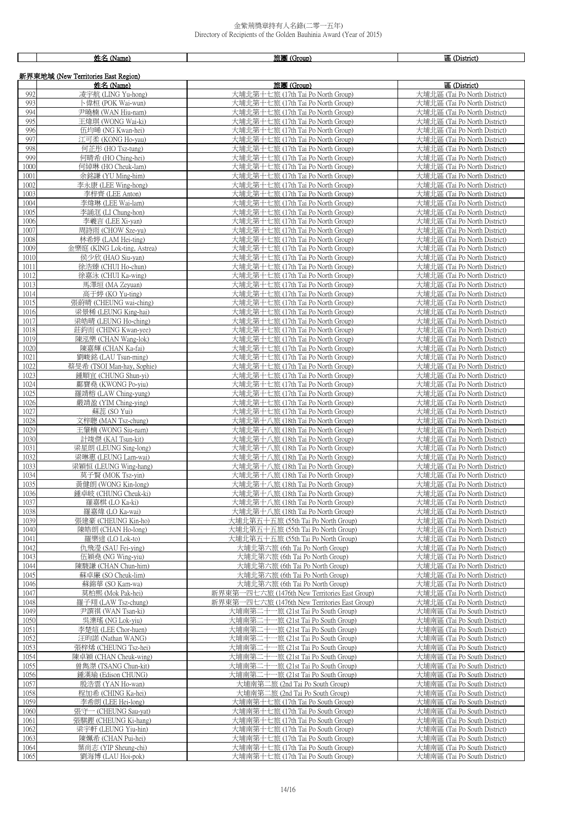┑

 $\mathsf{r}$ ─⊤

|              | 姓名 (Name)                                        | 旅團 (Group)                                                               | 區 (District)                                                 |
|--------------|--------------------------------------------------|--------------------------------------------------------------------------|--------------------------------------------------------------|
|              | 新界東地域 (New Territories East Region)              |                                                                          |                                                              |
|              | 姓名 (Name)                                        | 旅團 (Group)                                                               | 區 (District)                                                 |
| 992          | 凌宇航 (LING Yu-hong)                               | 大埔北第十七旅 (17th Tai Po North Group)                                        | 大埔北區 (Tai Po North District)                                 |
| 993          | 卜偉桓 (POK Wai-wun)                                | 大埔北第十七旅 (17th Tai Po North Group)                                        | 大埔北區 (Tai Po North District)                                 |
| 994          | 尹曉楠 (WAN Hiu-nam)                                | 大埔北第十七旅 (17th Tai Po North Group)                                        | 大埔北區 (Tai Po North District)                                 |
| 995          | 王煒琪 (WONG Wai-ki)                                | 大埔北第十七旅 (17th Tai Po North Group)                                        | 大埔北區 (Tai Po North District)                                 |
| 996          | 伍均晞 (NG Kwan-hei)                                | 大埔北第十七旅 (17th Tai Po North Group)                                        | 大埔北區 (Tai Po North District)                                 |
| 997          | 江可柔 (KONG Ho-yau)                                | 大埔北第十七旅 (17th Tai Po North Group)                                        | 大埔北區 (Tai Po North District)                                 |
| 998          | 何芷彤 (HO Tsz-tung)                                | 大埔北第十七旅 (17th Tai Po North Group)                                        | 大埔北區 (Tai Po North District)                                 |
| 999<br>1000  | 何晴希 (HO Ching-hei)                               | 大埔北第十七旅 (17th Tai Po North Group)<br>大埔北第十七旅 (17th Tai Po North Group)   | 大埔北區 (Tai Po North District)<br>大埔北區 (Tai Po North District) |
| 1001         | 何綽琳 (HO Cheuk-lam)<br>余銘謙 (YU Ming-him)          | 大埔北第十七旅 (17th Tai Po North Group)                                        | 大埔北區 (Tai Po North District)                                 |
| 1002         | 李永康 (LEE Wing-hong)                              | 大埔北第十七旅 (17th Tai Po North Group)                                        | 大埔北區 (Tai Po North District)                                 |
| 1003         | 李梓齊 (LEE Anton)                                  | 大埔北第十七旅 (17th Tai Po North Group)                                        | 大埔北區 (Tai Po North District)                                 |
| 1004         | 李煒琳 (LEE Wai-lam)                                | 大埔北第十七旅 (17th Tai Po North Group)                                        | 大埔北區 (Tai Po North District)                                 |
| 1005         | 李誦洭 (LI Chung-hon)                               | 大埔北第十七旅 (17th Tai Po North Group)                                        | 大埔北區 (Tai Po North District)                                 |
| 1006         | 李羲言 (LEE Xi-yan)                                 | 大埔北第十七旅 (17th Tai Po North Group)                                        | 大埔北區 (Tai Po North District)                                 |
| 1007         | 周詩雨 (CHOW Sze-yu)                                | 大埔北第十七旅 (17th Tai Po North Group)                                        | 大埔北區 (Tai Po North District)                                 |
| 1008         | 林希婷 (LAM Hei-ting)                               | 大埔北第十七旅 (17th Tai Po North Group)                                        | 大埔北區 (Tai Po North District)                                 |
| 1009<br>1010 | 金樂庭 (KING Lok-ting, Astrea)<br>侯少欣 (HAO Siu-yan) | 大埔北第十七旅 (17th Tai Po North Group)<br>大埔北第十七旅 (17th Tai Po North Group)   | 大埔北區 (Tai Po North District)<br>大埔北區 (Tai Po North District) |
| 1011         | 徐浩臻 (CHUI Ho-chun)                               | 大埔北第十七旅 (17th Tai Po North Group)                                        | 大埔北區 (Tai Po North District)                                 |
| 1012         | 徐嘉泳 (CHUI Ka-wing)                               | 大埔北第十七旅 (17th Tai Po North Group)                                        | 大埔北區 (Tai Po North District)                                 |
| 1013         | 馬澤垣 (MA Zeyuan)                                  | 大埔北第十七旅 (17th Tai Po North Group)                                        | 大埔北區 (Tai Po North District)                                 |
| 1014         | 高于婷 (KO Yu-ting)                                 | 大埔北第十七旅 (17th Tai Po North Group)                                        | 大埔北區 (Tai Po North District)                                 |
| 1015         | 張蔚晴 (CHEUNG wai-ching)                           | 大埔北第十七旅 (17th Tai Po North Group)                                        | 大埔北區 (Tai Po North District)                                 |
| 1016         | 梁景稀 (LEUNG King-hai)                             | 大埔北第十七旅 (17th Tai Po North Group)                                        | 大埔北區 (Tai Po North District)                                 |
| 1017         | 梁皓晴 (LEUNG Ho-ching)                             | 大埔北第十七旅 (17th Tai Po North Group)                                        | 大埔北區 (Tai Po North District)                                 |
| 1018         | 莊鈞而 (CHING Kwan-yee)                             | 大埔北第十七旅 (17th Tai Po North Group)                                        | 大埔北區 (Tai Po North District)                                 |
| 1019<br>1020 | 陳泓樂 (CHAN Wang-lok)                              | 大埔北第十七旅 (17th Tai Po North Group)                                        | 大埔北區 (Tai Po North District)                                 |
| 1021         | 陳嘉輝 (CHAN Ka-fai)<br>劉峻銘 (LAU Tsun-ming)         | 大埔北第十七旅 (17th Tai Po North Group)<br>大埔北第十七旅 (17th Tai Po North Group)   | 大埔北區 (Tai Po North District)<br>大埔北區 (Tai Po North District) |
| 1022         | 蔡旻希 (TSOI Man-hay, Sophie)                       | 大埔北第十七旅 (17th Tai Po North Group)                                        | 大埔北區 (Tai Po North District)                                 |
| 1023         | 鍾順宜 (CHUNG Shun-yi)                              | 大埔北第十七旅 (17th Tai Po North Group)                                        | 大埔北區 (Tai Po North District)                                 |
| 1024         | 鄺寶堯 (KWONG Po-yiu)                               | 大埔北第十七旅 (17th Tai Po North Group)                                        | 大埔北區 (Tai Po North District)                                 |
| 1025         | 羅靖榕 (LAW Ching-yung)                             | 大埔北第十七旅 (17th Tai Po North Group)                                        | 大埔北區 (Tai Po North District)                                 |
| 1026         | 嚴靖盈 (YIM Ching-ying)                             | 大埔北第十七旅 (17th Tai Po North Group)                                        | 大埔北區 (Tai Po North District)                                 |
| 1027         | 蘇蕊 (SO Yui)                                      | 大埔北第十七旅 (17th Tai Po North Group)                                        | 大埔北區 (Tai Po North District)                                 |
| 1028<br>1029 | 文梓聰 (MAN Tsz-chung)                              | 大埔北第十八旅 (18th Tai Po North Group)                                        | 大埔北區 (Tai Po North District)                                 |
| 1030         | 王肇楠 (WONG Siu-nam)<br>計竣傑 (KAI Tsun-kit)         | 大埔北第十八旅 (18th Tai Po North Group)<br>大埔北第十八旅 (18th Tai Po North Group)   | 大埔北區 (Tai Po North District)<br>大埔北區 (Tai Po North District) |
| 1031         | 梁星朗 (LEUNG Sing-long)                            | 大埔北第十八旅 (18th Tai Po North Group)                                        | 大埔北區 (Tai Po North District)                                 |
| 1032         | 梁琳惠 (LEUNG Lam-wai)                              | 大埔北第十八旅 (18th Tai Po North Group)                                        | 大埔北區 (Tai Po North District)                                 |
| 1033         | 梁穎恒 (LEUNG Wing-hang)                            | 大埔北第十八旅 (18th Tai Po North Group)                                        | 大埔北區 (Tai Po North District)                                 |
| 1034         | 莫子賢 (MOK Tsz-yin)                                | 大埔北第十八旅 (18th Tai Po North Group)                                        | 大埔北區 (Tai Po North District)                                 |
| 1035         | 黃健朗 (WONG Kin-long)                              | 大埔北第十八旅 (18th Tai Po North Group)                                        | 大埔北區 (Tai Po North District)                                 |
| 1036         | 鍾卓岐 (CHUNG Cheuk-ki)                             | 大埔北第十八旅 (18th Tai Po North Group)                                        | 大埔北區 (Tai Po North District)                                 |
| 1037<br>1038 | 羅嘉棋 (LO Ka-ki)<br>羅嘉煒 (LO Ka-wai)                | 大埔北第十八旅 (18th Tai Po North Group)<br>大埔北第十八旅 (18th Tai Po North Group)   | 大埔北區 (Tai Po North District)<br>大埔北區 (Tai Po North District) |
| 1039         | 張建豪 (CHEUNG Kin-ho)                              | 大埔北第五十五旅 (55th Tai Po North Group)                                       | 大埔北區 (Tai Po North District)                                 |
| 1040         | 陳皓朗 (CHAN Ho-long)                               | 大埔北第五十五旅 (55th Tai Po North Group)                                       | 大埔北區 (Tai Po North District)                                 |
| 1041         | 羅樂途 (LO Lok-to)                                  | 大埔北第五十五旅 (55th Tai Po North Group)                                       | 大埔北區 (Tai Po North District)                                 |
| 1042         | 仇飛瀅 (SAU Fei-ving)                               | 大埔北第六旅 (6th Tai Po North Group)                                          | 大埔北區 (Tai Po North District)                                 |
| 1043         | 伍穎堯 (NG Wing-yiu)                                | 大埔北第六旅 (6th Tai Po North Group)                                          | 大埔北區 (Tai Po North District)                                 |
| 1044         | 陳駿謙 (CHAN Chun-him)                              | 大埔北第六旅 (6th Tai Po North Group)                                          | 大埔北區 (Tai Po North District)                                 |
| 1045<br>1046 | 蘇卓廉 (SO Cheuk-lim)<br>蘇錦華 (SO Kam-wa)            | 大埔北第六旅 (6th Tai Po North Group)<br>大埔北第六旅 (6th Tai Po North Group)       | 大埔北區 (Tai Po North District)<br>大埔北區 (Tai Po North District) |
| 1047         | 莫柏熙 (Mok Pak-hei)                                | 新界東第一四七六旅 (1476th New Territories East Group)                            | 大埔北區 (Tai Po North District)                                 |
| 1048         | 羅子翔 (LAW Tsz-chung)                              | 新界東第一四七六旅 (1476th New Territories East Group)                            | 大埔北區 (Tai Po North District)                                 |
| 1049         | 尹譔祺 (WAN Tsan-ki)                                | 大埔南第二十一旅 (21st Tai Po South Group)                                       | 大埔南區 (Tai Po South District)                                 |
| 1050         | 吳濼瑤 (NG Lok-yiu)                                 | 大埔南第二十一旅 (21st Tai Po South Group)                                       | 大埔南區 (Tai Po South District)                                 |
| 1051         | 李楚煊 (LEE Chor-huen)                              | 大埔南第二十一旅 (21st Tai Po South Group)                                       | 大埔南區 (Tai Po South District)                                 |
| 1052         | 汪昀諾 (Nathan WANG)                                | 大埔南第二十一旅 (21st Tai Po South Group)                                       | 大埔南區 (Tai Po South District)                                 |
| 1053         | 張梓烯 (CHEUNG Tsz-hei)                             | 大埔南第二十一旅 (21st Tai Po South Group)                                       | 大埔南區 (Tai Po South District)                                 |
| 1054<br>1055 | 陳卓穎 (CHAN Cheuk-wing)<br>曾雋滐 (TSANG Chun-kit)    | 大埔南第二十一旅 (21st Tai Po South Group)<br>大埔南第二十一旅 (21st Tai Po South Group) | 大埔南區 (Tai Po South District)<br>大埔南區 (Tai Po South District) |
| 1056         | 鍾漢瑜 (Edison CHUNG)                               | 大埔南第二十一旅 (21st Tai Po South Group)                                       | 大埔南區 (Tai Po South District)                                 |
| 1057         | 殷浩雲 (YAN Ho-wan)                                 | 大埔南第二旅 (2nd Tai Po South Group)                                          | 大埔南區 (Tai Po South District)                                 |
| 1058         | 程加希 (CHING Ka-hei)                               | 大埔南第二旅 (2nd Tai Po South Group)                                          | 大埔南區 (Tai Po South District)                                 |
| 1059         | 李希朗 (LEE Hei-long)                               | 大埔南第十七旅 (17th Tai Po South Group)                                        | 大埔南區 (Tai Po South District)                                 |
| 1060         | 張守一 (CHEUNG Sau-yat)                             | 大埔南第十七旅 (17th Tai Po South Group)                                        | 大埔南區 (Tai Po South District)                                 |
| 1061         | 張騏鏗 (CHEUNG Ki-hang)                             | 大埔南第十七旅 (17th Tai Po South Group)                                        | 大埔南區 (Tai Po South District)                                 |
| 1062         | 梁宇軒 (LEUNG Yiu-hin)                              | 大埔南第十七旅 (17th Tai Po South Group)                                        | 大埔南區 (Tai Po South District)                                 |
| 1063<br>1064 | 陳姵希 (CHAN Pui-hei)<br>葉尚志 (YIP Sheung-chi)       | 大埔南第十七旅 (17th Tai Po South Group)<br>大埔南第十七旅 (17th Tai Po South Group)   | 大埔南區 (Tai Po South District)<br>大埔南區 (Tai Po South District) |
| 1065         | 劉海博 (LAU Hoi-pok)                                | 大埔南第十七旅 (17th Tai Po South Group)                                        | 大埔南區 (Tai Po South District)                                 |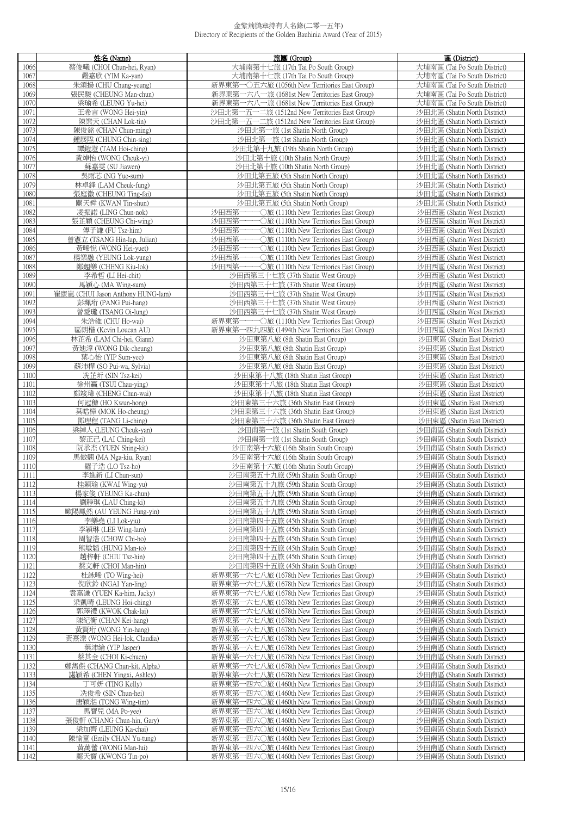|              | 姓名 (Name)                                    | 旅團 (Group)                                                                                     | 區 (District)                                                 |
|--------------|----------------------------------------------|------------------------------------------------------------------------------------------------|--------------------------------------------------------------|
| 1066         | 蔡俊曦 (CHOI Chun-hei, Ryan)                    | 大埔南第十七旅 (17th Tai Po South Group)                                                              | 大埔南區 (Tai Po South District)                                 |
| 1067         | 嚴嘉欣 (YIM Ka-yan)                             | 大埔南第十七旅 (17th Tai Po South Group)                                                              | 大埔南區 (Tai Po South District)                                 |
| 1068         | 朱頌揚 (CHU Chung-yeung)                        | 新界東第一〇五六旅 (1056th New Territories East Group)                                                  | 大埔南區 (Tai Po South District)                                 |
| 1069         | 張民駿 (CHEUNG Man-chun)                        | 新界東第一六八一旅 (1681st New Territories East Group)                                                  | 大埔南區 (Tai Po South District)                                 |
| 1070         | 梁瑜希 (LEUNG Yu-hei)                           | 新界東第一六八一旅 (1681st New Territories East Group)                                                  | 大埔南區 (Tai Po South District)                                 |
| 1071         | 王希言 (WONG Hei-yin)                           | 沙田北第一五一二旅 (1512nd New Territories East Group)                                                  | 沙田北區 (Shatin North District)                                 |
| 1072         | 陳樂天 (CHAN Lok-tin)                           | 沙田北第一五一二旅 (1512nd New Territories East Group)                                                  | 沙田北區 (Shatin North District)                                 |
| 1073         | 陳俊銘 (CHAN Chun-ming)                         | 沙田北第一旅 (1st Shatin North Group)                                                                | 沙田北區 (Shatin North District)                                 |
| 1074         | 鍾展陞 (CHUNG Chin-sing)                        | 沙田北第一旅 (1st Shatin North Group)                                                                | 沙田北區 (Shatin North District)                                 |
| 1075         | 譚鎧澄 (TAM Hoi-ching)                          | 沙田北第十九旅 (19th Shatin North Group)                                                              | 沙田北區 (Shatin North District)                                 |
| 1076         | 黃焯怡 (WONG Cheuk-yi)                          | 沙田北第十旅 (10th Shatin North Group)                                                               | 沙田北區 (Shatin North District)                                 |
| 1077         | 蘇嘉雯 (SU Jiawen)                              | 沙田北第十旅 (10th Shatin North Group)                                                               | 沙田北區 (Shatin North District)                                 |
| 1078         | 吳雨芯 (NG Yue-sum)                             | 沙田北第五旅 (5th Shatin North Group)                                                                | 沙田北區 (Shatin North District)                                 |
| 1079         | 林卓鋒 (LAM Cheuk-fung)                         | 沙田北第五旅 (5th Shatin North Group)                                                                | 沙田北區 (Shatin North District)                                 |
| 1080         | 張庭徽 (CHEUNG Ting-fai)                        | 沙田北第五旅 (5th Shatin North Group)                                                                | 沙田北區 (Shatin North District)                                 |
| 1081         | 關天舜 (KWAN Tin-shun)                          | 沙田北第五旅 (5th Shatin North Group)                                                                | 沙田北區 (Shatin North District)                                 |
| 1082<br>1083 | 凌振諾 (LING Chun-nok)<br>張芷穎 (CHEUNG Chi-wing) | 沙田西第一一一〇旅 (1110th New Territories East Group)<br>沙田西第一一一〇旅 (1110th New Territories East Group) | 沙田西區 (Shatin West District)<br>沙田西區 (Shatin West District)   |
| 1084         | 傅子謙 (FU Tsz-him)                             | 沙田西第一一〇旅 (1110th New Territories East Group)                                                   | 沙田西區 (Shatin West District)                                  |
| 1085         | 曾憲立 (TSANG Hin-lap, Julian)                  | 沙田西第一一一<br>•○旅 (1110th New Territories East Group)                                             | 沙田西區 (Shatin West District)                                  |
| 1086         | 黃晞悅 (WONG Hei-yuet)                          | 沙田西第一一一〇旅 (1110th New Territories East Group)                                                  | 沙田西區 (Shatin West District)                                  |
| 1087         | 楊樂融 (YEUNG Lok-yung)                         | 沙田西第一一一〇旅 (1110th New Territories East Group)                                                  | 沙田西區 (Shatin West District)                                  |
| 1088         | 鄭翹樂 (CHENG Kiu-lok)                          | 沙田西第一一一〇旅 (1110th New Territories East Group)                                                  | 沙田西區 (Shatin West District)                                  |
| 1089         | 李希哲 (LI Hei-chit)                            | 沙田西第三十七旅 (37th Shatin West Group)                                                              | 沙田西區 (Shatin West District)                                  |
| 1090         | 馬穎心 (MA Wing-sum)                            | 沙田西第三十七旅 (37th Shatin West Group)                                                              | 沙田西區 (Shatin West District)                                  |
| 1091         | 崔康嵐 (CHUI Jason Anthony HUNG-lam)            | 沙田西第三十七旅 (37th Shatin West Group)                                                              | 沙田西區 (Shatin West District)                                  |
| 1092         | 彭珮珩 (PANG Pui-hang)                          | 沙田西第三十七旅 (37th Shatin West Group)                                                              | 沙田西區 (Shatin West District)                                  |
| 1093         | 曾愛瓏 (TSANG Oi-lung)                          | 沙田西第三十七旅 (37th Shatin West Group)                                                              | 沙田西區 (Shatin West District)                                  |
| 1094         | 朱浩維 (CHU Ho-wai)                             | 新界東第一一一〇旅 (1110th New Territories East Group)                                                  | 沙田西區 (Shatin West District)                                  |
| 1095         | 區朗楷 (Kevin Loucan AU)                        | 新界東第一四九四旅 (1494th New Territories East Group)                                                  | 沙田西區 (Shatin West District)                                  |
| 1096         | 林芷希 (LAM Chi-hei, Giann)                     | 沙田東第八旅 (8th Shatin East Group)                                                                 | 沙田東區 (Shatin East District)                                  |
| 1097         | 黃廸漳 (WONG Dik-cheung)                        | 沙田東第八旅 (8th Shatin East Group)                                                                 | 沙田東區 (Shatin East District)                                  |
| 1098         | 葉心怡 (YIP Sum-yee)                            | 沙田東第八旅 (8th Shatin East Group)                                                                 | 沙田東區 (Shatin East District)                                  |
| 1099         | 蘇沛樺 (SO Pui-wa, Sylvia)                      | 沙田東第八旅 (8th Shatin East Group)                                                                 | 沙田東區 (Shatin East District)                                  |
| 1100         | 冼芷圻 (SIN Tsz-kei)                            | 沙田東第十八旅 (18th Shatin East Group)                                                               | 沙田東區 (Shatin East District)                                  |
| 1101         | 徐州赢 (TSUI Chau-ying)                         | 沙田東第十八旅 (18th Shatin East Group)                                                               | 沙田東區 (Shatin East District)                                  |
| 1102         | 鄭竣瑋 (CHENG Chun-wai)                         | 沙田東第十八旅 (18th Shatin East Group)                                                               | 沙田東區 (Shatin East District)                                  |
| 1103<br>1104 | 何冠穅 (HO Kwun-hong)<br>莫晧樟 (MOK Ho-cheung)    | 沙田東第三十六旅 (36th Shatin East Group)<br>沙田東第三十六旅 (36th Shatin East Group)                         | 沙田東區 (Shatin East District)<br>沙田東區 (Shatin East District)   |
| 1105         | 鄧理程 (TANG Li-ching)                          | 沙田東第三十六旅 (36th Shatin East Group)                                                              | 沙田東區 (Shatin East District)                                  |
| 1106         | 梁綽人 (LEUNG Cheuk-yan)                        | 沙田南第一旅 (1st Shatin South Group)                                                                | 沙田南區 (Shatin South District)                                 |
| 1107         | 黎正己 (LAI Ching-kei)                          | 沙田南第一旅 (1st Shatin South Group)                                                                | 沙田南區 (Shatin South District)                                 |
| 1108         | 阮承杰 (YUEN Shing-kit)                         | 沙田南第十六旅 (16th Shatin South Group)                                                              | 沙田南區 (Shatin South District)                                 |
| 1109         | 馬傲翹 (MA Nga-kiu, Ryan)                       | 沙田南第十六旅 (16th Shatin South Group)                                                              | 沙田南區 (Shatin South District)                                 |
| 1110         | 羅子浩 (LO Tsz-ho)                              | 沙田南第十六旅 (16th Shatin South Group)                                                              | 沙田南區 (Shatin South District)                                 |
| 1111         | 李進新 (LI Chun-sun)                            | 沙田南第五十九旅 (59th Shatin South Group)                                                             | 沙田南區 (Shatin South District)                                 |
| 1112         | 桂穎瑜 (KWAI Wing-yu)                           | 沙田南第五十九旅 (59th Shatin South Group)                                                             | 沙田南區 (Shatin South District)                                 |
| 1113         | 楊家俊 (YEUNG Ka-chun)                          | 沙田南第五十九旅 (59th Shatin South Group)                                                             | 沙田南區 (Shatin South District)                                 |
| 1114         | 劉靜琪 (LAU Ching-ki)                           | 沙田南第五十九旅 (59th Shatin South Group)                                                             | 沙田南區 (Shatin South District)                                 |
| 1115         | 歐陽鳳然 (AU YEUNG Fung-vin)                     | 沙田南第五十九旅 (59th Shatin South Group)                                                             | 沙田南區 (Shatin South District)                                 |
| 1116         | 李樂堯 (LI Lok-yiu)                             | 沙田南第四十五旅 (45th Shatin South Group)                                                             | 沙田南區 (Shatin South District)                                 |
| 1117         | 李穎琳 (LEE Wing-lam)                           | 沙田南第四十五旅 (45th Shatin South Group)                                                             | 沙田南區 (Shatin South District)                                 |
| 1118         | 周智浩 (CHOW Chi-ho)                            | 沙田南第四十五旅 (45th Shatin South Group)                                                             | 沙田南區 (Shatin South District)                                 |
| 1119         | 熊敏韜 (HUNG Man-to)<br>趙梓軒 (CHIU Tsz-hin)      | 沙田南第四十五旅 (45th Shatin South Group)                                                             | 沙田南區 (Shatin South District)                                 |
| 1120<br>1121 | 蔡文軒 (CHOI Man-hin)                           | 沙田南第四十五旅 (45th Shatin South Group)<br>沙田南第四十五旅 (45th Shatin South Group)                       | 沙田南區 (Shatin South District)<br>沙田南區 (Shatin South District) |
| 1122         | 杜詠晞 (TO Wing-hei)                            | 新界東第一六七八旅 (1678th New Territories East Group)                                                  | 沙田南區 (Shatin South District)                                 |
| 1123         | 倪欣鈴 (NGAI Yan-ling)                          | 新界東第一六七八旅 (1678th New Territories East Group)                                                  | 沙田南區 (Shatin South District)                                 |
| 1124         | 袁嘉謙 (YUEN Ka-him, Jacky)                     | 新界東第一六七八旅 (1678th New Territories East Group)                                                  | 沙田南區 (Shatin South District)                                 |
| 1125         | 梁凱晴 (LEUNG Hoi-ching)                        | 新界東第一六七八旅 (1678th New Territories East Group)                                                  | 沙田南區 (Shatin South District)                                 |
| 1126         | 郭澤禮 (KWOK Chak-lai)                          | 新界東第一六七八旅 (1678th New Territories East Group)                                                  | 沙田南區 (Shatin South District)                                 |
| 1127         | 陳紀衡 (CHAN Kei-hang)                          | 新界東第一六七八旅 (1678th New Territories East Group)                                                  | 沙田南區 (Shatin South District)                                 |
| 1128         | 黃賢珩 (WONG Yin-hang)                          | 新界東第一六七八旅 (1678th New Territories East Group)                                                  | 沙田南區 (Shatin South District)                                 |
| 1129         | 黃熹濼 (WONG Hei-lok, Claudia)                  | 新界東第一六七八旅 (1678th New Territories East Group)                                                  | 沙田南區 (Shatin South District)                                 |
| 1130         | 葉沛綸 (YIP Jasper)                             | 新界東第一六七八旅 (1678th New Territories East Group)                                                  | 沙田南區 (Shatin South District)                                 |
| 1131         | 蔡其全 (CHOI Ki-chuen)                          | 新界東第一六七八旅 (1678th New Territories East Group)                                                  | 沙田南區 (Shatin South District)                                 |
| 1132         | 鄭雋傑 (CHANG Chun-kit, Alpha)                  | 新界東第一六七八旅 (1678th New Territories East Group)                                                  | 沙田南區 (Shatin South District)                                 |
| 1133         | 諶穎希 (CHEN Yingxi, Ashley)                    | 新界東第一六七八旅 (1678th New Territories East Group)                                                  | 沙田南區 (Shatin South District)                                 |
| 1134         | 丁可妍 (TING Kelly)                             | 新界東第一四六○旅 (1460th New Territories East Group)                                                  | 沙田南區 (Shatin South District)                                 |
| 1135         | 冼俊希 (SIN Chun-hei)                           | 新界東第一四六〇旅 (1460th New Territories East Group)                                                  | 沙田南區 (Shatin South District)                                 |
| 1136<br>1137 | 唐穎湉 (TONG Wing-tim)<br>馬寶兒 (MA Po-yee)       | 新界東第一四六〇旅 (1460th New Territories East Group)                                                  | 沙田南區 (Shatin South District)<br>沙田南區 (Shatin South District) |
| 1138         | 張俊軒 (CHANG Chun-hin, Gary)                   | 新界東第一四六○旅 (1460th New Territories East Group)<br>新界東第一四六○旅 (1460th New Territories East Group) | 沙田南區 (Shatin South District)                                 |
| 1139         | 梁加齊 (LEUNG Ka-chai)                          | 新界東第一四六○旅 (1460th New Territories East Group)                                                  | 沙田南區 (Shatin South District)                                 |
| 1140         | 陳愉童 (Emily CHAN Yu-tung)                     | 新界東第一四六○旅 (1460th New Territories East Group)                                                  | 沙田南區 (Shatin South District)                                 |
| 1141         | 黃萬蕾 (WONG Man-lui)                           | 新界東第一四六○旅 (1460th New Territories East Group)                                                  | 沙田南區 (Shatin South District)                                 |
| 1142         | 鄺天寶 (KWONG Tin-po)                           | 新界東第一四六〇旅 (1460th New Territories East Group)                                                  | 沙田南區 (Shatin South District)                                 |